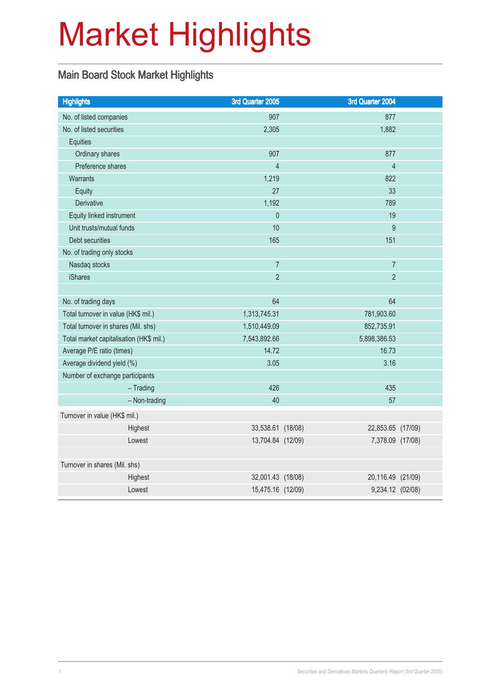# Market Highlights

### Main Board Stock Market Highlights

| <b>Highlights</b>                       | 3rd Quarter 2005  | 3rd Quarter 2004 |                   |
|-----------------------------------------|-------------------|------------------|-------------------|
| No. of listed companies                 | 907               |                  | 877               |
| No. of listed securities                | 2,305             |                  | 1,882             |
| Equities                                |                   |                  |                   |
| Ordinary shares                         | 907               |                  | 877               |
| Preference shares                       | $\overline{4}$    |                  | $\overline{4}$    |
| <b>Warrants</b>                         | 1,219             |                  | 822               |
| Equity                                  | 27                |                  | 33                |
| <b>Derivative</b>                       | 1,192             |                  | 789               |
| Equity linked instrument                | $\overline{0}$    |                  | 19                |
| Unit trusts/mutual funds                | 10                |                  | 9                 |
| Debt securities                         | 165               |                  | 151               |
| No. of trading only stocks              |                   |                  |                   |
| Nasdaq stocks                           | $\overline{7}$    |                  | $\overline{7}$    |
| <b>iShares</b>                          | $\overline{2}$    |                  | $\overline{2}$    |
|                                         |                   |                  |                   |
| No. of trading days                     | 64                |                  | 64                |
| Total turnover in value (HK\$ mil.)     | 1,313,745.31      | 781,903.60       |                   |
| Total turnover in shares (Mil. shs)     | 1,510,449.09      | 852,735.91       |                   |
| Total market capitalisation (HK\$ mil.) | 7,543,892.66      | 5,898,386.53     |                   |
| Average P/E ratio (times)               | 14.72             |                  | 16.73             |
| Average dividend yield (%)              | 3.05              |                  | 3.16              |
| Number of exchange participants         |                   |                  |                   |
| $-$ Trading                             | 426               |                  | 435               |
| - Non-trading                           | 40                |                  | 57                |
| Turnover in value (HK\$ mil.)           |                   |                  |                   |
| Highest                                 | 33,538.61 (18/08) |                  | 22,853.65 (17/09) |
| Lowest                                  | 13,704.84 (12/09) |                  | 7,378.09 (17/08)  |
|                                         |                   |                  |                   |
| Turnover in shares (Mil. shs)           |                   |                  |                   |
| Highest                                 | 32,001.43 (18/08) |                  | 20,116.49 (21/09) |
| Lowest                                  | 15,475.16 (12/09) |                  | 9,234.12 (02/08)  |
|                                         |                   |                  |                   |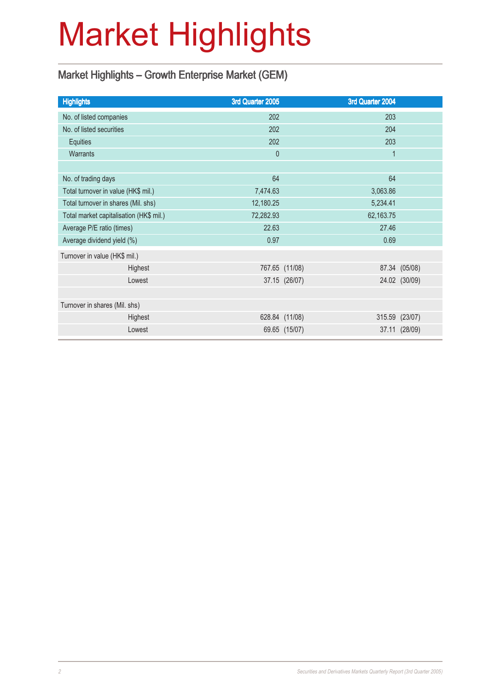# Market Highlights

### Market Highlights – Growth Enterprise Market (GEM)

| <b>Highlights</b>                       |         | 3rd Quarter 2005 |                | 3rd Quarter 2004 |               |
|-----------------------------------------|---------|------------------|----------------|------------------|---------------|
| No. of listed companies                 |         | 202              |                | 203              |               |
| No. of listed securities                |         | 202              |                | 204              |               |
| Equities                                |         | 202              |                | 203              |               |
| <b>Warrants</b>                         |         | $\theta$         |                | $\mathbf{1}$     |               |
|                                         |         |                  |                |                  |               |
| No. of trading days                     |         | 64               |                | 64               |               |
| Total turnover in value (HK\$ mil.)     |         | 7,474.63         |                | 3,063.86         |               |
| Total turnover in shares (Mil. shs)     |         | 12,180.25        |                | 5,234.41         |               |
| Total market capitalisation (HK\$ mil.) |         | 72,282.93        |                | 62,163.75        |               |
| Average P/E ratio (times)               |         | 22.63            |                | 27.46            |               |
| Average dividend yield (%)              |         | 0.97             |                | 0.69             |               |
| Turnover in value (HK\$ mil.)           |         |                  |                |                  |               |
|                                         | Highest |                  | 767.65 (11/08) |                  | 87.34 (05/08) |
|                                         | Lowest  |                  | 37.15 (26/07)  |                  | 24.02 (30/09) |
|                                         |         |                  |                |                  |               |
| Turnover in shares (Mil. shs)           |         |                  |                |                  |               |
|                                         | Highest |                  | 628.84 (11/08) | 315.59 (23/07)   |               |
|                                         | Lowest  |                  | 69.65 (15/07)  |                  | 37.11 (28/09) |
|                                         |         |                  |                |                  |               |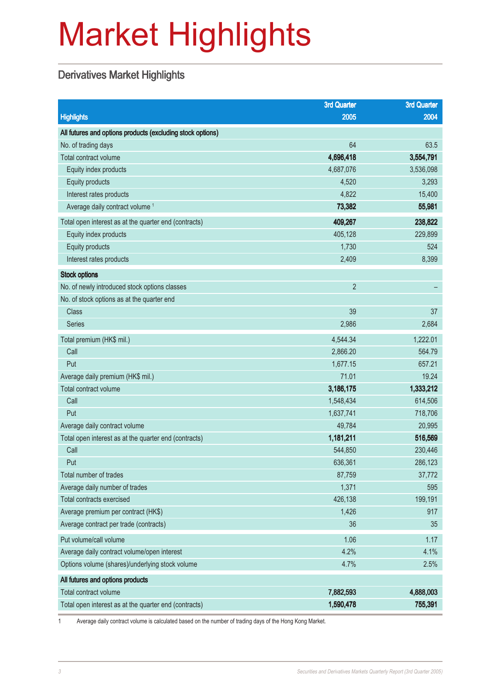# Market Highlights

#### Derivatives Market Highlights

|                                                            | <b>3rd Quarter</b> | <b>3rd Quarter</b> |
|------------------------------------------------------------|--------------------|--------------------|
| <b>Highlights</b>                                          | 2005               | 2004               |
| All futures and options products (excluding stock options) |                    |                    |
| No. of trading days                                        | 64                 | 63.5               |
| Total contract volume                                      | 4,696,418          | 3,554,791          |
| Equity index products                                      | 4,687,076          | 3,536,098          |
| Equity products                                            | 4,520              | 3,293              |
| Interest rates products                                    | 4,822              | 15,400             |
| Average daily contract volume <sup>1</sup>                 | 73,382             | 55,981             |
| Total open interest as at the quarter end (contracts)      | 409,267            | 238,822            |
| Equity index products                                      | 405,128            | 229,899            |
| Equity products                                            | 1,730              | 524                |
| Interest rates products                                    | 2,409              | 8,399              |
| <b>Stock options</b>                                       |                    |                    |
| No. of newly introduced stock options classes              | $\overline{2}$     |                    |
| No. of stock options as at the quarter end                 |                    |                    |
| <b>Class</b>                                               | 39                 | 37                 |
| <b>Series</b>                                              | 2,986              | 2,684              |
| Total premium (HK\$ mil.)                                  | 4,544.34           | 1,222.01           |
| Call                                                       | 2,866.20           | 564.79             |
| Put                                                        | 1,677.15           | 657.21             |
| Average daily premium (HK\$ mil.)                          | 71.01              | 19.24              |
| Total contract volume                                      | 3,186,175          | 1,333,212          |
| Call                                                       | 1,548,434          | 614,506            |
| Put                                                        | 1,637,741          | 718,706            |
| Average daily contract volume                              | 49,784             | 20,995             |
| Total open interest as at the quarter end (contracts)      | 1,181,211          | 516,569            |
| Call                                                       | 544,850            | 230,446            |
| Put                                                        | 636,361            | 286,123            |
| Total number of trades                                     | 87,759             | 37,772             |
| Average daily number of trades                             | 1,371              | 595                |
| Total contracts exercised                                  | 426,138            | 199,191            |
| Average premium per contract (HK\$)                        | 1,426              | 917                |
| Average contract per trade (contracts)                     | 36                 | 35                 |
| Put volume/call volume                                     | 1.06               | 1.17               |
| Average daily contract volume/open interest                | 4.2%               | 4.1%               |
| Options volume (shares)/underlying stock volume            | 4.7%               | 2.5%               |
| All futures and options products                           |                    |                    |
| Total contract volume                                      | 7,882,593          | 4,888,003          |
| Total open interest as at the quarter end (contracts)      | 1,590,478          | 755,391            |

1 Average daily contract volume is calculated based on the number of trading days of the Hong Kong Market.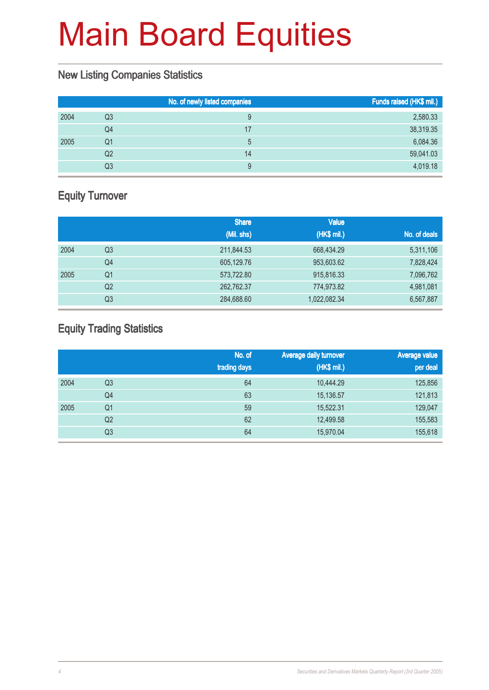#### New Listing Companies Statistics

|      |    | No. of newly listed companies | Funds raised (HK\$ mil.) |
|------|----|-------------------------------|--------------------------|
| 2004 | Q3 | 9                             | 2,580.33                 |
|      | Q4 | 17                            | 38,319.35                |
| 2005 | Q1 | 5                             | 6,084.36                 |
|      | Q2 | 14                            | 59,041.03                |
|      | Q3 | 9                             | 4,019.18                 |

### Equity Turnover

|      |                | <b>Share</b> | <b>Value</b> |              |
|------|----------------|--------------|--------------|--------------|
|      |                | (Mil. shs)   | (HK\$ mil.)  | No. of deals |
| 2004 | Q3             | 211,844.53   | 668,434.29   | 5,311,106    |
|      | Q4             | 605,129.76   | 953,603.62   | 7,828,424    |
| 2005 | Q1             | 573,722.80   | 915,816.33   | 7,096,762    |
|      | Q <sub>2</sub> | 262,762.37   | 774,973.82   | 4,981,081    |
|      | Q3             | 284,688.60   | 1,022,082.34 | 6,567,887    |

#### Equity Trading Statistics

|      |                | No. of<br>trading days | <b>Average daily turnover</b><br>(HK\$ mil.) | <b>Average value</b><br>per deal |
|------|----------------|------------------------|----------------------------------------------|----------------------------------|
| 2004 | Q <sub>3</sub> | 64                     | 10,444.29                                    | 125,856                          |
|      | Q4             | 63                     | 15,136.57                                    | 121,813                          |
| 2005 | Q1             | 59                     | 15,522.31                                    | 129,047                          |
|      | Q <sub>2</sub> | 62                     | 12,499.58                                    | 155,583                          |
|      | Q3             | 64                     | 15,970.04                                    | 155,618                          |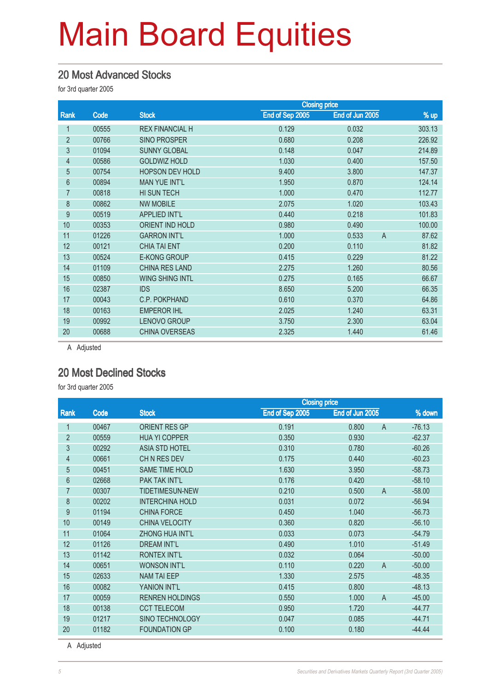#### 20 Most Advanced Stocks

for 3rd quarter 2005

|       |                        | <b>Closing price</b> |                         |        |
|-------|------------------------|----------------------|-------------------------|--------|
| Code  | <b>Stock</b>           | End of Sep 2005      | End of Jun 2005         | % up   |
| 00555 | <b>REX FINANCIAL H</b> | 0.129                | 0.032                   | 303.13 |
| 00766 | <b>SINO PROSPER</b>    | 0.680                | 0.208                   | 226.92 |
| 01094 | <b>SUNNY GLOBAL</b>    | 0.148                | 0.047                   | 214.89 |
| 00586 | <b>GOLDWIZ HOLD</b>    | 1.030                | 0.400                   | 157.50 |
| 00754 | <b>HOPSON DEV HOLD</b> | 9.400                | 3.800                   | 147.37 |
| 00894 | <b>MAN YUE INT'L</b>   | 1.950                | 0.870                   | 124.14 |
| 00818 | HI SUN TECH            | 1.000                | 0.470                   | 112.77 |
| 00862 | <b>NW MOBILE</b>       | 2.075                | 1.020                   | 103.43 |
| 00519 | <b>APPLIED INT'L</b>   | 0.440                | 0.218                   | 101.83 |
| 00353 | <b>ORIENT IND HOLD</b> | 0.980                | 0.490                   | 100.00 |
| 01226 | <b>GARRON INT'L</b>    | 1.000                | $\overline{A}$<br>0.533 | 87.62  |
| 00121 | <b>CHIA TAI ENT</b>    | 0.200                | 0.110                   | 81.82  |
| 00524 | <b>E-KONG GROUP</b>    | 0.415                | 0.229                   | 81.22  |
| 01109 | <b>CHINA RES LAND</b>  | 2.275                | 1.260                   | 80.56  |
| 00850 | <b>WING SHING INTL</b> | 0.275                | 0.165                   | 66.67  |
| 02387 | <b>IDS</b>             | 8.650                | 5.200                   | 66.35  |
| 00043 | C.P. POKPHAND          | 0.610                | 0.370                   | 64.86  |
| 00163 | <b>EMPEROR IHL</b>     | 2.025                | 1.240                   | 63.31  |
| 00992 | <b>LENOVO GROUP</b>    | 3.750                | 2.300                   | 63.04  |
| 00688 | <b>CHINA OVERSEAS</b>  | 2.325                | 1.440                   | 61.46  |
|       |                        |                      |                         |        |

A Adjusted

#### 20 Most Declined Stocks

for 3rd quarter 2005

|                |       |                        | <b>Closing price</b> |                 |                |          |
|----------------|-------|------------------------|----------------------|-----------------|----------------|----------|
| Rank           | Code  | <b>Stock</b>           | End of Sep 2005      | End of Jun 2005 |                | % down   |
|                | 00467 | <b>ORIENT RES GP</b>   | 0.191                | 0.800           | $\mathsf{A}$   | $-76.13$ |
| $\overline{2}$ | 00559 | <b>HUA YI COPPER</b>   | 0.350                | 0.930           |                | $-62.37$ |
| 3              | 00292 | <b>ASIA STD HOTEL</b>  | 0.310                | 0.780           |                | $-60.26$ |
| $\overline{4}$ | 00661 | CHN RES DEV            | 0.175                | 0.440           |                | $-60.23$ |
| $\overline{5}$ | 00451 | <b>SAME TIME HOLD</b>  | 1.630                | 3.950           |                | $-58.73$ |
| 6              | 02668 | <b>PAK TAK INT'L</b>   | 0.176                | 0.420           |                | $-58.10$ |
| 7              | 00307 | <b>TIDETIMESUN-NEW</b> | 0.210                | 0.500           | $\overline{A}$ | $-58.00$ |
| 8              | 00202 | <b>INTERCHINA HOLD</b> | 0.031                | 0.072           |                | $-56.94$ |
| 9              | 01194 | <b>CHINA FORCE</b>     | 0.450                | 1.040           |                | $-56.73$ |
| 10             | 00149 | <b>CHINA VELOCITY</b>  | 0.360                | 0.820           |                | $-56.10$ |
| 11             | 01064 | <b>ZHONG HUA INT'L</b> | 0.033                | 0.073           |                | $-54.79$ |
| 12             | 01126 | <b>DREAM INT'L</b>     | 0.490                | 1.010           |                | $-51.49$ |
| 13             | 01142 | <b>RONTEX INT'L</b>    | 0.032                | 0.064           |                | $-50.00$ |
| 14             | 00651 | <b>WONSON INT'L</b>    | 0.110                | 0.220           | $\mathsf{A}$   | $-50.00$ |
| 15             | 02633 | <b>NAM TAI EEP</b>     | 1.330                | 2.575           |                | $-48.35$ |
| 16             | 00082 | YANION INT'L           | 0.415                | 0.800           |                | $-48.13$ |
| 17             | 00059 | <b>RENREN HOLDINGS</b> | 0.550                | 1.000           | $\overline{A}$ | $-45.00$ |
| 18             | 00138 | <b>CCT TELECOM</b>     | 0.950                | 1.720           |                | $-44.77$ |
| 19             | 01217 | SINO TECHNOLOGY        | 0.047                | 0.085           |                | $-44.71$ |
| 20             | 01182 | <b>FOUNDATION GP</b>   | 0.100                | 0.180           |                | $-44.44$ |

A Adjusted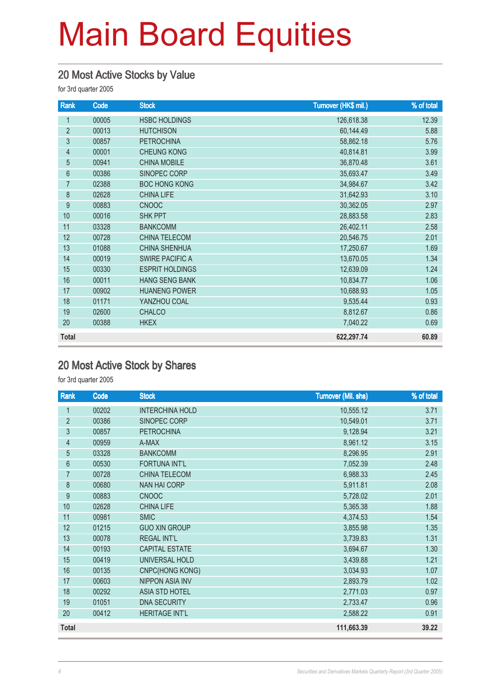#### 20 Most Active Stocks by Value

for 3rd quarter 2005

| Rank           | Code  | <b>Stock</b>           | Turnover (HK\$ mil.) | % of total |
|----------------|-------|------------------------|----------------------|------------|
| 1              | 00005 | <b>HSBC HOLDINGS</b>   | 126,618.38           | 12.39      |
| $\overline{2}$ | 00013 | <b>HUTCHISON</b>       | 60,144.49            | 5.88       |
| $\overline{3}$ | 00857 | <b>PETROCHINA</b>      | 58,862.18            | 5.76       |
| $\overline{4}$ | 00001 | <b>CHEUNG KONG</b>     | 40,814.81            | 3.99       |
| 5              | 00941 | <b>CHINA MOBILE</b>    | 36,870.48            | 3.61       |
| $6\phantom{.}$ | 00386 | SINOPEC CORP           | 35,693.47            | 3.49       |
| 7              | 02388 | <b>BOC HONG KONG</b>   | 34,984.67            | 3.42       |
| 8              | 02628 | <b>CHINA LIFE</b>      | 31,642.93            | 3.10       |
| 9              | 00883 | <b>CNOOC</b>           | 30,362.05            | 2.97       |
| 10             | 00016 | <b>SHK PPT</b>         | 28,883.58            | 2.83       |
| 11             | 03328 | <b>BANKCOMM</b>        | 26,402.11            | 2.58       |
| 12             | 00728 | <b>CHINA TELECOM</b>   | 20,546.75            | 2.01       |
| 13             | 01088 | <b>CHINA SHENHUA</b>   | 17,250.67            | 1.69       |
| 14             | 00019 | <b>SWIRE PACIFIC A</b> | 13,670.05            | 1.34       |
| 15             | 00330 | <b>ESPRIT HOLDINGS</b> | 12,639.09            | 1.24       |
| 16             | 00011 | <b>HANG SENG BANK</b>  | 10,834.77            | 1.06       |
| 17             | 00902 | <b>HUANENG POWER</b>   | 10,688.93            | 1.05       |
| 18             | 01171 | YANZHOU COAL           | 9,535.44             | 0.93       |
| 19             | 02600 | <b>CHALCO</b>          | 8,812.67             | 0.86       |
| 20             | 00388 | <b>HKEX</b>            | 7,040.22             | 0.69       |
| <b>Total</b>   |       |                        | 622,297.74           | 60.89      |

#### 20 Most Active Stock by Shares

for 3rd quarter 2005

| Rank           | Code  | <b>Stock</b>           | <b>Turnover (Mil. shs)</b> | % of total |
|----------------|-------|------------------------|----------------------------|------------|
| 1              | 00202 | <b>INTERCHINA HOLD</b> | 10,555.12                  | 3.71       |
| $\overline{2}$ | 00386 | SINOPEC CORP           | 10,549.01                  | 3.71       |
| $\mathfrak{Z}$ | 00857 | <b>PETROCHINA</b>      | 9,128.94                   | 3.21       |
| $\overline{4}$ | 00959 | A-MAX                  | 8,961.12                   | 3.15       |
| 5              | 03328 | <b>BANKCOMM</b>        | 8,296.95                   | 2.91       |
| 6              | 00530 | <b>FORTUNA INT'L</b>   | 7,052.39                   | 2.48       |
| $\overline{7}$ | 00728 | <b>CHINA TELECOM</b>   | 6,988.33                   | 2.45       |
| 8              | 00680 | <b>NAN HAI CORP</b>    | 5,911.81                   | 2.08       |
| $\overline{9}$ | 00883 | <b>CNOOC</b>           | 5,728.02                   | 2.01       |
| 10             | 02628 | <b>CHINA LIFE</b>      | 5,365.38                   | 1.88       |
| 11             | 00981 | <b>SMIC</b>            | 4,374.53                   | 1.54       |
| 12             | 01215 | <b>GUO XIN GROUP</b>   | 3,855.98                   | 1.35       |
| 13             | 00078 | <b>REGAL INT'L</b>     | 3,739.83                   | 1.31       |
| 14             | 00193 | <b>CAPITAL ESTATE</b>  | 3,694.67                   | 1.30       |
| 15             | 00419 | UNIVERSAL HOLD         | 3,439.88                   | 1.21       |
| 16             | 00135 | CNPC(HONG KONG)        | 3,034.93                   | 1.07       |
| 17             | 00603 | <b>NIPPON ASIA INV</b> | 2,893.79                   | 1.02       |
| 18             | 00292 | <b>ASIA STD HOTEL</b>  | 2,771.03                   | 0.97       |
| 19             | 01051 | <b>DNA SECURITY</b>    | 2,733.47                   | 0.96       |
| 20             | 00412 | <b>HERITAGE INT'L</b>  | 2,588.22                   | 0.91       |
| <b>Total</b>   |       |                        | 111,663.39                 | 39.22      |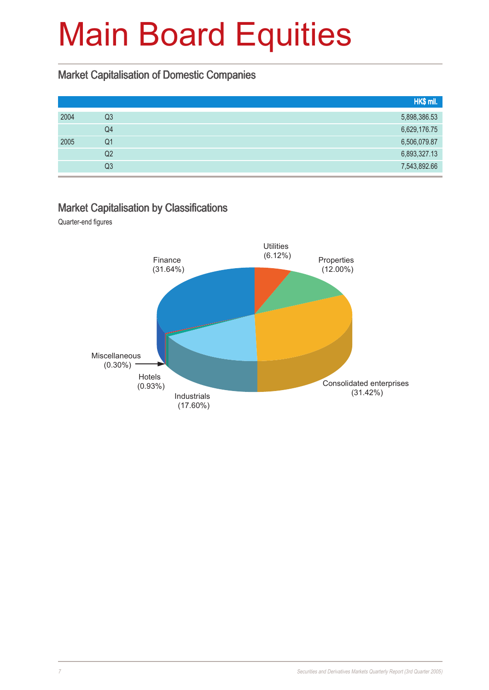#### Market Capitalisation of Domestic Companies

|      |    | HK\$ mil.    |
|------|----|--------------|
| 2004 | Q3 | 5,898,386.53 |
|      | Q4 | 6,629,176.75 |
| 2005 | Q1 | 6,506,079.87 |
|      | Q2 | 6,893,327.13 |
|      | Q3 | 7,543,892.66 |

#### Market Capitalisation by Classifications

Quarter-end figures

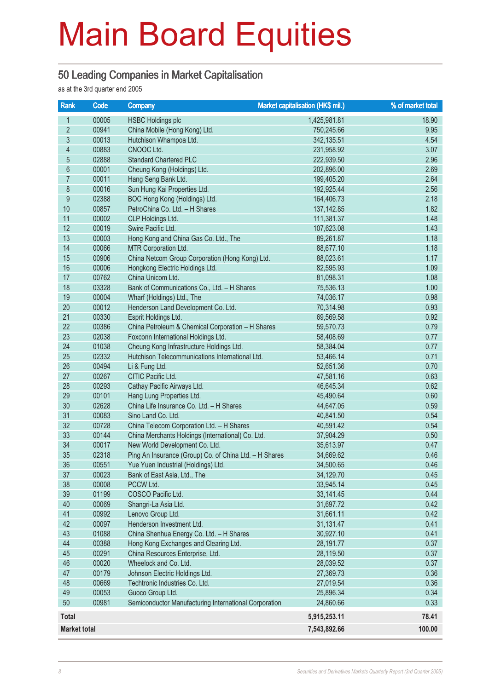#### 50 Leading Companies in Market Capitalisation

as at the 3rd quarter end 2005

| <b>Rank</b>              | Code           | Company                                                | Market capitalisation (HK\$ mil.) | % of market total |
|--------------------------|----------------|--------------------------------------------------------|-----------------------------------|-------------------|
| $\mathbf{1}$             | 00005          | <b>HSBC Holdings plc</b>                               | 1,425,981.81                      | 18.90             |
| $\overline{2}$           | 00941          | China Mobile (Hong Kong) Ltd.                          | 750,245.66                        | 9.95              |
| $\mathfrak{S}$           | 00013          | Hutchison Whampoa Ltd.                                 | 342,135.51                        | 4.54              |
| $\overline{\mathcal{L}}$ | 00883          | CNOOC Ltd.                                             | 231,958.92                        | 3.07              |
| $\overline{5}$           | 02888          | <b>Standard Chartered PLC</b>                          | 222,939.50                        | 2.96              |
| $6\phantom{a}$           | 00001          | Cheung Kong (Holdings) Ltd.                            | 202,896.00                        | 2.69              |
| $\overline{7}$           | 00011          | Hang Seng Bank Ltd.                                    | 199,405.20                        | 2.64              |
| 8                        | 00016          | Sun Hung Kai Properties Ltd.                           | 192,925.44                        | 2.56              |
| 9                        | 02388          | BOC Hong Kong (Holdings) Ltd.                          | 164,406.73                        | 2.18              |
| 10                       | 00857          | PetroChina Co. Ltd. - H Shares                         | 137, 142.85                       | 1.82              |
| 11                       | 00002          | CLP Holdings Ltd.                                      | 111,381.37                        | 1.48              |
| 12                       | 00019          | Swire Pacific Ltd.                                     | 107,623.08                        | 1.43              |
| 13                       | 00003          | Hong Kong and China Gas Co. Ltd., The                  | 89,261.87                         | 1.18              |
| 14                       | 00066          | MTR Corporation Ltd.                                   | 88,677.10                         | 1.18              |
| 15                       | 00906          | China Netcom Group Corporation (Hong Kong) Ltd.        | 88,023.61                         | 1.17              |
| 16                       | 00006          | Hongkong Electric Holdings Ltd.                        | 82,595.93                         | 1.09              |
| 17                       | 00762          | China Unicom Ltd.                                      | 81,098.31                         | 1.08              |
| 18                       | 03328          | Bank of Communications Co., Ltd. - H Shares            | 75,536.13                         | 1.00              |
| 19                       | 00004          | Wharf (Holdings) Ltd., The                             | 74,036.17                         | 0.98              |
| 20                       | 00012          | Henderson Land Development Co. Ltd.                    | 70,314.98                         | 0.93              |
| 21                       | 00330          | Esprit Holdings Ltd.                                   | 69,569.58                         | 0.92              |
| 22                       | 00386          | China Petroleum & Chemical Corporation - H Shares      | 59,570.73                         | 0.79              |
| 23                       | 02038          | Foxconn International Holdings Ltd.                    | 58,408.69                         | 0.77              |
| 24                       | 01038          | Cheung Kong Infrastructure Holdings Ltd.               | 58,384.04                         | 0.77              |
| 25                       | 02332          | Hutchison Telecommunications International Ltd.        | 53,466.14                         | 0.71              |
| 26                       | 00494          | Li & Fung Ltd.                                         | 52,651.36                         | 0.70              |
| 27                       | 00267          | CITIC Pacific Ltd.                                     | 47,581.16                         | 0.63              |
| 28                       | 00293          | Cathay Pacific Airways Ltd.                            | 46,645.34                         | 0.62              |
| 29                       | 00101          | Hang Lung Properties Ltd.                              | 45,490.64                         | 0.60              |
| 30                       | 02628          | China Life Insurance Co. Ltd. - H Shares               | 44,647.05                         | 0.59              |
| 31                       | 00083          | Sino Land Co. Ltd.                                     | 40,841.50                         | 0.54              |
| 32                       | 00728          | China Telecom Corporation Ltd. - H Shares              | 40,591.42                         | 0.54              |
| 33<br>34                 | 00144          | China Merchants Holdings (International) Co. Ltd.      | 37,904.29                         | 0.50              |
| 35                       | 00017<br>02318 | New World Development Co. Ltd.                         | 35,613.97                         | 0.47<br>0.46      |
| 36                       | 00551          | Ping An Insurance (Group) Co. of China Ltd. - H Shares | 34,669.62                         |                   |
| 37                       | 00023          | Yue Yuen Industrial (Holdings) Ltd.                    | 34,500.65                         | 0.46<br>0.45      |
| 38                       | 00008          | Bank of East Asia, Ltd., The<br>PCCW Ltd.              | 34,129.70<br>33,945.14            | 0.45              |
| 39                       | 01199          | COSCO Pacific Ltd.                                     | 33, 141. 45                       | 0.44              |
| 40                       | 00069          | Shangri-La Asia Ltd.                                   | 31,697.72                         | 0.42              |
| 41                       | 00992          | Lenovo Group Ltd.                                      | 31,661.11                         | 0.42              |
| 42                       | 00097          | Henderson Investment Ltd.                              | 31,131.47                         | 0.41              |
| 43                       | 01088          | China Shenhua Energy Co. Ltd. - H Shares               | 30,927.10                         | 0.41              |
| 44                       | 00388          | Hong Kong Exchanges and Clearing Ltd.                  | 28,191.77                         | 0.37              |
| 45                       | 00291          | China Resources Enterprise, Ltd.                       | 28,119.50                         | 0.37              |
| 46                       | 00020          | Wheelock and Co. Ltd.                                  | 28,039.52                         | 0.37              |
| 47                       | 00179          | Johnson Electric Holdings Ltd.                         | 27,369.73                         | 0.36              |
| 48                       | 00669          | Techtronic Industries Co. Ltd.                         | 27,019.54                         | 0.36              |
| 49                       | 00053          | Guoco Group Ltd.                                       | 25,896.34                         | 0.34              |
| 50                       | 00981          | Semiconductor Manufacturing International Corporation  | 24,860.66                         | 0.33              |
| <b>Total</b>             |                |                                                        | 5,915,253.11                      | 78.41             |
| <b>Market total</b>      |                |                                                        | 7,543,892.66                      | 100.00            |
|                          |                |                                                        |                                   |                   |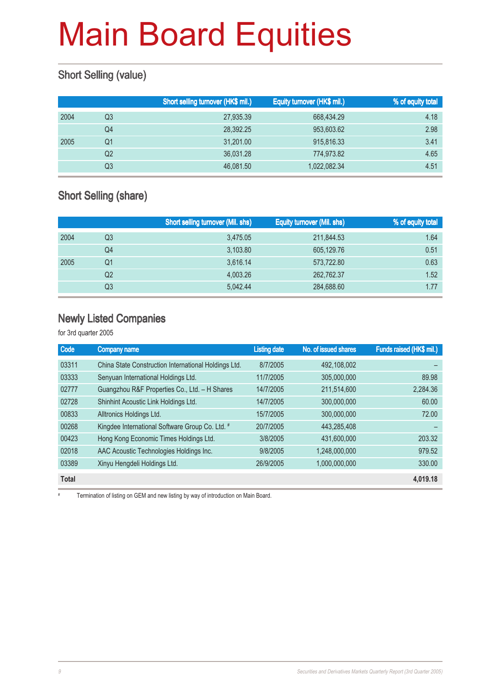### Short Selling (value)

|      |    | Short selling turnover (HK\$ mil.) | Equity turnover (HK\$ mil.) | % of equity total |
|------|----|------------------------------------|-----------------------------|-------------------|
| 2004 | Q3 | 27,935.39                          | 668,434.29                  | 4.18              |
|      | Q4 | 28.392.25                          | 953,603.62                  | 2.98              |
| 2005 | Q1 | 31,201.00                          | 915,816.33                  | 3.41              |
|      | Q2 | 36.031.28                          | 774.973.82                  | 4.65              |
|      | Q3 | 46,081.50                          | 1,022,082.34                | 4.51              |

#### Short Selling (share)

|      |    | <b>Short selling turnover (Mil. shs)</b> | <b>Equity turnover (Mil. shs)</b> | % of equity total |
|------|----|------------------------------------------|-----------------------------------|-------------------|
| 2004 | Q3 | 3,475.05                                 | 211,844.53                        | 1.64              |
|      | Q4 | 3,103.80                                 | 605,129.76                        | 0.51              |
| 2005 | Q1 | 3,616.14                                 | 573,722.80                        | 0.63              |
|      | Q2 | 4,003.26                                 | 262,762.37                        | 1.52              |
|      | Q3 | 5.042.44                                 | 284,688.60                        | 1.77              |

#### Newly Listed Companies

for 3rd quarter 2005

| Code         | <b>Company name</b>                                  | <b>Listing date</b> | No. of issued shares | Funds raised (HK\$ mil.) |
|--------------|------------------------------------------------------|---------------------|----------------------|--------------------------|
| 03311        | China State Construction International Holdings Ltd. | 8/7/2005            | 492,108,002          |                          |
| 03333        | Senyuan International Holdings Ltd.                  | 11/7/2005           | 305.000.000          | 89.98                    |
| 02777        | Guangzhou R&F Properties Co., Ltd. - H Shares        | 14/7/2005           | 211,514,600          | 2,284.36                 |
| 02728        | Shinhint Acoustic Link Holdings Ltd.                 | 14/7/2005           | 300,000,000          | 60.00                    |
| 00833        | Alltronics Holdings Ltd.                             | 15/7/2005           | 300.000.000          | 72.00                    |
| 00268        | Kingdee International Software Group Co. Ltd. #      | 20/7/2005           | 443.285.408          |                          |
| 00423        | Hong Kong Economic Times Holdings Ltd.               | 3/8/2005            | 431,600,000          | 203.32                   |
| 02018        | AAC Acoustic Technologies Holdings Inc.              | 9/8/2005            | 1.248.000.000        | 979.52                   |
| 03389        | Xinyu Hengdeli Holdings Ltd.                         | 26/9/2005           | 1,000,000,000        | 330.00                   |
| <b>Total</b> |                                                      |                     |                      | 4,019.18                 |

# Termination of listing on GEM and new listing by way of introduction on Main Board.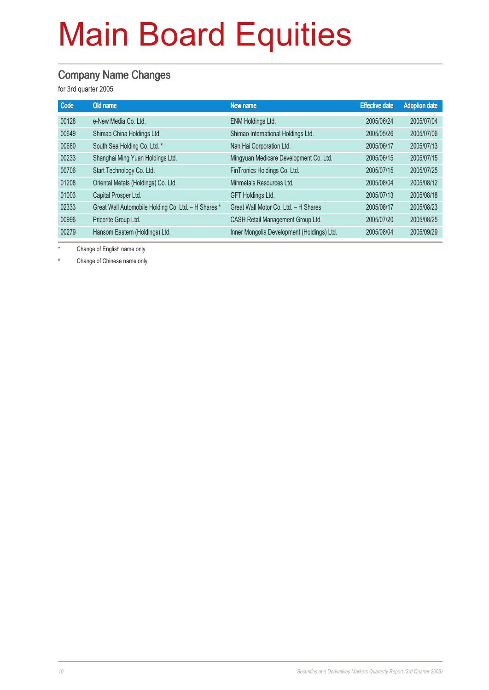#### Company Name Changes

for 3rd quarter 2005

| Code  | Old name                                            | New name                                   | <b>Effective date</b> | <b>Adoption date</b> |
|-------|-----------------------------------------------------|--------------------------------------------|-----------------------|----------------------|
| 00128 | e-New Media Co. Ltd.                                | ENM Holdings Ltd.                          | 2005/06/24            | 2005/07/04           |
| 00649 | Shimao China Holdings Ltd.                          | Shimao International Holdings Ltd.         | 2005/05/26            | 2005/07/06           |
| 00680 | South Sea Holding Co. Ltd. *                        | Nan Hai Corporation Ltd.                   | 2005/06/17            | 2005/07/13           |
| 00233 | Shanghai Ming Yuan Holdings Ltd.                    | Mingyuan Medicare Development Co. Ltd.     | 2005/06/15            | 2005/07/15           |
| 00706 | Start Technology Co. Ltd.                           | FinTronics Holdings Co. Ltd.               | 2005/07/15            | 2005/07/25           |
| 01208 | Oriental Metals (Holdings) Co. Ltd.                 | Minmetals Resources Ltd.                   | 2005/08/04            | 2005/08/12           |
| 01003 | Capital Prosper Ltd.                                | <b>GFT Holdings Ltd.</b>                   | 2005/07/13            | 2005/08/18           |
| 02333 | Great Wall Automobile Holding Co. Ltd. - H Shares * | Great Wall Motor Co. Ltd. - H Shares       | 2005/08/17            | 2005/08/23           |
| 00996 | Pricerite Group Ltd.                                | CASH Retail Management Group Ltd.          | 2005/07/20            | 2005/08/25           |
| 00279 | Hansom Eastern (Holdings) Ltd.                      | Inner Mongolia Development (Holdings) Ltd. | 2005/08/04            | 2005/09/29           |

\* Change of English name only

# Change of Chinese name only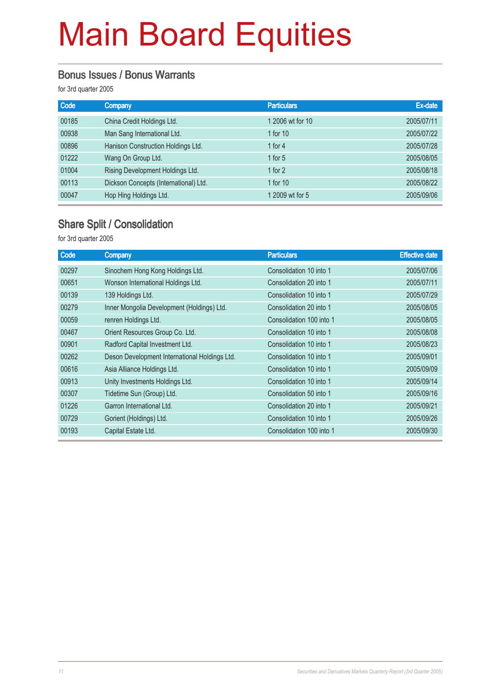#### Bonus Issues / Bonus Warrants

for 3rd quarter 2005

| Code  | <b>Company</b>                        | <b>Particulars</b> | Ex-date    |
|-------|---------------------------------------|--------------------|------------|
| 00185 | China Credit Holdings Ltd.            | 1 2006 wt for 10   | 2005/07/11 |
| 00938 | Man Sang International Ltd.           | 1 for 10           | 2005/07/22 |
| 00896 | Hanison Construction Holdings Ltd.    | 1 for $4$          | 2005/07/28 |
| 01222 | Wang On Group Ltd.                    | 1 for $5$          | 2005/08/05 |
| 01004 | Rising Development Holdings Ltd.      | 1 for $2$          | 2005/08/18 |
| 00113 | Dickson Concepts (International) Ltd. | 1 for $10$         | 2005/08/22 |
| 00047 | Hop Hing Holdings Ltd.                | 1 2009 wt for 5    | 2005/09/06 |

#### Share Split / Consolidation

for 3rd quarter 2005

| Company                                       | <b>Particulars</b>       | <b>Effective date</b> |
|-----------------------------------------------|--------------------------|-----------------------|
| Sinochem Hong Kong Holdings Ltd.              | Consolidation 10 into 1  | 2005/07/06            |
| Wonson International Holdings Ltd.            | Consolidation 20 into 1  | 2005/07/11            |
| 139 Holdings Ltd.                             | Consolidation 10 into 1  | 2005/07/29            |
| Inner Mongolia Development (Holdings) Ltd.    | Consolidation 20 into 1  | 2005/08/05            |
| renren Holdings Ltd.                          | Consolidation 100 into 1 | 2005/08/05            |
| Orient Resources Group Co. Ltd.               | Consolidation 10 into 1  | 2005/08/08            |
| Radford Capital Investment Ltd.               | Consolidation 10 into 1  | 2005/08/23            |
| Deson Development International Holdings Ltd. | Consolidation 10 into 1  | 2005/09/01            |
| Asia Alliance Holdings Ltd.                   | Consolidation 10 into 1  | 2005/09/09            |
| Unity Investments Holdings Ltd.               | Consolidation 10 into 1  | 2005/09/14            |
| Tidetime Sun (Group) Ltd.                     | Consolidation 50 into 1  | 2005/09/16            |
| Garron International Ltd.                     | Consolidation 20 into 1  | 2005/09/21            |
| Gorient (Holdings) Ltd.                       | Consolidation 10 into 1  | 2005/09/26            |
| Capital Estate Ltd.                           | Consolidation 100 into 1 | 2005/09/30            |
|                                               |                          |                       |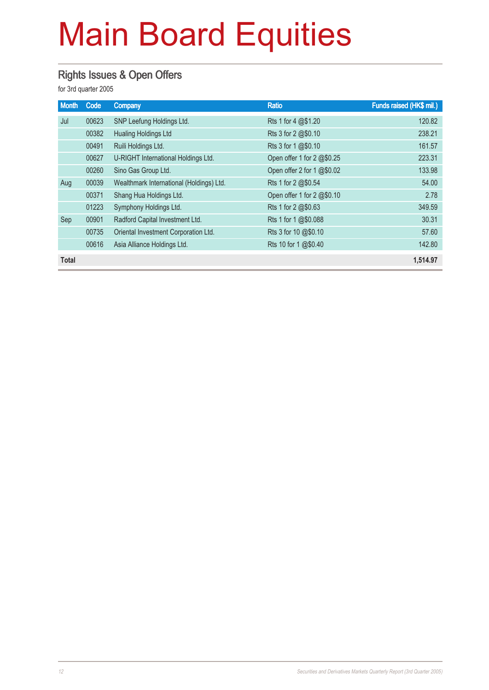#### Rights Issues & Open Offers

for 3rd quarter 2005

| <b>Month</b> | Code  | <b>Company</b>                           | <b>Ratio</b>               | Funds raised (HK\$ mil.) |
|--------------|-------|------------------------------------------|----------------------------|--------------------------|
| Jul          | 00623 | SNP Leefung Holdings Ltd.                | Rts 1 for 4 @\$1.20        | 120.82                   |
|              | 00382 | <b>Hualing Holdings Ltd</b>              | Rts 3 for 2 @\$0.10        | 238.21                   |
|              | 00491 | Ruili Holdings Ltd.                      | Rts 3 for 1 @\$0.10        | 161.57                   |
|              | 00627 | U-RIGHT International Holdings Ltd.      | Open offer 1 for 2 @\$0.25 | 223.31                   |
|              | 00260 | Sino Gas Group Ltd.                      | Open offer 2 for 1 @\$0.02 | 133.98                   |
| Aug          | 00039 | Wealthmark International (Holdings) Ltd. | Rts 1 for 2 @\$0.54        | 54.00                    |
|              | 00371 | Shang Hua Holdings Ltd.                  | Open offer 1 for 2 @\$0.10 | 2.78                     |
|              | 01223 | Symphony Holdings Ltd.                   | Rts 1 for 2 @\$0.63        | 349.59                   |
| Sep          | 00901 | Radford Capital Investment Ltd.          | Rts 1 for 1 @\$0.088       | 30.31                    |
|              | 00735 | Oriental Investment Corporation Ltd.     | Rts 3 for 10 @\$0.10       | 57.60                    |
|              | 00616 | Asia Alliance Holdings Ltd.              | Rts 10 for 1 @\$0.40       | 142.80                   |
| <b>Total</b> |       |                                          |                            | 1.514.97                 |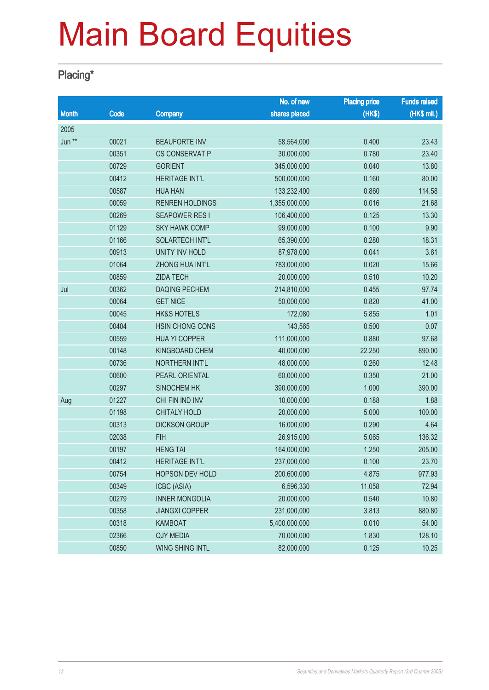#### Placing\*

|              |       |                        | No. of new    | <b>Placing price</b> | <b>Funds raised</b> |
|--------------|-------|------------------------|---------------|----------------------|---------------------|
| <b>Month</b> | Code  | <b>Company</b>         | shares placed | (HK\$)               | (HK\$ mil.)         |
| 2005         |       |                        |               |                      |                     |
| Jun **       | 00021 | <b>BEAUFORTE INV</b>   | 58,564,000    | 0.400                | 23.43               |
|              | 00351 | <b>CS CONSERVAT P</b>  | 30,000,000    | 0.780                | 23.40               |
|              | 00729 | <b>GORIENT</b>         | 345,000,000   | 0.040                | 13.80               |
|              | 00412 | <b>HERITAGE INT'L</b>  | 500,000,000   | 0.160                | 80.00               |
|              | 00587 | <b>HUA HAN</b>         | 133,232,400   | 0.860                | 114.58              |
|              | 00059 | <b>RENREN HOLDINGS</b> | 1,355,000,000 | 0.016                | 21.68               |
|              | 00269 | <b>SEAPOWER RESI</b>   | 106,400,000   | 0.125                | 13.30               |
|              | 01129 | <b>SKY HAWK COMP</b>   | 99,000,000    | 0.100                | 9.90                |
|              | 01166 | SOLARTECH INT'L        | 65,390,000    | 0.280                | 18.31               |
|              | 00913 | <b>UNITY INV HOLD</b>  | 87,978,000    | 0.041                | 3.61                |
|              | 01064 | ZHONG HUA INT'L        | 783,000,000   | 0.020                | 15.66               |
|              | 00859 | <b>ZIDA TECH</b>       | 20,000,000    | 0.510                | 10.20               |
| Jul          | 00362 | <b>DAQING PECHEM</b>   | 214,810,000   | 0.455                | 97.74               |
|              | 00064 | <b>GET NICE</b>        | 50,000,000    | 0.820                | 41.00               |
|              | 00045 | <b>HK&amp;S HOTELS</b> | 172,080       | 5.855                | 1.01                |
|              | 00404 | <b>HSIN CHONG CONS</b> | 143,565       | 0.500                | 0.07                |
|              | 00559 | <b>HUA YI COPPER</b>   | 111,000,000   | 0.880                | 97.68               |
|              | 00148 | KINGBOARD CHEM         | 40,000,000    | 22.250               | 890.00              |
|              | 00736 | <b>NORTHERN INT'L</b>  | 48,000,000    | 0.260                | 12.48               |
|              | 00600 | PEARL ORIENTAL         | 60,000,000    | 0.350                | 21.00               |
|              | 00297 | SINOCHEM HK            | 390,000,000   | 1.000                | 390.00              |
| Aug          | 01227 | CHI FIN IND INV        | 10,000,000    | 0.188                | 1.88                |
|              | 01198 | <b>CHITALY HOLD</b>    | 20,000,000    | 5.000                | 100.00              |
|              | 00313 | <b>DICKSON GROUP</b>   | 16,000,000    | 0.290                | 4.64                |
|              | 02038 | <b>FIH</b>             | 26,915,000    | 5.065                | 136.32              |
|              | 00197 | <b>HENG TAI</b>        | 164,000,000   | 1.250                | 205.00              |
|              | 00412 | <b>HERITAGE INT'L</b>  | 237,000,000   | 0.100                | 23.70               |
|              | 00754 | <b>HOPSON DEV HOLD</b> | 200,600,000   | 4.875                | 977.93              |
|              | 00349 | ICBC (ASIA)            | 6,596,330     | 11.058               | 72.94               |
|              | 00279 | <b>INNER MONGOLIA</b>  | 20,000,000    | 0.540                | 10.80               |
|              | 00358 | <b>JIANGXI COPPER</b>  | 231,000,000   | 3.813                | 880.80              |
|              | 00318 | <b>KAMBOAT</b>         | 5,400,000,000 | 0.010                | 54.00               |
|              | 02366 | <b>QJY MEDIA</b>       | 70,000,000    | 1.830                | 128.10              |
|              | 00850 | WING SHING INTL        | 82,000,000    | 0.125                | 10.25               |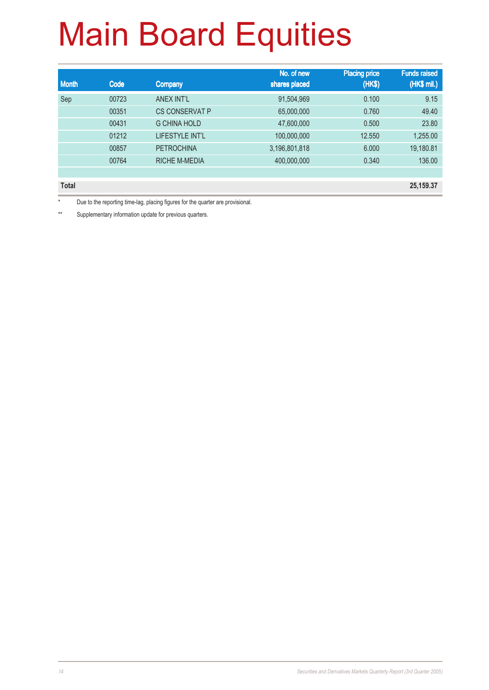| <b>Month</b> | Code  | <b>Company</b>         | No. of new<br>shares placed | <b>Placing price</b><br>(HK\$) | <b>Funds raised</b><br>(HK\$ mil.) |
|--------------|-------|------------------------|-----------------------------|--------------------------------|------------------------------------|
| Sep          | 00723 | ANEX INT'L             | 91,504,969                  | 0.100                          | 9.15                               |
|              | 00351 | <b>CS CONSERVAT P</b>  | 65,000,000                  | 0.760                          | 49.40                              |
|              | 00431 | <b>G CHINA HOLD</b>    | 47,600,000                  | 0.500                          | 23.80                              |
|              | 01212 | <b>LIFESTYLE INT'L</b> | 100,000,000                 | 12.550                         | 1,255.00                           |
|              | 00857 | <b>PETROCHINA</b>      | 3,196,801,818               | 6.000                          | 19,180.81                          |
|              | 00764 | <b>RICHE M-MEDIA</b>   | 400,000,000                 | 0.340                          | 136.00                             |
|              |       |                        |                             |                                |                                    |

**Total 25,159.37**

\* Due to the reporting time-lag, placing figures for the quarter are provisional.

\*\* Supplementary information update for previous quarters.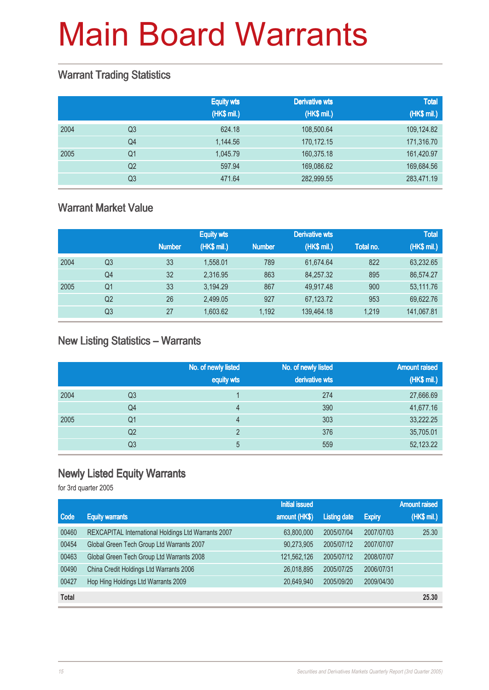#### Warrant Trading Statistics

|      |                | <b>Equity wts</b><br>(HK\$ mil.) | <b>Derivative wts</b><br>(HK\$ mil.) | <b>Total</b><br>(HK\$ mil.) |
|------|----------------|----------------------------------|--------------------------------------|-----------------------------|
| 2004 | Q <sub>3</sub> | 624.18                           | 108,500.64                           | 109,124.82                  |
|      | Q <sub>4</sub> | 1,144.56                         | 170,172.15                           | 171,316.70                  |
| 2005 | Q1             | 1.045.79                         | 160,375.18                           | 161,420.97                  |
|      | Q <sub>2</sub> | 597.94                           | 169,086.62                           | 169,684.56                  |
|      | Q <sub>3</sub> | 471.64                           | 282,999.55                           | 283,471.19                  |

#### Warrant Market Value

|      |                |               | <b>Equity wts</b> |               | <b>Derivative wts</b> |           | <b>Total</b> |
|------|----------------|---------------|-------------------|---------------|-----------------------|-----------|--------------|
|      |                | <b>Number</b> | (HK\$ mil.)       | <b>Number</b> | (HK\$ mil.)           | Total no. | (HK\$ mil.)  |
| 2004 | Q3             | 33            | 1.558.01          | 789           | 61.674.64             | 822       | 63,232.65    |
|      | Q <sub>4</sub> | 32            | 2.316.95          | 863           | 84.257.32             | 895       | 86,574.27    |
| 2005 | Q1             | 33            | 3.194.29          | 867           | 49.917.48             | 900       | 53,111.76    |
|      | Q <sub>2</sub> | 26            | 2,499.05          | 927           | 67,123.72             | 953       | 69,622.76    |
|      | Q3             | 27            | 1,603.62          | 1.192         | 139,464.18            | 1.219     | 141,067.81   |

#### New Listing Statistics – Warrants

|      |    | No. of newly listed<br>equity wts | No. of newly listed<br>derivative wts | <b>Amount raised</b><br>(HK\$ mil.) |
|------|----|-----------------------------------|---------------------------------------|-------------------------------------|
| 2004 | Q3 |                                   | 274                                   | 27,666.69                           |
|      | Q4 | 4                                 | 390                                   | 41,677.16                           |
| 2005 | Q1 | 4                                 | 303                                   | 33,222.25                           |
|      | Q2 | C                                 | 376                                   | 35,705.01                           |
|      | Q3 | 5                                 | 559                                   | 52,123.22                           |

### Newly Listed Equity Warrants

for 3rd quarter 2005

|              |                                                     | <b>Initial issued</b> |                     |               | <b>Amount raised</b> |
|--------------|-----------------------------------------------------|-----------------------|---------------------|---------------|----------------------|
| Code         | <b>Equity warrants</b>                              | amount (HK\$)         | <b>Listing date</b> | <b>Expiry</b> | (HK\$ mil.)          |
| 00460        | REXCAPITAL International Holdings Ltd Warrants 2007 | 63,800,000            | 2005/07/04          | 2007/07/03    | 25.30                |
| 00454        | Global Green Tech Group Ltd Warrants 2007           | 90,273,905            | 2005/07/12          | 2007/07/07    |                      |
| 00463        | Global Green Tech Group Ltd Warrants 2008           | 121,562,126           | 2005/07/12          | 2008/07/07    |                      |
| 00490        | China Credit Holdings Ltd Warrants 2006             | 26,018,895            | 2005/07/25          | 2006/07/31    |                      |
| 00427        | Hop Hing Holdings Ltd Warrants 2009                 | 20,649,940            | 2005/09/20          | 2009/04/30    |                      |
| <b>Total</b> |                                                     |                       |                     |               | 25.30                |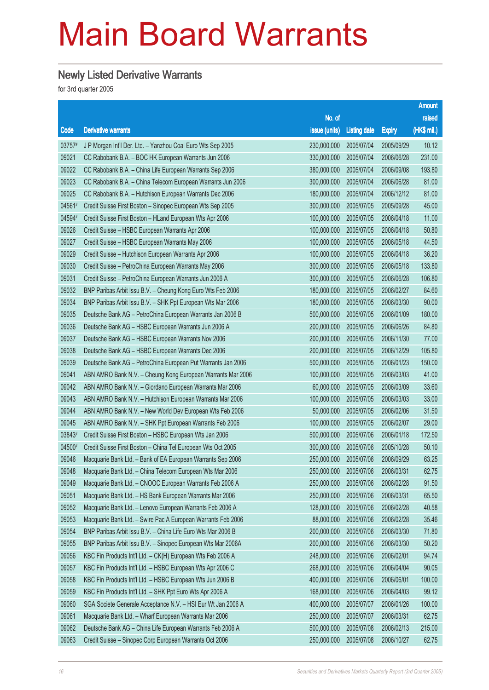#### Newly Listed Derivative Warrants

for 3rd quarter 2005

|        |                                                              |                        |                     |               | <b>Amount</b> |
|--------|--------------------------------------------------------------|------------------------|---------------------|---------------|---------------|
|        |                                                              | No. of                 |                     |               | raised        |
| Code   | <b>Derivative warrants</b>                                   | issue (units)          | <b>Listing date</b> | <b>Expiry</b> | (HK\$ mil.)   |
| 03757# | J P Morgan Int'l Der. Ltd. - Yanzhou Coal Euro Wts Sep 2005  | 230,000,000            | 2005/07/04          | 2005/09/29    | 10.12         |
| 09021  | CC Rabobank B.A. - BOC HK European Warrants Jun 2006         | 330,000,000            | 2005/07/04          | 2006/06/28    | 231.00        |
| 09022  | CC Rabobank B.A. - China Life European Warrants Sep 2006     | 380,000,000            | 2005/07/04          | 2006/09/08    | 193.80        |
| 09023  | CC Rabobank B.A. - China Telecom European Warrants Jun 2006  | 300,000,000            | 2005/07/04          | 2006/06/28    | 81.00         |
| 09025  | CC Rabobank B.A. - Hutchison European Warrants Dec 2006      | 180,000,000            | 2005/07/04          | 2006/12/12    | 81.00         |
| 04561# | Credit Suisse First Boston - Sinopec European Wts Sep 2005   | 300,000,000            | 2005/07/05          | 2005/09/28    | 45.00         |
| 04594# | Credit Suisse First Boston - HLand European Wts Apr 2006     | 100,000,000            | 2005/07/05          | 2006/04/18    | 11.00         |
| 09026  | Credit Suisse - HSBC European Warrants Apr 2006              | 100,000,000            | 2005/07/05          | 2006/04/18    | 50.80         |
| 09027  | Credit Suisse - HSBC European Warrants May 2006              | 100,000,000            | 2005/07/05          | 2006/05/18    | 44.50         |
| 09029  | Credit Suisse - Hutchison European Warrants Apr 2006         | 100,000,000            | 2005/07/05          | 2006/04/18    | 36.20         |
| 09030  | Credit Suisse - PetroChina European Warrants May 2006        | 300,000,000            | 2005/07/05          | 2006/05/18    | 133.80        |
| 09031  | Credit Suisse - PetroChina European Warrants Jun 2006 A      | 300,000,000            | 2005/07/05          | 2006/06/28    | 106.80        |
| 09032  | BNP Paribas Arbit Issu B.V. - Cheung Kong Euro Wts Feb 2006  | 180,000,000            | 2005/07/05          | 2006/02/27    | 84.60         |
| 09034  | BNP Paribas Arbit Issu B.V. - SHK Ppt European Wts Mar 2006  | 180,000,000            | 2005/07/05          | 2006/03/30    | 90.00         |
| 09035  | Deutsche Bank AG - PetroChina European Warrants Jan 2006 B   | 500,000,000            | 2005/07/05          | 2006/01/09    | 180.00        |
| 09036  | Deutsche Bank AG - HSBC European Warrants Jun 2006 A         | 200,000,000            | 2005/07/05          | 2006/06/26    | 84.80         |
| 09037  | Deutsche Bank AG - HSBC European Warrants Nov 2006           | 200,000,000            | 2005/07/05          | 2006/11/30    | 77.00         |
| 09038  | Deutsche Bank AG - HSBC European Warrants Dec 2006           | 200,000,000            | 2005/07/05          | 2006/12/29    | 105.80        |
| 09039  | Deutsche Bank AG - PetroChina European Put Warrants Jan 2006 | 500,000,000            | 2005/07/05          | 2006/01/23    | 150.00        |
| 09041  | ABN AMRO Bank N.V. - Cheung Kong European Warrants Mar 2006  | 100,000,000            | 2005/07/05          | 2006/03/03    | 41.00         |
| 09042  | ABN AMRO Bank N.V. - Giordano European Warrants Mar 2006     | 60,000,000             | 2005/07/05          | 2006/03/09    | 33.60         |
| 09043  | ABN AMRO Bank N.V. - Hutchison European Warrants Mar 2006    | 100,000,000            | 2005/07/05          | 2006/03/03    | 33.00         |
| 09044  | ABN AMRO Bank N.V. - New World Dev European Wts Feb 2006     | 50,000,000             | 2005/07/05          | 2006/02/06    | 31.50         |
| 09045  | ABN AMRO Bank N.V. - SHK Ppt European Warrants Feb 2006      | 100,000,000            | 2005/07/05          | 2006/02/07    | 29.00         |
| 03843# | Credit Suisse First Boston - HSBC European Wts Jan 2006      | 500,000,000            | 2005/07/06          | 2006/01/18    | 172.50        |
| 04500# | Credit Suisse First Boston - China Tel European Wts Oct 2005 | 300,000,000            | 2005/07/06          | 2005/10/28    | 50.10         |
| 09046  | Macquarie Bank Ltd. - Bank of EA European Warrants Sep 2006  | 250,000,000            | 2005/07/06          | 2006/09/29    | 63.25         |
| 09048  | Macquarie Bank Ltd. - China Telecom European Wts Mar 2006    | 250,000,000 2005/07/06 |                     | 2006/03/31    | 62.75         |
| 09049  | Macquarie Bank Ltd. - CNOOC European Warrants Feb 2006 A     | 250,000,000            | 2005/07/06          | 2006/02/28    | 91.50         |
| 09051  | Macquarie Bank Ltd. - HS Bank European Warrants Mar 2006     | 250,000,000            | 2005/07/06          | 2006/03/31    | 65.50         |
| 09052  | Macquarie Bank Ltd. - Lenovo European Warrants Feb 2006 A    | 128,000,000            | 2005/07/06          | 2006/02/28    | 40.58         |
| 09053  | Macquarie Bank Ltd. - Swire Pac A European Warrants Feb 2006 | 88,000,000             | 2005/07/06          | 2006/02/28    | 35.46         |
| 09054  | BNP Paribas Arbit Issu B.V. - China Life Euro Wts Mar 2006 B | 200,000,000            | 2005/07/06          | 2006/03/30    | 71.80         |
| 09055  | BNP Paribas Arbit Issu B.V. - Sinopec European Wts Mar 2006A | 200,000,000            | 2005/07/06          | 2006/03/30    | 50.20         |
| 09056  | KBC Fin Products Int'l Ltd. - CK(H) European Wts Feb 2006 A  | 248,000,000            | 2005/07/06          | 2006/02/01    | 94.74         |
| 09057  | KBC Fin Products Int'l Ltd. - HSBC European Wts Apr 2006 C   | 268,000,000            | 2005/07/06          | 2006/04/04    | 90.05         |
| 09058  | KBC Fin Products Int'l Ltd. - HSBC European Wts Jun 2006 B   | 400,000,000            | 2005/07/06          | 2006/06/01    | 100.00        |
| 09059  | KBC Fin Products Int'l Ltd. - SHK Ppt Euro Wts Apr 2006 A    | 168,000,000            | 2005/07/06          | 2006/04/03    | 99.12         |
| 09060  | SGA Societe Generale Acceptance N.V. - HSI Eur Wt Jan 2006 A | 400,000,000            | 2005/07/07          | 2006/01/26    | 100.00        |
| 09061  | Macquarie Bank Ltd. - Wharf European Warrants Mar 2006       | 250,000,000            | 2005/07/07          | 2006/03/31    | 62.75         |
| 09062  | Deutsche Bank AG - China Life European Warrants Feb 2006 A   | 500,000,000            | 2005/07/08          | 2006/02/13    | 215.00        |
| 09063  | Credit Suisse - Sinopec Corp European Warrants Oct 2006      | 250,000,000            | 2005/07/08          | 2006/10/27    | 62.75         |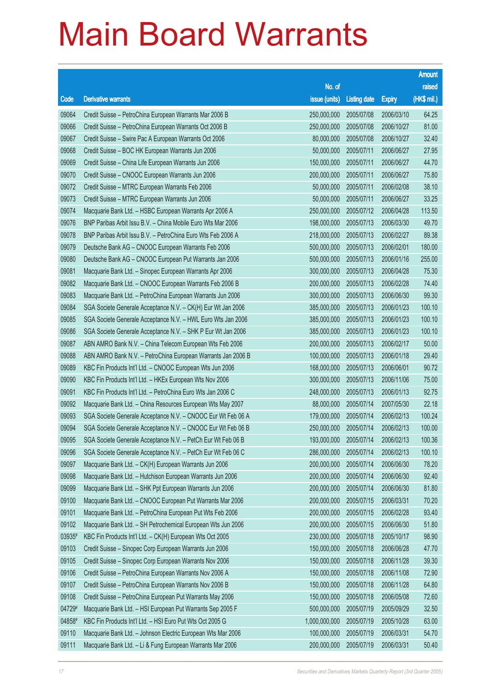|        |                                                              |               |                     |               | <b>Amount</b> |
|--------|--------------------------------------------------------------|---------------|---------------------|---------------|---------------|
|        |                                                              | No. of        |                     |               | raised        |
| Code   | <b>Derivative warrants</b>                                   | issue (units) | <b>Listing date</b> | <b>Expiry</b> | (HK\$ mil.)   |
| 09064  | Credit Suisse - PetroChina European Warrants Mar 2006 B      | 250,000,000   | 2005/07/08          | 2006/03/10    | 64.25         |
| 09066  | Credit Suisse – PetroChina European Warrants Oct 2006 B      | 250,000,000   | 2005/07/08          | 2006/10/27    | 81.00         |
| 09067  | Credit Suisse - Swire Pac A European Warrants Oct 2006       | 80,000,000    | 2005/07/08          | 2006/10/27    | 32.40         |
| 09068  | Credit Suisse - BOC HK European Warrants Jun 2006            | 50,000,000    | 2005/07/11          | 2006/06/27    | 27.95         |
| 09069  | Credit Suisse - China Life European Warrants Jun 2006        | 150,000,000   | 2005/07/11          | 2006/06/27    | 44.70         |
| 09070  | Credit Suisse - CNOOC European Warrants Jun 2006             | 200,000,000   | 2005/07/11          | 2006/06/27    | 75.80         |
| 09072  | Credit Suisse - MTRC European Warrants Feb 2006              | 50,000,000    | 2005/07/11          | 2006/02/08    | 38.10         |
| 09073  | Credit Suisse - MTRC European Warrants Jun 2006              | 50,000,000    | 2005/07/11          | 2006/06/27    | 33.25         |
| 09074  | Macquarie Bank Ltd. - HSBC European Warrants Apr 2006 A      | 250,000,000   | 2005/07/12          | 2006/04/28    | 113.50        |
| 09076  | BNP Paribas Arbit Issu B.V. - China Mobile Euro Wts Mar 2006 | 198,000,000   | 2005/07/13          | 2006/03/30    | 49.70         |
| 09078  | BNP Paribas Arbit Issu B.V. - PetroChina Euro Wts Feb 2006 A | 218,000,000   | 2005/07/13          | 2006/02/27    | 89.38         |
| 09079  | Deutsche Bank AG - CNOOC European Warrants Feb 2006          | 500,000,000   | 2005/07/13          | 2006/02/01    | 180.00        |
| 09080  | Deutsche Bank AG - CNOOC European Put Warrants Jan 2006      | 500,000,000   | 2005/07/13          | 2006/01/16    | 255.00        |
| 09081  | Macquarie Bank Ltd. - Sinopec European Warrants Apr 2006     | 300,000,000   | 2005/07/13          | 2006/04/28    | 75.30         |
| 09082  | Macquarie Bank Ltd. - CNOOC European Warrants Feb 2006 B     | 200,000,000   | 2005/07/13          | 2006/02/28    | 74.40         |
| 09083  | Macquarie Bank Ltd. - PetroChina European Warrants Jun 2006  | 300,000,000   | 2005/07/13          | 2006/06/30    | 99.30         |
| 09084  | SGA Societe Generale Acceptance N.V. - CK(H) Eur Wt Jan 2006 | 385,000,000   | 2005/07/13          | 2006/01/23    | 100.10        |
| 09085  | SGA Societe Generale Acceptance N.V. - HWL Euro Wts Jan 2006 | 385,000,000   | 2005/07/13          | 2006/01/23    | 100.10        |
| 09086  | SGA Societe Generale Acceptance N.V. - SHK P Eur Wt Jan 2006 | 385,000,000   | 2005/07/13          | 2006/01/23    | 100.10        |
| 09087  | ABN AMRO Bank N.V. - China Telecom European Wts Feb 2006     | 200,000,000   | 2005/07/13          | 2006/02/17    | 50.00         |
| 09088  | ABN AMRO Bank N.V. - PetroChina European Warrants Jan 2006 B | 100,000,000   | 2005/07/13          | 2006/01/18    | 29.40         |
| 09089  | KBC Fin Products Int'l Ltd. - CNOOC European Wts Jun 2006    | 168,000,000   | 2005/07/13          | 2006/06/01    | 90.72         |
| 09090  | KBC Fin Products Int'l Ltd. - HKEx European Wts Nov 2006     | 300,000,000   | 2005/07/13          | 2006/11/06    | 75.00         |
| 09091  | KBC Fin Products Int'l Ltd. - PetroChina Euro Wts Jan 2006 C | 248,000,000   | 2005/07/13          | 2006/01/13    | 92.75         |
| 09092  | Macquarie Bank Ltd. - China Resources European Wts May 2007  | 88,000,000    | 2005/07/14          | 2007/05/30    | 22.18         |
| 09093  | SGA Societe Generale Acceptance N.V. - CNOOC Eur Wt Feb 06 A | 179,000,000   | 2005/07/14          | 2006/02/13    | 100.24        |
| 09094  | SGA Societe Generale Acceptance N.V. - CNOOC Eur Wt Feb 06 B | 250,000,000   | 2005/07/14          | 2006/02/13    | 100.00        |
| 09095  | SGA Societe Generale Acceptance N.V. - PetCh Eur Wt Feb 06 B | 193,000,000   | 2005/07/14          | 2006/02/13    | 100.36        |
| 09096  | SGA Societe Generale Acceptance N.V. - PetCh Eur Wt Feb 06 C | 286,000,000   | 2005/07/14          | 2006/02/13    | 100.10        |
| 09097  | Macquarie Bank Ltd. - CK(H) European Warrants Jun 2006       | 200,000,000   | 2005/07/14          | 2006/06/30    | 78.20         |
| 09098  | Macquarie Bank Ltd. - Hutchison European Warrants Jun 2006   | 200,000,000   | 2005/07/14          | 2006/06/30    | 92.40         |
| 09099  | Macquarie Bank Ltd. - SHK Ppt European Warrants Jun 2006     | 200,000,000   | 2005/07/14          | 2006/06/30    | 81.80         |
| 09100  | Macquarie Bank Ltd. - CNOOC European Put Warrants Mar 2006   | 200,000,000   | 2005/07/15          | 2006/03/31    | 70.20         |
| 09101  | Macquarie Bank Ltd. - PetroChina European Put Wts Feb 2006   | 200,000,000   | 2005/07/15          | 2006/02/28    | 93.40         |
| 09102  | Macquarie Bank Ltd. - SH Petrochemical European Wts Jun 2006 | 200,000,000   | 2005/07/15          | 2006/06/30    | 51.80         |
| 03935# | KBC Fin Products Int'l Ltd. - CK(H) European Wts Oct 2005    | 230,000,000   | 2005/07/18          | 2005/10/17    | 98.90         |
| 09103  | Credit Suisse - Sinopec Corp European Warrants Jun 2006      | 150,000,000   | 2005/07/18          | 2006/06/28    | 47.70         |
| 09105  | Credit Suisse - Sinopec Corp European Warrants Nov 2006      | 150,000,000   | 2005/07/18          | 2006/11/28    | 39.30         |
| 09106  | Credit Suisse - PetroChina European Warrants Nov 2006 A      | 150,000,000   | 2005/07/18          | 2006/11/08    | 72.90         |
| 09107  | Credit Suisse - PetroChina European Warrants Nov 2006 B      | 150,000,000   | 2005/07/18          | 2006/11/28    | 64.80         |
| 09108  | Credit Suisse - PetroChina European Put Warrants May 2006    | 150,000,000   | 2005/07/18          | 2006/05/08    | 72.60         |
| 04729# | Macquarie Bank Ltd. - HSI European Put Warrants Sep 2005 F   | 500,000,000   | 2005/07/19          | 2005/09/29    | 32.50         |
| 04858# | KBC Fin Products Int'l Ltd. - HSI Euro Put Wts Oct 2005 G    | 1,000,000,000 | 2005/07/19          | 2005/10/28    | 63.00         |
| 09110  | Macquarie Bank Ltd. - Johnson Electric European Wts Mar 2006 | 100,000,000   | 2005/07/19          | 2006/03/31    | 54.70         |
| 09111  | Macquarie Bank Ltd. - Li & Fung European Warrants Mar 2006   | 200,000,000   | 2005/07/19          | 2006/03/31    | 50.40         |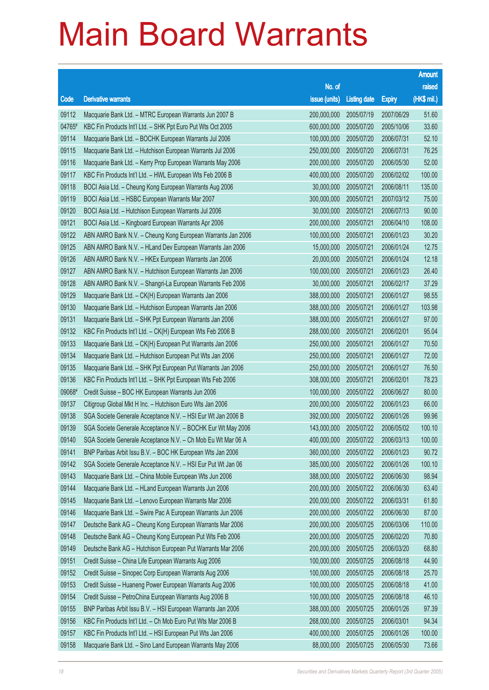|        |                                                              |               |                     |               | <b>Amount</b> |
|--------|--------------------------------------------------------------|---------------|---------------------|---------------|---------------|
|        |                                                              | No. of        |                     |               | raised        |
| Code   | <b>Derivative warrants</b>                                   | issue (units) | <b>Listing date</b> | <b>Expiry</b> | (HK\$ mil.)   |
| 09112  | Macquarie Bank Ltd. - MTRC European Warrants Jun 2007 B      | 200,000,000   | 2005/07/19          | 2007/06/29    | 51.60         |
| 04765# | KBC Fin Products Int'l Ltd. - SHK Ppt Euro Put Wts Oct 2005  | 600,000,000   | 2005/07/20          | 2005/10/06    | 33.60         |
| 09114  | Macquarie Bank Ltd. - BOCHK European Warrants Jul 2006       | 100,000,000   | 2005/07/20          | 2006/07/31    | 52.10         |
| 09115  | Macquarie Bank Ltd. - Hutchison European Warrants Jul 2006   | 250,000,000   | 2005/07/20          | 2006/07/31    | 76.25         |
| 09116  | Macquarie Bank Ltd. - Kerry Prop European Warrants May 2006  | 200,000,000   | 2005/07/20          | 2006/05/30    | 52.00         |
| 09117  | KBC Fin Products Int'l Ltd. - HWL European Wts Feb 2006 B    | 400,000,000   | 2005/07/20          | 2006/02/02    | 100.00        |
| 09118  | BOCI Asia Ltd. - Cheung Kong European Warrants Aug 2006      | 30,000,000    | 2005/07/21          | 2006/08/11    | 135.00        |
| 09119  | BOCI Asia Ltd. - HSBC European Warrants Mar 2007             | 300,000,000   | 2005/07/21          | 2007/03/12    | 75.00         |
| 09120  | BOCI Asia Ltd. - Hutchison European Warrants Jul 2006        | 30,000,000    | 2005/07/21          | 2006/07/13    | 90.00         |
| 09121  | BOCI Asia Ltd. - Kingboard European Warrants Apr 2006        | 200,000,000   | 2005/07/21          | 2006/04/10    | 108.00        |
| 09122  | ABN AMRO Bank N.V. - Cheung Kong European Warrants Jan 2006  | 100,000,000   | 2005/07/21          | 2006/01/23    | 30.20         |
| 09125  | ABN AMRO Bank N.V. - HLand Dev European Warrants Jan 2006    | 15,000,000    | 2005/07/21          | 2006/01/24    | 12.75         |
| 09126  | ABN AMRO Bank N.V. - HKEx European Warrants Jan 2006         | 20,000,000    | 2005/07/21          | 2006/01/24    | 12.18         |
| 09127  | ABN AMRO Bank N.V. - Hutchison European Warrants Jan 2006    | 100,000,000   | 2005/07/21          | 2006/01/23    | 26.40         |
| 09128  | ABN AMRO Bank N.V. - Shangri-La European Warrants Feb 2006   | 30,000,000    | 2005/07/21          | 2006/02/17    | 37.29         |
| 09129  | Macquarie Bank Ltd. - CK(H) European Warrants Jan 2006       | 388,000,000   | 2005/07/21          | 2006/01/27    | 98.55         |
| 09130  | Macquarie Bank Ltd. - Hutchison European Warrants Jan 2006   | 388,000,000   | 2005/07/21          | 2006/01/27    | 103.98        |
| 09131  | Macquarie Bank Ltd. - SHK Ppt European Warrants Jan 2006     | 388,000,000   | 2005/07/21          | 2006/01/27    | 97.00         |
| 09132  | KBC Fin Products Int'l Ltd. - CK(H) European Wts Feb 2006 B  | 288,000,000   | 2005/07/21          | 2006/02/01    | 95.04         |
| 09133  | Macquarie Bank Ltd. - CK(H) European Put Warrants Jan 2006   | 250,000,000   | 2005/07/21          | 2006/01/27    | 70.50         |
| 09134  | Macquarie Bank Ltd. - Hutchison European Put Wts Jan 2006    | 250,000,000   | 2005/07/21          | 2006/01/27    | 72.00         |
| 09135  | Macquarie Bank Ltd. - SHK Ppt European Put Warrants Jan 2006 | 250,000,000   | 2005/07/21          | 2006/01/27    | 76.50         |
| 09136  | KBC Fin Products Int'l Ltd. - SHK Ppt European Wts Feb 2006  | 308,000,000   | 2005/07/21          | 2006/02/01    | 78.23         |
| 09068# | Credit Suisse - BOC HK European Warrants Jun 2006            | 100,000,000   | 2005/07/22          | 2006/06/27    | 80.00         |
| 09137  | Citigroup Global Mkt H Inc. - Hutchison Euro Wts Jan 2006    | 200,000,000   | 2005/07/22          | 2006/01/23    | 66.00         |
| 09138  | SGA Societe Generale Acceptance N.V. - HSI Eur Wt Jan 2006 B | 392,000,000   | 2005/07/22          | 2006/01/26    | 99.96         |
| 09139  | SGA Societe Generale Acceptance N.V. - BOCHK Eur Wt May 2006 | 143,000,000   | 2005/07/22          | 2006/05/02    | 100.10        |
| 09140  | SGA Societe Generale Acceptance N.V. - Ch Mob Eu Wt Mar 06 A | 400,000,000   | 2005/07/22          | 2006/03/13    | 100.00        |
| 09141  | BNP Paribas Arbit Issu B.V. - BOC HK European Wts Jan 2006   | 360,000,000   | 2005/07/22          | 2006/01/23    | 90.72         |
| 09142  | SGA Societe Generale Acceptance N.V. - HSI Eur Put Wt Jan 06 | 385,000,000   | 2005/07/22          | 2006/01/26    | 100.10        |
| 09143  | Macquarie Bank Ltd. - China Mobile European Wts Jun 2006     | 388,000,000   | 2005/07/22          | 2006/06/30    | 98.94         |
| 09144  | Macquarie Bank Ltd. - HLand European Warrants Jun 2006       | 200,000,000   | 2005/07/22          | 2006/06/30    | 63.40         |
| 09145  | Macquarie Bank Ltd. - Lenovo European Warrants Mar 2006      | 200,000,000   | 2005/07/22          | 2006/03/31    | 61.80         |
| 09146  | Macquarie Bank Ltd. - Swire Pac A European Warrants Jun 2006 | 200,000,000   | 2005/07/22          | 2006/06/30    | 87.00         |
| 09147  | Deutsche Bank AG - Cheung Kong European Warrants Mar 2006    | 200,000,000   | 2005/07/25          | 2006/03/06    | 110.00        |
| 09148  | Deutsche Bank AG - Cheung Kong European Put Wts Feb 2006     | 200,000,000   | 2005/07/25          | 2006/02/20    | 70.80         |
| 09149  | Deutsche Bank AG - Hutchison European Put Warrants Mar 2006  | 200,000,000   | 2005/07/25          | 2006/03/20    | 68.80         |
| 09151  | Credit Suisse - China Life European Warrants Aug 2006        | 100,000,000   | 2005/07/25          | 2006/08/18    | 44.90         |
| 09152  | Credit Suisse - Sinopec Corp European Warrants Aug 2006      | 100,000,000   | 2005/07/25          | 2006/08/18    | 25.70         |
| 09153  | Credit Suisse - Huaneng Power European Warrants Aug 2006     | 100,000,000   | 2005/07/25          | 2006/08/18    | 41.00         |
| 09154  | Credit Suisse - PetroChina European Warrants Aug 2006 B      | 100,000,000   | 2005/07/25          | 2006/08/18    | 46.10         |
| 09155  | BNP Paribas Arbit Issu B.V. - HSI European Warrants Jan 2006 | 388,000,000   | 2005/07/25          | 2006/01/26    | 97.39         |
| 09156  | KBC Fin Products Int'l Ltd. - Ch Mob Euro Put Wts Mar 2006 B | 268,000,000   | 2005/07/25          | 2006/03/01    | 94.34         |
| 09157  | KBC Fin Products Int'l Ltd. - HSI European Put Wts Jan 2006  | 400,000,000   | 2005/07/25          | 2006/01/26    | 100.00        |
| 09158  | Macquarie Bank Ltd. - Sino Land European Warrants May 2006   | 88,000,000    | 2005/07/25          | 2006/05/30    | 73.66         |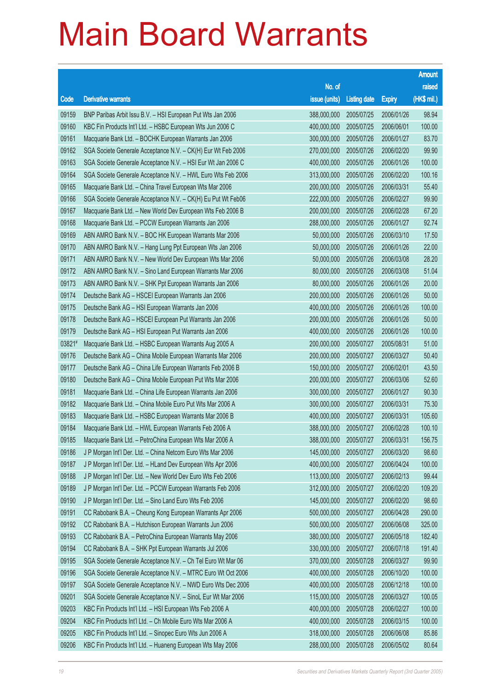|        |                                                              |               |                     |               | <b>Amount</b> |
|--------|--------------------------------------------------------------|---------------|---------------------|---------------|---------------|
|        |                                                              | No. of        |                     |               | raised        |
| Code   | <b>Derivative warrants</b>                                   | issue (units) | <b>Listing date</b> | <b>Expiry</b> | (HK\$ mil.)   |
| 09159  | BNP Paribas Arbit Issu B.V. - HSI European Put Wts Jan 2006  | 388,000,000   | 2005/07/25          | 2006/01/26    | 98.94         |
| 09160  | KBC Fin Products Int'l Ltd. - HSBC European Wts Jun 2006 C   | 400,000,000   | 2005/07/25          | 2006/06/01    | 100.00        |
| 09161  | Macquarie Bank Ltd. - BOCHK European Warrants Jan 2006       | 300,000,000   | 2005/07/26          | 2006/01/27    | 83.70         |
| 09162  | SGA Societe Generale Acceptance N.V. - CK(H) Eur Wt Feb 2006 | 270,000,000   | 2005/07/26          | 2006/02/20    | 99.90         |
| 09163  | SGA Societe Generale Acceptance N.V. - HSI Eur Wt Jan 2006 C | 400,000,000   | 2005/07/26          | 2006/01/26    | 100.00        |
| 09164  | SGA Societe Generale Acceptance N.V. - HWL Euro Wts Feb 2006 | 313,000,000   | 2005/07/26          | 2006/02/20    | 100.16        |
| 09165  | Macquarie Bank Ltd. - China Travel European Wts Mar 2006     | 200,000,000   | 2005/07/26          | 2006/03/31    | 55.40         |
| 09166  | SGA Societe Generale Acceptance N.V. - CK(H) Eu Put Wt Feb06 | 222,000,000   | 2005/07/26          | 2006/02/27    | 99.90         |
| 09167  | Macquarie Bank Ltd. - New World Dev European Wts Feb 2006 B  | 200,000,000   | 2005/07/26          | 2006/02/28    | 67.20         |
| 09168  | Macquarie Bank Ltd. - PCCW European Warrants Jan 2006        | 288,000,000   | 2005/07/26          | 2006/01/27    | 92.74         |
| 09169  | ABN AMRO Bank N.V. - BOC HK European Warrants Mar 2006       | 50,000,000    | 2005/07/26          | 2006/03/10    | 17.50         |
| 09170  | ABN AMRO Bank N.V. - Hang Lung Ppt European Wts Jan 2006     | 50,000,000    | 2005/07/26          | 2006/01/26    | 22.00         |
| 09171  | ABN AMRO Bank N.V. - New World Dev European Wts Mar 2006     | 50,000,000    | 2005/07/26          | 2006/03/08    | 28.20         |
| 09172  | ABN AMRO Bank N.V. - Sino Land European Warrants Mar 2006    | 80,000,000    | 2005/07/26          | 2006/03/08    | 51.04         |
| 09173  | ABN AMRO Bank N.V. - SHK Ppt European Warrants Jan 2006      | 80,000,000    | 2005/07/26          | 2006/01/26    | 20.00         |
| 09174  | Deutsche Bank AG - HSCEI European Warrants Jan 2006          | 200,000,000   | 2005/07/26          | 2006/01/26    | 50.00         |
| 09175  | Deutsche Bank AG - HSI European Warrants Jan 2006            | 400,000,000   | 2005/07/26          | 2006/01/26    | 100.00        |
| 09178  | Deutsche Bank AG - HSCEI European Put Warrants Jan 2006      | 200,000,000   | 2005/07/26          | 2006/01/26    | 50.00         |
| 09179  | Deutsche Bank AG - HSI European Put Warrants Jan 2006        | 400,000,000   | 2005/07/26          | 2006/01/26    | 100.00        |
| 03821# | Macquarie Bank Ltd. - HSBC European Warrants Aug 2005 A      | 200,000,000   | 2005/07/27          | 2005/08/31    | 51.00         |
| 09176  | Deutsche Bank AG - China Mobile European Warrants Mar 2006   | 200,000,000   | 2005/07/27          | 2006/03/27    | 50.40         |
| 09177  | Deutsche Bank AG - China Life European Warrants Feb 2006 B   | 150,000,000   | 2005/07/27          | 2006/02/01    | 43.50         |
| 09180  | Deutsche Bank AG - China Mobile European Put Wts Mar 2006    | 200,000,000   | 2005/07/27          | 2006/03/06    | 52.60         |
| 09181  | Macquarie Bank Ltd. - China Life European Warrants Jan 2006  | 300,000,000   | 2005/07/27          | 2006/01/27    | 90.30         |
| 09182  | Macquarie Bank Ltd. - China Mobile Euro Put Wts Mar 2006 A   | 300,000,000   | 2005/07/27          | 2006/03/31    | 75.30         |
| 09183  | Macquarie Bank Ltd. - HSBC European Warrants Mar 2006 B      | 400,000,000   | 2005/07/27          | 2006/03/31    | 105.60        |
| 09184  | Macquarie Bank Ltd. - HWL European Warrants Feb 2006 A       | 388,000,000   | 2005/07/27          | 2006/02/28    | 100.10        |
| 09185  | Macquarie Bank Ltd. - PetroChina European Wts Mar 2006 A     | 388,000,000   | 2005/07/27          | 2006/03/31    | 156.75        |
| 09186  | J P Morgan Int'l Der. Ltd. - China Netcom Euro Wts Mar 2006  | 145,000,000   | 2005/07/27          | 2006/03/20    | 98.60         |
| 09187  | J P Morgan Int'l Der. Ltd. - HLand Dev European Wts Apr 2006 | 400,000,000   | 2005/07/27          | 2006/04/24    | 100.00        |
| 09188  | J P Morgan Int'l Der. Ltd. - New World Dev Euro Wts Feb 2006 | 113,000,000   | 2005/07/27          | 2006/02/13    | 99.44         |
| 09189  | J P Morgan Int'l Der. Ltd. - PCCW European Warrants Feb 2006 | 312,000,000   | 2005/07/27          | 2006/02/20    | 109.20        |
| 09190  | J P Morgan Int'l Der. Ltd. - Sino Land Euro Wts Feb 2006     | 145,000,000   | 2005/07/27          | 2006/02/20    | 98.60         |
| 09191  | CC Rabobank B.A. - Cheung Kong European Warrants Apr 2006    | 500,000,000   | 2005/07/27          | 2006/04/28    | 290.00        |
| 09192  | CC Rabobank B.A. - Hutchison European Warrants Jun 2006      | 500,000,000   | 2005/07/27          | 2006/06/08    | 325.00        |
| 09193  | CC Rabobank B.A. - PetroChina European Warrants May 2006     | 380,000,000   | 2005/07/27          | 2006/05/18    | 182.40        |
| 09194  | CC Rabobank B.A. - SHK Ppt European Warrants Jul 2006        | 330,000,000   | 2005/07/27          | 2006/07/18    | 191.40        |
| 09195  | SGA Societe Generale Acceptance N.V. - Ch Tel Euro Wt Mar 06 | 370,000,000   | 2005/07/28          | 2006/03/27    | 99.90         |
| 09196  | SGA Societe Generale Acceptance N.V. - MTRC Euro Wt Oct 2006 | 400,000,000   | 2005/07/28          | 2006/10/20    | 100.00        |
| 09197  | SGA Societe Generale Acceptance N.V. - NWD Euro Wts Dec 2006 | 400,000,000   | 2005/07/28          | 2006/12/18    | 100.00        |
| 09201  | SGA Societe Generale Acceptance N.V. - SinoL Eur Wt Mar 2006 | 115,000,000   | 2005/07/28          | 2006/03/27    | 100.05        |
| 09203  | KBC Fin Products Int'l Ltd. - HSI European Wts Feb 2006 A    | 400,000,000   | 2005/07/28          | 2006/02/27    | 100.00        |
| 09204  | KBC Fin Products Int'l Ltd. - Ch Mobile Euro Wts Mar 2006 A  | 400,000,000   | 2005/07/28          | 2006/03/15    | 100.00        |
| 09205  | KBC Fin Products Int'l Ltd. - Sinopec Euro Wts Jun 2006 A    | 318,000,000   | 2005/07/28          | 2006/06/08    | 85.86         |
| 09206  | KBC Fin Products Int'l Ltd. - Huaneng European Wts May 2006  | 288,000,000   | 2005/07/28          | 2006/05/02    | 80.64         |
|        |                                                              |               |                     |               |               |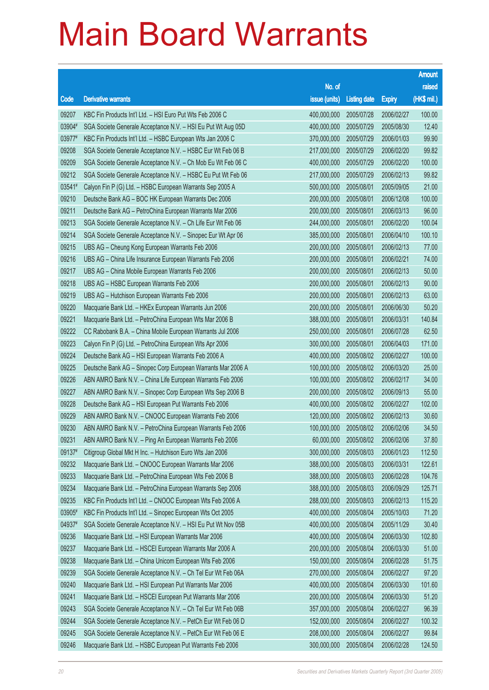|        |                                                              |               |                     |               | <b>Amount</b> |
|--------|--------------------------------------------------------------|---------------|---------------------|---------------|---------------|
|        |                                                              | No. of        |                     |               | raised        |
| Code   | <b>Derivative warrants</b>                                   | issue (units) | <b>Listing date</b> | <b>Expiry</b> | (HK\$ mil.)   |
| 09207  | KBC Fin Products Int'l Ltd. - HSI Euro Put Wts Feb 2006 C    | 400,000,000   | 2005/07/28          | 2006/02/27    | 100.00        |
| 03904# | SGA Societe Generale Acceptance N.V. - HSI Eu Put Wt Aug 05D | 400,000,000   | 2005/07/29          | 2005/08/30    | 12.40         |
| 03977# | KBC Fin Products Int'l Ltd. - HSBC European Wts Jan 2006 C   | 370,000,000   | 2005/07/29          | 2006/01/03    | 99.90         |
| 09208  | SGA Societe Generale Acceptance N.V. - HSBC Eur Wt Feb 06 B  | 217,000,000   | 2005/07/29          | 2006/02/20    | 99.82         |
| 09209  | SGA Societe Generale Acceptance N.V. - Ch Mob Eu Wt Feb 06 C | 400,000,000   | 2005/07/29          | 2006/02/20    | 100.00        |
| 09212  | SGA Societe Generale Acceptance N.V. - HSBC Eu Put Wt Feb 06 | 217,000,000   | 2005/07/29          | 2006/02/13    | 99.82         |
| 03541# | Calyon Fin P (G) Ltd. - HSBC European Warrants Sep 2005 A    | 500,000,000   | 2005/08/01          | 2005/09/05    | 21.00         |
| 09210  | Deutsche Bank AG - BOC HK European Warrants Dec 2006         | 200,000,000   | 2005/08/01          | 2006/12/08    | 100.00        |
| 09211  | Deutsche Bank AG - PetroChina European Warrants Mar 2006     | 200,000,000   | 2005/08/01          | 2006/03/13    | 96.00         |
| 09213  | SGA Societe Generale Acceptance N.V. - Ch Life Eur Wt Feb 06 | 244,000,000   | 2005/08/01          | 2006/02/20    | 100.04        |
| 09214  | SGA Societe Generale Acceptance N.V. - Sinopec Eur Wt Apr 06 | 385,000,000   | 2005/08/01          | 2006/04/10    | 100.10        |
| 09215  | UBS AG - Cheung Kong European Warrants Feb 2006              | 200,000,000   | 2005/08/01          | 2006/02/13    | 77.00         |
| 09216  | UBS AG - China Life Insurance European Warrants Feb 2006     | 200,000,000   | 2005/08/01          | 2006/02/21    | 74.00         |
| 09217  | UBS AG - China Mobile European Warrants Feb 2006             | 200,000,000   | 2005/08/01          | 2006/02/13    | 50.00         |
| 09218  | UBS AG - HSBC European Warrants Feb 2006                     | 200,000,000   | 2005/08/01          | 2006/02/13    | 90.00         |
| 09219  | UBS AG - Hutchison European Warrants Feb 2006                | 200,000,000   | 2005/08/01          | 2006/02/13    | 63.00         |
| 09220  | Macquarie Bank Ltd. - HKEx European Warrants Jun 2006        | 200,000,000   | 2005/08/01          | 2006/06/30    | 50.20         |
| 09221  | Macquarie Bank Ltd. - PetroChina European Wts Mar 2006 B     | 388,000,000   | 2005/08/01          | 2006/03/31    | 140.84        |
| 09222  | CC Rabobank B.A. - China Mobile European Warrants Jul 2006   | 250,000,000   | 2005/08/01          | 2006/07/28    | 62.50         |
| 09223  | Calyon Fin P (G) Ltd. - PetroChina European Wts Apr 2006     | 300,000,000   | 2005/08/01          | 2006/04/03    | 171.00        |
| 09224  | Deutsche Bank AG - HSI European Warrants Feb 2006 A          | 400,000,000   | 2005/08/02          | 2006/02/27    | 100.00        |
| 09225  | Deutsche Bank AG - Sinopec Corp European Warrants Mar 2006 A | 100,000,000   | 2005/08/02          | 2006/03/20    | 25.00         |
| 09226  | ABN AMRO Bank N.V. - China Life European Warrants Feb 2006   | 100,000,000   | 2005/08/02          | 2006/02/17    | 34.00         |
| 09227  | ABN AMRO Bank N.V. - Sinopec Corp European Wts Sep 2006 B    | 200,000,000   | 2005/08/02          | 2006/09/13    | 55.00         |
| 09228  | Deutsche Bank AG - HSI European Put Warrants Feb 2006        | 400,000,000   | 2005/08/02          | 2006/02/27    | 102.00        |
| 09229  | ABN AMRO Bank N.V. - CNOOC European Warrants Feb 2006        | 120,000,000   | 2005/08/02          | 2006/02/13    | 30.60         |
| 09230  | ABN AMRO Bank N.V. - PetroChina European Warrants Feb 2006   | 100,000,000   | 2005/08/02          | 2006/02/06    | 34.50         |
| 09231  | ABN AMRO Bank N.V. - Ping An European Warrants Feb 2006      | 60,000,000    | 2005/08/02          | 2006/02/06    | 37.80         |
| 09137# | Citigroup Global Mkt H Inc. - Hutchison Euro Wts Jan 2006    | 300,000,000   | 2005/08/03          | 2006/01/23    | 112.50        |
| 09232  | Macquarie Bank Ltd. - CNOOC European Warrants Mar 2006       | 388,000,000   | 2005/08/03          | 2006/03/31    | 122.61        |
| 09233  | Macquarie Bank Ltd. - PetroChina European Wts Feb 2006 B     | 388,000,000   | 2005/08/03          | 2006/02/28    | 104.76        |
| 09234  | Macquarie Bank Ltd. - PetroChina European Warrants Sep 2006  | 388,000,000   | 2005/08/03          | 2006/09/29    | 125.71        |
| 09235  | KBC Fin Products Int'l Ltd. - CNOOC European Wts Feb 2006 A  | 288,000,000   | 2005/08/03          | 2006/02/13    | 115.20        |
| 03905# | KBC Fin Products Int'l Ltd. - Sinopec European Wts Oct 2005  | 400,000,000   | 2005/08/04          | 2005/10/03    | 71.20         |
| 04937# | SGA Societe Generale Acceptance N.V. - HSI Eu Put Wt Nov 05B | 400,000,000   | 2005/08/04          | 2005/11/29    | 30.40         |
| 09236  | Macquarie Bank Ltd. - HSI European Warrants Mar 2006         | 400,000,000   | 2005/08/04          | 2006/03/30    | 102.80        |
| 09237  | Macquarie Bank Ltd. - HSCEI European Warrants Mar 2006 A     | 200,000,000   | 2005/08/04          | 2006/03/30    | 51.00         |
| 09238  | Macquarie Bank Ltd. - China Unicom European Wts Feb 2006     | 150,000,000   | 2005/08/04          | 2006/02/28    | 51.75         |
| 09239  | SGA Societe Generale Acceptance N.V. - Ch Tel Eur Wt Feb 06A | 270,000,000   | 2005/08/04          | 2006/02/27    | 97.20         |
| 09240  | Macquarie Bank Ltd. - HSI European Put Warrants Mar 2006     | 400,000,000   | 2005/08/04          | 2006/03/30    | 101.60        |
| 09241  | Macquarie Bank Ltd. - HSCEI European Put Warrants Mar 2006   | 200,000,000   | 2005/08/04          | 2006/03/30    | 51.20         |
| 09243  | SGA Societe Generale Acceptance N.V. - Ch Tel Eur Wt Feb 06B | 357,000,000   | 2005/08/04          | 2006/02/27    | 96.39         |
| 09244  | SGA Societe Generale Acceptance N.V. - PetCh Eur Wt Feb 06 D | 152,000,000   | 2005/08/04          | 2006/02/27    | 100.32        |
| 09245  | SGA Societe Generale Acceptance N.V. - PetCh Eur Wt Feb 06 E | 208,000,000   | 2005/08/04          | 2006/02/27    | 99.84         |
| 09246  | Macquarie Bank Ltd. - HSBC European Put Warrants Feb 2006    | 300,000,000   | 2005/08/04          | 2006/02/28    | 124.50        |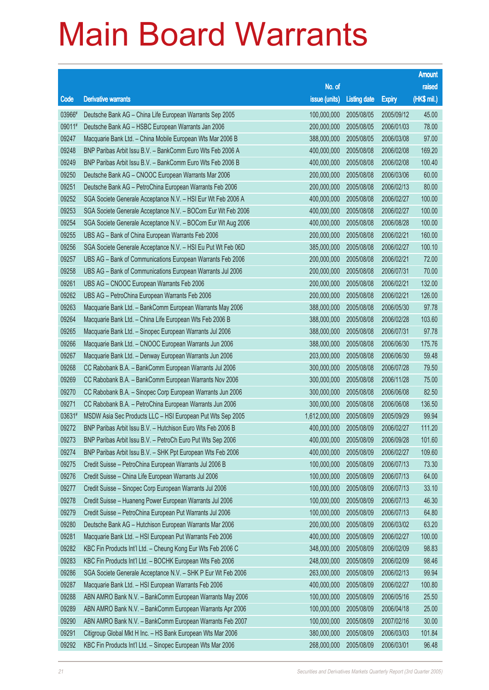|        |                                                              |               |                     |               | <b>Amount</b> |
|--------|--------------------------------------------------------------|---------------|---------------------|---------------|---------------|
|        |                                                              | No. of        |                     |               | raised        |
| Code   | <b>Derivative warrants</b>                                   | issue (units) | <b>Listing date</b> | <b>Expiry</b> | (HK\$ mil.)   |
| 03966# | Deutsche Bank AG - China Life European Warrants Sep 2005     | 100,000,000   | 2005/08/05          | 2005/09/12    | 45.00         |
| 09011# | Deutsche Bank AG - HSBC European Warrants Jan 2006           | 200,000,000   | 2005/08/05          | 2006/01/03    | 78.00         |
| 09247  | Macquarie Bank Ltd. - China Mobile European Wts Mar 2006 B   | 388,000,000   | 2005/08/05          | 2006/03/08    | 97.00         |
| 09248  | BNP Paribas Arbit Issu B.V. - BankComm Euro Wts Feb 2006 A   | 400,000,000   | 2005/08/08          | 2006/02/08    | 169.20        |
| 09249  | BNP Paribas Arbit Issu B.V. - BankComm Euro Wts Feb 2006 B   | 400,000,000   | 2005/08/08          | 2006/02/08    | 100.40        |
| 09250  | Deutsche Bank AG - CNOOC European Warrants Mar 2006          | 200,000,000   | 2005/08/08          | 2006/03/06    | 60.00         |
| 09251  | Deutsche Bank AG - PetroChina European Warrants Feb 2006     | 200,000,000   | 2005/08/08          | 2006/02/13    | 80.00         |
| 09252  | SGA Societe Generale Acceptance N.V. - HSI Eur Wt Feb 2006 A | 400,000,000   | 2005/08/08          | 2006/02/27    | 100.00        |
| 09253  | SGA Societe Generale Acceptance N.V. - BOCom Eur Wt Feb 2006 | 400,000,000   | 2005/08/08          | 2006/02/27    | 100.00        |
| 09254  | SGA Societe Generale Acceptance N.V. - BOCom Eur Wt Aug 2006 | 400,000,000   | 2005/08/08          | 2006/08/28    | 100.00        |
| 09255  | UBS AG - Bank of China European Warrants Feb 2006            | 200,000,000   | 2005/08/08          | 2006/02/21    | 160.00        |
| 09256  | SGA Societe Generale Acceptance N.V. - HSI Eu Put Wt Feb 06D | 385,000,000   | 2005/08/08          | 2006/02/27    | 100.10        |
| 09257  | UBS AG - Bank of Communications European Warrants Feb 2006   | 200,000,000   | 2005/08/08          | 2006/02/21    | 72.00         |
| 09258  | UBS AG - Bank of Communications European Warrants Jul 2006   | 200,000,000   | 2005/08/08          | 2006/07/31    | 70.00         |
| 09261  | UBS AG - CNOOC European Warrants Feb 2006                    | 200,000,000   | 2005/08/08          | 2006/02/21    | 132.00        |
| 09262  | UBS AG - PetroChina European Warrants Feb 2006               | 200,000,000   | 2005/08/08          | 2006/02/21    | 126.00        |
| 09263  | Macquarie Bank Ltd. - BankComm European Warrants May 2006    | 388,000,000   | 2005/08/08          | 2006/05/30    | 97.78         |
| 09264  | Macquarie Bank Ltd. - China Life European Wts Feb 2006 B     | 388,000,000   | 2005/08/08          | 2006/02/28    | 103.60        |
| 09265  | Macquarie Bank Ltd. - Sinopec European Warrants Jul 2006     | 388,000,000   | 2005/08/08          | 2006/07/31    | 97.78         |
| 09266  | Macquarie Bank Ltd. - CNOOC European Warrants Jun 2006       | 388,000,000   | 2005/08/08          | 2006/06/30    | 175.76        |
| 09267  | Macquarie Bank Ltd. - Denway European Warrants Jun 2006      | 203,000,000   | 2005/08/08          | 2006/06/30    | 59.48         |
| 09268  | CC Rabobank B.A. - BankComm European Warrants Jul 2006       | 300,000,000   | 2005/08/08          | 2006/07/28    | 79.50         |
| 09269  | CC Rabobank B.A. - BankComm European Warrants Nov 2006       | 300,000,000   | 2005/08/08          | 2006/11/28    | 75.00         |
| 09270  | CC Rabobank B.A. - Sinopec Corp European Warrants Jun 2006   | 300,000,000   | 2005/08/08          | 2006/06/08    | 82.50         |
| 09271  | CC Rabobank B.A. - PetroChina European Warrants Jun 2006     | 300,000,000   | 2005/08/08          | 2006/06/08    | 136.50        |
| 03631# | MSDW Asia Sec Products LLC - HSI European Put Wts Sep 2005   | 1,612,000,000 | 2005/08/09          | 2005/09/29    | 99.94         |
| 09272  | BNP Paribas Arbit Issu B.V. - Hutchison Euro Wts Feb 2006 B  | 400,000,000   | 2005/08/09          | 2006/02/27    | 111.20        |
| 09273  | BNP Paribas Arbit Issu B.V. - PetroCh Euro Put Wts Sep 2006  | 400,000,000   | 2005/08/09          | 2006/09/28    | 101.60        |
| 09274  | BNP Paribas Arbit Issu B.V. - SHK Ppt European Wts Feb 2006  | 400,000,000   | 2005/08/09          | 2006/02/27    | 109.60        |
| 09275  | Credit Suisse - PetroChina European Warrants Jul 2006 B      | 100,000,000   | 2005/08/09          | 2006/07/13    | 73.30         |
| 09276  | Credit Suisse - China Life European Warrants Jul 2006        | 100,000,000   | 2005/08/09          | 2006/07/13    | 64.00         |
| 09277  | Credit Suisse - Sinopec Corp European Warrants Jul 2006      | 100,000,000   | 2005/08/09          | 2006/07/13    | 33.10         |
| 09278  | Credit Suisse - Huaneng Power European Warrants Jul 2006     | 100,000,000   | 2005/08/09          | 2006/07/13    | 46.30         |
| 09279  | Credit Suisse - PetroChina European Put Warrants Jul 2006    | 100,000,000   | 2005/08/09          | 2006/07/13    | 64.80         |
| 09280  | Deutsche Bank AG - Hutchison European Warrants Mar 2006      | 200,000,000   | 2005/08/09          | 2006/03/02    | 63.20         |
| 09281  | Macquarie Bank Ltd. - HSI European Put Warrants Feb 2006     | 400,000,000   | 2005/08/09          | 2006/02/27    | 100.00        |
| 09282  | KBC Fin Products Int'l Ltd. - Cheung Kong Eur Wts Feb 2006 C | 348,000,000   | 2005/08/09          | 2006/02/09    | 98.83         |
| 09283  | KBC Fin Products Int'l Ltd. - BOCHK European Wts Feb 2006    | 248,000,000   | 2005/08/09          | 2006/02/09    | 98.46         |
| 09286  | SGA Societe Generale Acceptance N.V. - SHK P Eur Wt Feb 2006 | 263,000,000   | 2005/08/09          | 2006/02/13    | 99.94         |
| 09287  | Macquarie Bank Ltd. - HSI European Warrants Feb 2006         | 400,000,000   | 2005/08/09          | 2006/02/27    | 100.80        |
| 09288  | ABN AMRO Bank N.V. - BankComm European Warrants May 2006     | 100,000,000   | 2005/08/09          | 2006/05/16    | 25.50         |
| 09289  | ABN AMRO Bank N.V. - BankComm European Warrants Apr 2006     | 100,000,000   | 2005/08/09          | 2006/04/18    | 25.00         |
| 09290  | ABN AMRO Bank N.V. - BankComm European Warrants Feb 2007     | 100,000,000   | 2005/08/09          | 2007/02/16    | 30.00         |
| 09291  | Citigroup Global Mkt H Inc. - HS Bank European Wts Mar 2006  | 380,000,000   | 2005/08/09          | 2006/03/03    | 101.84        |
| 09292  | KBC Fin Products Int'l Ltd. - Sinopec European Wts Mar 2006  | 268,000,000   | 2005/08/09          | 2006/03/01    | 96.48         |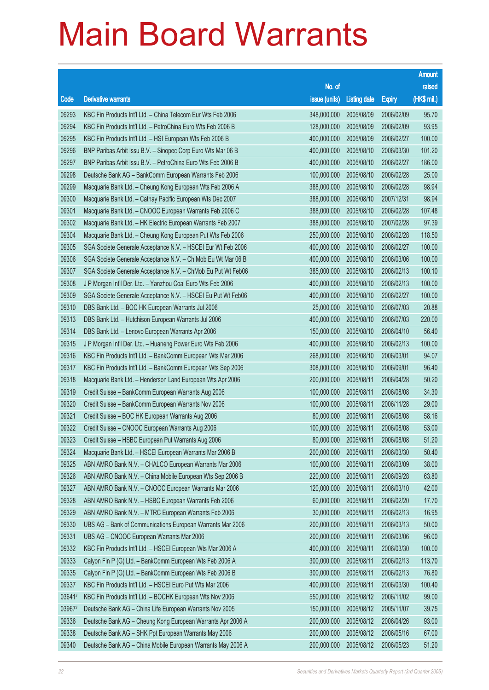|        |                                                              |               |                     |               | <b>Amount</b> |
|--------|--------------------------------------------------------------|---------------|---------------------|---------------|---------------|
|        |                                                              | No. of        |                     |               | raised        |
| Code   | <b>Derivative warrants</b>                                   | issue (units) | <b>Listing date</b> | <b>Expiry</b> | (HK\$ mil.)   |
| 09293  | KBC Fin Products Int'l Ltd. - China Telecom Eur Wts Feb 2006 | 348,000,000   | 2005/08/09          | 2006/02/09    | 95.70         |
| 09294  | KBC Fin Products Int'l Ltd. - PetroChina Euro Wts Feb 2006 B | 128,000,000   | 2005/08/09          | 2006/02/09    | 93.95         |
| 09295  | KBC Fin Products Int'l Ltd. - HSI European Wts Feb 2006 B    | 400,000,000   | 2005/08/09          | 2006/02/27    | 100.00        |
| 09296  | BNP Paribas Arbit Issu B.V. - Sinopec Corp Euro Wts Mar 06 B | 400,000,000   | 2005/08/10          | 2006/03/30    | 101.20        |
| 09297  | BNP Paribas Arbit Issu B.V. - PetroChina Euro Wts Feb 2006 B | 400,000,000   | 2005/08/10          | 2006/02/27    | 186.00        |
| 09298  | Deutsche Bank AG - BankComm European Warrants Feb 2006       | 100,000,000   | 2005/08/10          | 2006/02/28    | 25.00         |
| 09299  | Macquarie Bank Ltd. - Cheung Kong European Wts Feb 2006 A    | 388,000,000   | 2005/08/10          | 2006/02/28    | 98.94         |
| 09300  | Macquarie Bank Ltd. - Cathay Pacific European Wts Dec 2007   | 388,000,000   | 2005/08/10          | 2007/12/31    | 98.94         |
| 09301  | Macquarie Bank Ltd. - CNOOC European Warrants Feb 2006 C     | 388,000,000   | 2005/08/10          | 2006/02/28    | 107.48        |
| 09302  | Macquarie Bank Ltd. - HK Electric European Warrants Feb 2007 | 388,000,000   | 2005/08/10          | 2007/02/28    | 97.39         |
| 09304  | Macquarie Bank Ltd. - Cheung Kong European Put Wts Feb 2006  | 250,000,000   | 2005/08/10          | 2006/02/28    | 118.50        |
| 09305  | SGA Societe Generale Acceptance N.V. - HSCEI Eur Wt Feb 2006 | 400,000,000   | 2005/08/10          | 2006/02/27    | 100.00        |
| 09306  | SGA Societe Generale Acceptance N.V. - Ch Mob Eu Wt Mar 06 B | 400,000,000   | 2005/08/10          | 2006/03/06    | 100.00        |
| 09307  | SGA Societe Generale Acceptance N.V. - ChMob Eu Put Wt Feb06 | 385,000,000   | 2005/08/10          | 2006/02/13    | 100.10        |
| 09308  | J P Morgan Int'l Der. Ltd. - Yanzhou Coal Euro Wts Feb 2006  | 400,000,000   | 2005/08/10          | 2006/02/13    | 100.00        |
| 09309  | SGA Societe Generale Acceptance N.V. - HSCEI Eu Put Wt Feb06 | 400,000,000   | 2005/08/10          | 2006/02/27    | 100.00        |
| 09310  | DBS Bank Ltd. - BOC HK European Warrants Jul 2006            | 25,000,000    | 2005/08/10          | 2006/07/03    | 20.88         |
| 09313  | DBS Bank Ltd. - Hutchison European Warrants Jul 2006         | 400,000,000   | 2005/08/10          | 2006/07/03    | 220.00        |
| 09314  | DBS Bank Ltd. - Lenovo European Warrants Apr 2006            | 150,000,000   | 2005/08/10          | 2006/04/10    | 56.40         |
| 09315  | J P Morgan Int'l Der. Ltd. - Huaneng Power Euro Wts Feb 2006 | 400,000,000   | 2005/08/10          | 2006/02/13    | 100.00        |
| 09316  | KBC Fin Products Int'l Ltd. - BankComm European Wts Mar 2006 | 268,000,000   | 2005/08/10          | 2006/03/01    | 94.07         |
| 09317  | KBC Fin Products Int'l Ltd. - BankComm European Wts Sep 2006 | 308,000,000   | 2005/08/10          | 2006/09/01    | 96.40         |
| 09318  | Macquarie Bank Ltd. - Henderson Land European Wts Apr 2006   | 200,000,000   | 2005/08/11          | 2006/04/28    | 50.20         |
| 09319  | Credit Suisse - BankComm European Warrants Aug 2006          | 100,000,000   | 2005/08/11          | 2006/08/08    | 34.30         |
| 09320  | Credit Suisse - BankComm European Warrants Nov 2006          | 100,000,000   | 2005/08/11          | 2006/11/28    | 29.00         |
| 09321  | Credit Suisse - BOC HK European Warrants Aug 2006            | 80,000,000    | 2005/08/11          | 2006/08/08    | 58.16         |
| 09322  | Credit Suisse - CNOOC European Warrants Aug 2006             | 100,000,000   | 2005/08/11          | 2006/08/08    | 53.00         |
| 09323  | Credit Suisse - HSBC European Put Warrants Aug 2006          | 80,000,000    | 2005/08/11          | 2006/08/08    | 51.20         |
| 09324  | Macquarie Bank Ltd. - HSCEI European Warrants Mar 2006 B     | 200,000,000   | 2005/08/11          | 2006/03/30    | 50.40         |
| 09325  | ABN AMRO Bank N.V. - CHALCO European Warrants Mar 2006       | 100,000,000   | 2005/08/11          | 2006/03/09    | 38.00         |
| 09326  | ABN AMRO Bank N.V. - China Mobile European Wts Sep 2006 B    | 220,000,000   | 2005/08/11          | 2006/09/28    | 63.80         |
| 09327  | ABN AMRO Bank N.V. - CNOOC European Warrants Mar 2006        | 120,000,000   | 2005/08/11          | 2006/03/10    | 42.00         |
| 09328  | ABN AMRO Bank N.V. - HSBC European Warrants Feb 2006         | 60,000,000    | 2005/08/11          | 2006/02/20    | 17.70         |
| 09329  | ABN AMRO Bank N.V. - MTRC European Warrants Feb 2006         | 30,000,000    | 2005/08/11          | 2006/02/13    | 16.95         |
| 09330  | UBS AG - Bank of Communications European Warrants Mar 2006   | 200,000,000   | 2005/08/11          | 2006/03/13    | 50.00         |
| 09331  | UBS AG - CNOOC European Warrants Mar 2006                    | 200,000,000   | 2005/08/11          | 2006/03/06    | 96.00         |
| 09332  | KBC Fin Products Int'l Ltd. - HSCEI European Wts Mar 2006 A  | 400,000,000   | 2005/08/11          | 2006/03/30    | 100.00        |
| 09333  | Calyon Fin P (G) Ltd. - BankComm European Wts Feb 2006 A     | 300,000,000   | 2005/08/11          | 2006/02/13    | 113.70        |
| 09335  | Calyon Fin P (G) Ltd. - BankComm European Wts Feb 2006 B     | 300,000,000   | 2005/08/11          | 2006/02/13    | 76.80         |
| 09337  | KBC Fin Products Int'l Ltd. - HSCEI Euro Put Wts Mar 2006    | 400,000,000   | 2005/08/11          | 2006/03/30    | 100.40        |
| 03641# | KBC Fin Products Int'l Ltd. - BOCHK European Wts Nov 2006    | 550,000,000   | 2005/08/12          | 2006/11/02    | 99.00         |
| 03967# | Deutsche Bank AG - China Life European Warrants Nov 2005     | 150,000,000   | 2005/08/12          | 2005/11/07    | 39.75         |
| 09336  | Deutsche Bank AG - Cheung Kong European Warrants Apr 2006 A  | 200,000,000   | 2005/08/12          | 2006/04/26    | 93.00         |
| 09338  | Deutsche Bank AG - SHK Ppt European Warrants May 2006        | 200,000,000   | 2005/08/12          | 2006/05/16    | 67.00         |
| 09340  | Deutsche Bank AG - China Mobile European Warrants May 2006 A | 200,000,000   | 2005/08/12          | 2006/05/23    | 51.20         |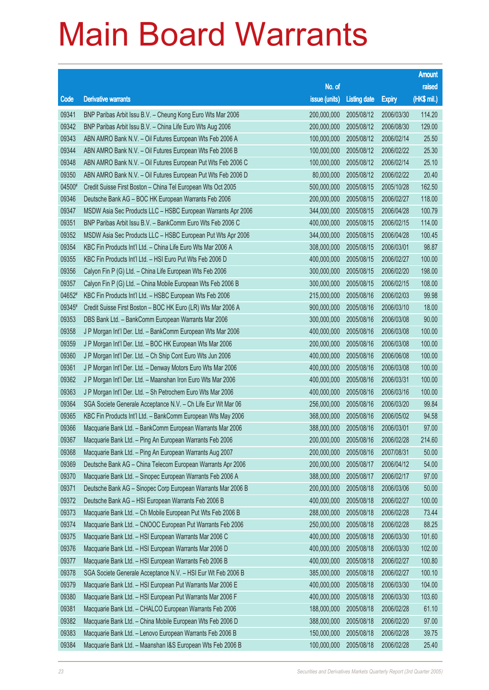|        |                                                                                                                       |               |                     |               | <b>Amount</b>   |
|--------|-----------------------------------------------------------------------------------------------------------------------|---------------|---------------------|---------------|-----------------|
|        |                                                                                                                       | No. of        |                     |               | raised          |
| Code   | <b>Derivative warrants</b>                                                                                            | issue (units) | <b>Listing date</b> | <b>Expiry</b> | (HK\$ mil.)     |
| 09341  | BNP Paribas Arbit Issu B.V. - Cheung Kong Euro Wts Mar 2006                                                           | 200,000,000   | 2005/08/12          | 2006/03/30    | 114.20          |
| 09342  | BNP Paribas Arbit Issu B.V. - China Life Euro Wts Aug 2006                                                            | 200,000,000   | 2005/08/12          | 2006/08/30    | 129.00          |
| 09343  | ABN AMRO Bank N.V. - Oil Futures European Wts Feb 2006 A                                                              | 100,000,000   | 2005/08/12          | 2006/02/14    | 25.50           |
| 09344  | ABN AMRO Bank N.V. - Oil Futures European Wts Feb 2006 B                                                              | 100,000,000   | 2005/08/12          | 2006/02/22    | 25.30           |
| 09348  | ABN AMRO Bank N.V. - Oil Futures European Put Wts Feb 2006 C                                                          | 100,000,000   | 2005/08/12          | 2006/02/14    | 25.10           |
| 09350  | ABN AMRO Bank N.V. - Oil Futures European Put Wts Feb 2006 D                                                          | 80,000,000    | 2005/08/12          | 2006/02/22    | 20.40           |
| 04500# | Credit Suisse First Boston - China Tel European Wts Oct 2005                                                          | 500,000,000   | 2005/08/15          | 2005/10/28    | 162.50          |
| 09346  | Deutsche Bank AG - BOC HK European Warrants Feb 2006                                                                  | 200,000,000   | 2005/08/15          | 2006/02/27    | 118.00          |
| 09347  | MSDW Asia Sec Products LLC - HSBC European Warrants Apr 2006                                                          | 344,000,000   | 2005/08/15          | 2006/04/28    | 100.79          |
| 09351  | BNP Paribas Arbit Issu B.V. - BankComm Euro Wts Feb 2006 C                                                            | 400,000,000   | 2005/08/15          | 2006/02/15    | 114.00          |
| 09352  | MSDW Asia Sec Products LLC - HSBC European Put Wts Apr 2006                                                           | 344,000,000   | 2005/08/15          | 2006/04/28    | 100.45          |
| 09354  | KBC Fin Products Int'l Ltd. - China Life Euro Wts Mar 2006 A                                                          | 308,000,000   | 2005/08/15          | 2006/03/01    | 98.87           |
| 09355  | KBC Fin Products Int'l Ltd. - HSI Euro Put Wts Feb 2006 D                                                             | 400,000,000   | 2005/08/15          | 2006/02/27    | 100.00          |
| 09356  | Calyon Fin P (G) Ltd. - China Life European Wts Feb 2006                                                              | 300,000,000   | 2005/08/15          | 2006/02/20    | 198.00          |
| 09357  | Calyon Fin P (G) Ltd. - China Mobile European Wts Feb 2006 B                                                          | 300,000,000   | 2005/08/15          | 2006/02/15    | 108.00          |
| 04652# | KBC Fin Products Int'l Ltd. - HSBC European Wts Feb 2006                                                              | 215,000,000   | 2005/08/16          | 2006/02/03    | 99.98           |
| 09345# | Credit Suisse First Boston - BOC HK Euro (LR) Wts Mar 2006 A                                                          | 900,000,000   | 2005/08/16          | 2006/03/10    | 18.00           |
| 09353  | DBS Bank Ltd. - BankComm European Warrants Mar 2006                                                                   | 300,000,000   | 2005/08/16          | 2006/03/08    | 90.00           |
| 09358  | J P Morgan Int'l Der. Ltd. - BankComm European Wts Mar 2006                                                           | 400,000,000   | 2005/08/16          | 2006/03/08    | 100.00          |
| 09359  | J P Morgan Int'l Der. Ltd. - BOC HK European Wts Mar 2006                                                             | 200,000,000   | 2005/08/16          | 2006/03/08    | 100.00          |
| 09360  | J P Morgan Int'l Der. Ltd. - Ch Ship Cont Euro Wts Jun 2006                                                           | 400,000,000   | 2005/08/16          | 2006/06/08    | 100.00          |
| 09361  | J P Morgan Int'l Der. Ltd. - Denway Motors Euro Wts Mar 2006                                                          | 400,000,000   | 2005/08/16          | 2006/03/08    | 100.00          |
| 09362  | J P Morgan Int'l Der. Ltd. - Maanshan Iron Euro Wts Mar 2006                                                          | 400,000,000   | 2005/08/16          | 2006/03/31    | 100.00          |
| 09363  | J P Morgan Int'l Der. Ltd. - Sh Petrochem Euro Wts Mar 2006                                                           | 400,000,000   | 2005/08/16          | 2006/03/16    | 100.00          |
| 09364  | SGA Societe Generale Acceptance N.V. - Ch Life Eur Wt Mar 06                                                          | 256,000,000   | 2005/08/16          | 2006/03/20    | 99.84           |
| 09365  | KBC Fin Products Int'l Ltd. - BankComm European Wts May 2006                                                          | 368,000,000   | 2005/08/16          | 2006/05/02    | 94.58           |
| 09366  | Macquarie Bank Ltd. - BankComm European Warrants Mar 2006                                                             | 388,000,000   | 2005/08/16          | 2006/03/01    | 97.00           |
| 09367  | Macquarie Bank Ltd. - Ping An European Warrants Feb 2006                                                              | 200,000,000   | 2005/08/16          | 2006/02/28    | 214.60          |
| 09368  | Macquarie Bank Ltd. - Ping An European Warrants Aug 2007                                                              | 200,000,000   | 2005/08/16          | 2007/08/31    | 50.00           |
| 09369  | Deutsche Bank AG - China Telecom European Warrants Apr 2006                                                           | 200,000,000   | 2005/08/17          | 2006/04/12    | 54.00           |
| 09370  | Macquarie Bank Ltd. - Sinopec European Warrants Feb 2006 A                                                            | 388,000,000   | 2005/08/17          | 2006/02/17    | 97.00           |
| 09371  | Deutsche Bank AG - Sinopec Corp European Warrants Mar 2006 B                                                          | 200,000,000   | 2005/08/18          | 2006/03/06    | 50.00           |
| 09372  | Deutsche Bank AG - HSI European Warrants Feb 2006 B                                                                   | 400,000,000   | 2005/08/18          | 2006/02/27    | 100.00          |
| 09373  | Macquarie Bank Ltd. - Ch Mobile European Put Wts Feb 2006 B                                                           | 288,000,000   | 2005/08/18          | 2006/02/28    | 73.44           |
| 09374  | Macquarie Bank Ltd. - CNOOC European Put Warrants Feb 2006                                                            | 250,000,000   | 2005/08/18          | 2006/02/28    | 88.25           |
| 09375  | Macquarie Bank Ltd. - HSI European Warrants Mar 2006 C                                                                | 400,000,000   | 2005/08/18          | 2006/03/30    | 101.60          |
| 09376  | Macquarie Bank Ltd. - HSI European Warrants Mar 2006 D                                                                | 400,000,000   | 2005/08/18          | 2006/03/30    | 102.00          |
| 09377  | Macquarie Bank Ltd. - HSI European Warrants Feb 2006 B                                                                | 400,000,000   | 2005/08/18          | 2006/02/27    | 100.80          |
| 09378  | SGA Societe Generale Acceptance N.V. - HSI Eur Wt Feb 2006 B                                                          | 385,000,000   | 2005/08/18          | 2006/02/27    | 100.10          |
| 09379  | Macquarie Bank Ltd. - HSI European Put Warrants Mar 2006 E                                                            | 400,000,000   | 2005/08/18          | 2006/03/30    | 104.00          |
| 09380  |                                                                                                                       |               |                     |               |                 |
| 09381  | Macquarie Bank Ltd. - HSI European Put Warrants Mar 2006 F<br>Macquarie Bank Ltd. - CHALCO European Warrants Feb 2006 | 400,000,000   | 2005/08/18          | 2006/03/30    | 103.60<br>61.10 |
| 09382  |                                                                                                                       | 188,000,000   | 2005/08/18          | 2006/02/28    |                 |
|        | Macquarie Bank Ltd. - China Mobile European Wts Feb 2006 D                                                            | 388,000,000   | 2005/08/18          | 2006/02/20    | 97.00<br>39.75  |
| 09383  | Macquarie Bank Ltd. - Lenovo European Warrants Feb 2006 B                                                             | 150,000,000   | 2005/08/18          | 2006/02/28    |                 |
| 09384  | Macquarie Bank Ltd. - Maanshan I&S European Wts Feb 2006 B                                                            | 100,000,000   | 2005/08/18          | 2006/02/28    | 25.40           |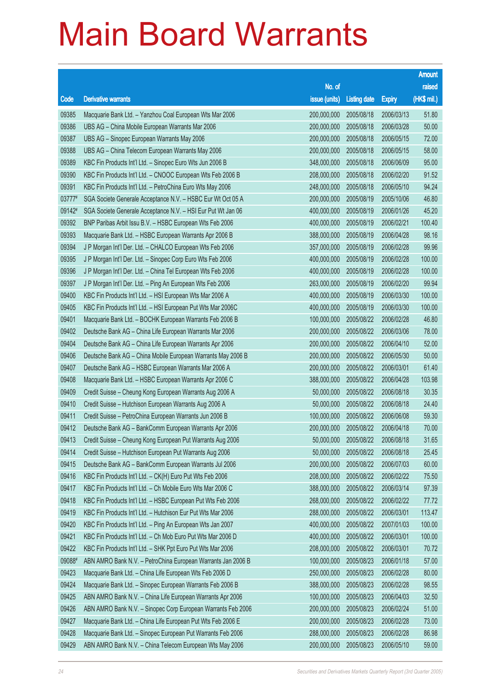|        |                                                              |               |                     |               | <b>Amount</b> |
|--------|--------------------------------------------------------------|---------------|---------------------|---------------|---------------|
|        |                                                              | No. of        |                     |               | raised        |
| Code   | <b>Derivative warrants</b>                                   | issue (units) | <b>Listing date</b> | <b>Expiry</b> | (HK\$ mil.)   |
| 09385  | Macquarie Bank Ltd. - Yanzhou Coal European Wts Mar 2006     | 200,000,000   | 2005/08/18          | 2006/03/13    | 51.80         |
| 09386  | UBS AG - China Mobile European Warrants Mar 2006             | 200,000,000   | 2005/08/18          | 2006/03/28    | 50.00         |
| 09387  | UBS AG - Sinopec European Warrants May 2006                  | 200,000,000   | 2005/08/18          | 2006/05/15    | 72.00         |
| 09388  | UBS AG - China Telecom European Warrants May 2006            | 200,000,000   | 2005/08/18          | 2006/05/15    | 58.00         |
| 09389  | KBC Fin Products Int'l Ltd. - Sinopec Euro Wts Jun 2006 B    | 348,000,000   | 2005/08/18          | 2006/06/09    | 95.00         |
| 09390  | KBC Fin Products Int'l Ltd. - CNOOC European Wts Feb 2006 B  | 208,000,000   | 2005/08/18          | 2006/02/20    | 91.52         |
| 09391  | KBC Fin Products Int'l Ltd. - PetroChina Euro Wts May 2006   | 248,000,000   | 2005/08/18          | 2006/05/10    | 94.24         |
| 03777# | SGA Societe Generale Acceptance N.V. - HSBC Eur Wt Oct 05 A  | 200,000,000   | 2005/08/19          | 2005/10/06    | 46.80         |
| 09142# | SGA Societe Generale Acceptance N.V. - HSI Eur Put Wt Jan 06 | 400,000,000   | 2005/08/19          | 2006/01/26    | 45.20         |
| 09392  | BNP Paribas Arbit Issu B.V. - HSBC European Wts Feb 2006     | 400,000,000   | 2005/08/19          | 2006/02/21    | 100.40        |
| 09393  | Macquarie Bank Ltd. - HSBC European Warrants Apr 2006 B      | 388,000,000   | 2005/08/19          | 2006/04/28    | 98.16         |
| 09394  | J P Morgan Int'l Der. Ltd. - CHALCO European Wts Feb 2006    | 357,000,000   | 2005/08/19          | 2006/02/28    | 99.96         |
| 09395  | J P Morgan Int'l Der. Ltd. - Sinopec Corp Euro Wts Feb 2006  | 400,000,000   | 2005/08/19          | 2006/02/28    | 100.00        |
| 09396  | J P Morgan Int'l Der. Ltd. - China Tel European Wts Feb 2006 | 400,000,000   | 2005/08/19          | 2006/02/28    | 100.00        |
| 09397  | J P Morgan Int'l Der. Ltd. - Ping An European Wts Feb 2006   | 263,000,000   | 2005/08/19          | 2006/02/20    | 99.94         |
| 09400  | KBC Fin Products Int'l Ltd. - HSI European Wts Mar 2006 A    | 400,000,000   | 2005/08/19          | 2006/03/30    | 100.00        |
| 09405  | KBC Fin Products Int'l Ltd. - HSI European Put Wts Mar 2006C | 400,000,000   | 2005/08/19          | 2006/03/30    | 100.00        |
| 09401  | Macquarie Bank Ltd. - BOCHK European Warrants Feb 2006 B     | 100,000,000   | 2005/08/22          | 2006/02/28    | 46.80         |
| 09402  | Deutsche Bank AG - China Life European Warrants Mar 2006     | 200,000,000   | 2005/08/22          | 2006/03/06    | 78.00         |
| 09404  | Deutsche Bank AG - China Life European Warrants Apr 2006     | 200,000,000   | 2005/08/22          | 2006/04/10    | 52.00         |
| 09406  | Deutsche Bank AG - China Mobile European Warrants May 2006 B | 200,000,000   | 2005/08/22          | 2006/05/30    | 50.00         |
| 09407  | Deutsche Bank AG - HSBC European Warrants Mar 2006 A         | 200,000,000   | 2005/08/22          | 2006/03/01    | 61.40         |
| 09408  | Macquarie Bank Ltd. - HSBC European Warrants Apr 2006 C      | 388,000,000   | 2005/08/22          | 2006/04/28    | 103.98        |
| 09409  | Credit Suisse - Cheung Kong European Warrants Aug 2006 A     | 50,000,000    | 2005/08/22          | 2006/08/18    | 30.35         |
| 09410  | Credit Suisse - Hutchison European Warrants Aug 2006 A       | 50,000,000    | 2005/08/22          | 2006/08/18    | 24.40         |
| 09411  | Credit Suisse - PetroChina European Warrants Jun 2006 B      | 100,000,000   | 2005/08/22          | 2006/06/08    | 59.30         |
| 09412  | Deutsche Bank AG - BankComm European Warrants Apr 2006       | 200,000,000   | 2005/08/22          | 2006/04/18    | 70.00         |
| 09413  | Credit Suisse - Cheung Kong European Put Warrants Aug 2006   | 50,000,000    | 2005/08/22          | 2006/08/18    | 31.65         |
| 09414  | Credit Suisse - Hutchison European Put Warrants Aug 2006     | 50,000,000    | 2005/08/22          | 2006/08/18    | 25.45         |
| 09415  | Deutsche Bank AG - BankComm European Warrants Jul 2006       | 200,000,000   | 2005/08/22          | 2006/07/03    | 60.00         |
| 09416  | KBC Fin Products Int'l Ltd. - CK(H) Euro Put Wts Feb 2006    | 208,000,000   | 2005/08/22          | 2006/02/22    | 75.50         |
| 09417  | KBC Fin Products Int'l Ltd. - Ch Mobile Euro Wts Mar 2006 C  | 388,000,000   | 2005/08/22          | 2006/03/14    | 97.39         |
| 09418  | KBC Fin Products Int'l Ltd. - HSBC European Put Wts Feb 2006 | 268,000,000   | 2005/08/22          | 2006/02/22    | 77.72         |
| 09419  | KBC Fin Products Int'l Ltd. - Hutchison Eur Put Wts Mar 2006 | 288,000,000   | 2005/08/22          | 2006/03/01    | 113.47        |
| 09420  | KBC Fin Products Int'l Ltd. - Ping An European Wts Jan 2007  | 400,000,000   | 2005/08/22          | 2007/01/03    | 100.00        |
| 09421  | KBC Fin Products Int'l Ltd. - Ch Mob Euro Put Wts Mar 2006 D | 400,000,000   | 2005/08/22          | 2006/03/01    | 100.00        |
| 09422  | KBC Fin Products Int'l Ltd. - SHK Ppt Euro Put Wts Mar 2006  | 208,000,000   | 2005/08/22          | 2006/03/01    | 70.72         |
| 09088# | ABN AMRO Bank N.V. - PetroChina European Warrants Jan 2006 B | 100,000,000   | 2005/08/23          | 2006/01/18    | 57.00         |
| 09423  | Macquarie Bank Ltd. - China Life European Wts Feb 2006 D     | 250,000,000   | 2005/08/23          | 2006/02/28    | 80.00         |
| 09424  | Macquarie Bank Ltd. - Sinopec European Warrants Feb 2006 B   | 388,000,000   | 2005/08/23          | 2006/02/28    | 98.55         |
| 09425  | ABN AMRO Bank N.V. - China Life European Warrants Apr 2006   | 100,000,000   | 2005/08/23          | 2006/04/03    | 32.50         |
| 09426  | ABN AMRO Bank N.V. - Sinopec Corp European Warrants Feb 2006 | 200,000,000   | 2005/08/23          | 2006/02/24    | 51.00         |
| 09427  | Macquarie Bank Ltd. - China Life European Put Wts Feb 2006 E | 200,000,000   | 2005/08/23          | 2006/02/28    | 73.00         |
| 09428  | Macquarie Bank Ltd. - Sinopec European Put Warrants Feb 2006 | 288,000,000   | 2005/08/23          | 2006/02/28    | 86.98         |
| 09429  | ABN AMRO Bank N.V. - China Telecom European Wts May 2006     | 200,000,000   | 2005/08/23          | 2006/05/10    | 59.00         |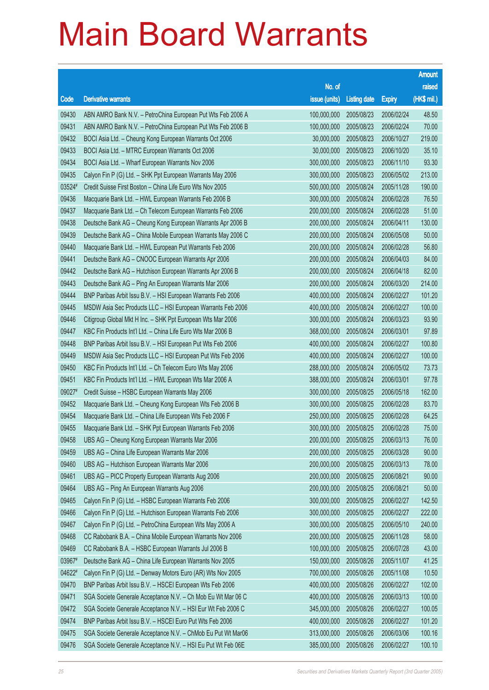|        |                                                              |               |                     |               | <b>Amount</b> |
|--------|--------------------------------------------------------------|---------------|---------------------|---------------|---------------|
|        |                                                              | No. of        |                     |               | raised        |
| Code   | <b>Derivative warrants</b>                                   | issue (units) | <b>Listing date</b> | <b>Expiry</b> | (HK\$ mil.)   |
| 09430  | ABN AMRO Bank N.V. - PetroChina European Put Wts Feb 2006 A  | 100,000,000   | 2005/08/23          | 2006/02/24    | 48.50         |
| 09431  | ABN AMRO Bank N.V. - PetroChina European Put Wts Feb 2006 B  | 100,000,000   | 2005/08/23          | 2006/02/24    | 70.00         |
| 09432  | BOCI Asia Ltd. - Cheung Kong European Warrants Oct 2006      | 30,000,000    | 2005/08/23          | 2006/10/27    | 219.00        |
| 09433  | BOCI Asia Ltd. - MTRC European Warrants Oct 2006             | 30,000,000    | 2005/08/23          | 2006/10/20    | 35.10         |
| 09434  | BOCI Asia Ltd. - Wharf European Warrants Nov 2006            | 300,000,000   | 2005/08/23          | 2006/11/10    | 93.30         |
| 09435  | Calyon Fin P (G) Ltd. - SHK Ppt European Warrants May 2006   | 300,000,000   | 2005/08/23          | 2006/05/02    | 213.00        |
| 03524# | Credit Suisse First Boston - China Life Euro Wts Nov 2005    | 500,000,000   | 2005/08/24          | 2005/11/28    | 190.00        |
| 09436  | Macquarie Bank Ltd. - HWL European Warrants Feb 2006 B       | 300,000,000   | 2005/08/24          | 2006/02/28    | 76.50         |
| 09437  | Macquarie Bank Ltd. - Ch Telecom European Warrants Feb 2006  | 200,000,000   | 2005/08/24          | 2006/02/28    | 51.00         |
| 09438  | Deutsche Bank AG - Cheung Kong European Warrants Apr 2006 B  | 200,000,000   | 2005/08/24          | 2006/04/11    | 130.00        |
| 09439  | Deutsche Bank AG - China Mobile European Warrants May 2006 C | 200,000,000   | 2005/08/24          | 2006/05/08    | 50.00         |
| 09440  | Macquarie Bank Ltd. - HWL European Put Warrants Feb 2006     | 200,000,000   | 2005/08/24          | 2006/02/28    | 56.80         |
| 09441  | Deutsche Bank AG - CNOOC European Warrants Apr 2006          | 200,000,000   | 2005/08/24          | 2006/04/03    | 84.00         |
| 09442  | Deutsche Bank AG - Hutchison European Warrants Apr 2006 B    | 200,000,000   | 2005/08/24          | 2006/04/18    | 82.00         |
| 09443  | Deutsche Bank AG - Ping An European Warrants Mar 2006        | 200,000,000   | 2005/08/24          | 2006/03/20    | 214.00        |
| 09444  | BNP Paribas Arbit Issu B.V. - HSI European Warrants Feb 2006 | 400,000,000   | 2005/08/24          | 2006/02/27    | 101.20        |
| 09445  | MSDW Asia Sec Products LLC - HSI European Warrants Feb 2006  | 400,000,000   | 2005/08/24          | 2006/02/27    | 100.00        |
| 09446  | Citigroup Global Mkt H Inc. - SHK Ppt European Wts Mar 2006  | 300,000,000   | 2005/08/24          | 2006/03/23    | 93.90         |
| 09447  | KBC Fin Products Int'l Ltd. - China Life Euro Wts Mar 2006 B | 368,000,000   | 2005/08/24          | 2006/03/01    | 97.89         |
| 09448  | BNP Paribas Arbit Issu B.V. - HSI European Put Wts Feb 2006  | 400,000,000   | 2005/08/24          | 2006/02/27    | 100.80        |
| 09449  | MSDW Asia Sec Products LLC - HSI European Put Wts Feb 2006   | 400,000,000   | 2005/08/24          | 2006/02/27    | 100.00        |
| 09450  | KBC Fin Products Int'l Ltd. - Ch Telecom Euro Wts May 2006   | 288,000,000   | 2005/08/24          | 2006/05/02    | 73.73         |
| 09451  | KBC Fin Products Int'l Ltd. - HWL European Wts Mar 2006 A    | 388,000,000   | 2005/08/24          | 2006/03/01    | 97.78         |
| 09027# | Credit Suisse - HSBC European Warrants May 2006              | 300,000,000   | 2005/08/25          | 2006/05/18    | 162.00        |
| 09452  | Macquarie Bank Ltd. - Cheung Kong European Wts Feb 2006 B    | 300,000,000   | 2005/08/25          | 2006/02/28    | 83.70         |
| 09454  | Macquarie Bank Ltd. - China Life European Wts Feb 2006 F     | 250,000,000   | 2005/08/25          | 2006/02/28    | 64.25         |
| 09455  | Macquarie Bank Ltd. - SHK Ppt European Warrants Feb 2006     | 300,000,000   | 2005/08/25          | 2006/02/28    | 75.00         |
| 09458  | UBS AG - Cheung Kong European Warrants Mar 2006              | 200,000,000   | 2005/08/25          | 2006/03/13    | 76.00         |
| 09459  | UBS AG - China Life European Warrants Mar 2006               | 200,000,000   | 2005/08/25          | 2006/03/28    | 90.00         |
| 09460  | UBS AG - Hutchison European Warrants Mar 2006                | 200,000,000   | 2005/08/25          | 2006/03/13    | 78.00         |
| 09461  | UBS AG - PICC Property European Warrants Aug 2006            | 200,000,000   | 2005/08/25          | 2006/08/21    | 90.00         |
| 09464  | UBS AG - Ping An European Warrants Aug 2006                  | 200,000,000   | 2005/08/25          | 2006/08/21    | 50.00         |
| 09465  | Calyon Fin P (G) Ltd. - HSBC European Warrants Feb 2006      | 300,000,000   | 2005/08/25          | 2006/02/27    | 142.50        |
| 09466  | Calyon Fin P (G) Ltd. - Hutchison European Warrants Feb 2006 | 300,000,000   | 2005/08/25          | 2006/02/27    | 222.00        |
| 09467  | Calyon Fin P (G) Ltd. - PetroChina European Wts May 2006 A   | 300,000,000   | 2005/08/25          | 2006/05/10    | 240.00        |
| 09468  | CC Rabobank B.A. - China Mobile European Warrants Nov 2006   | 200,000,000   | 2005/08/25          | 2006/11/28    | 58.00         |
| 09469  | CC Rabobank B.A. - HSBC European Warrants Jul 2006 B         | 100,000,000   | 2005/08/25          | 2006/07/28    | 43.00         |
| 03967# | Deutsche Bank AG - China Life European Warrants Nov 2005     | 150,000,000   | 2005/08/26          | 2005/11/07    | 41.25         |
| 04622# | Calyon Fin P (G) Ltd. - Denway Motors Euro (AR) Wts Nov 2005 | 700,000,000   | 2005/08/26          | 2005/11/08    | 10.50         |
| 09470  | BNP Paribas Arbit Issu B.V. - HSCEI European Wts Feb 2006    | 400,000,000   | 2005/08/26          | 2006/02/27    | 102.00        |
| 09471  | SGA Societe Generale Acceptance N.V. - Ch Mob Eu Wt Mar 06 C | 400,000,000   | 2005/08/26          | 2006/03/13    | 100.00        |
| 09472  | SGA Societe Generale Acceptance N.V. - HSI Eur Wt Feb 2006 C | 345,000,000   | 2005/08/26          | 2006/02/27    | 100.05        |
| 09474  | BNP Paribas Arbit Issu B.V. - HSCEI Euro Put Wts Feb 2006    | 400,000,000   | 2005/08/26          | 2006/02/27    | 101.20        |
| 09475  | SGA Societe Generale Acceptance N.V. - ChMob Eu Put Wt Mar06 | 313,000,000   | 2005/08/26          | 2006/03/06    | 100.16        |
| 09476  | SGA Societe Generale Acceptance N.V. - HSI Eu Put Wt Feb 06E | 385,000,000   | 2005/08/26          | 2006/02/27    | 100.10        |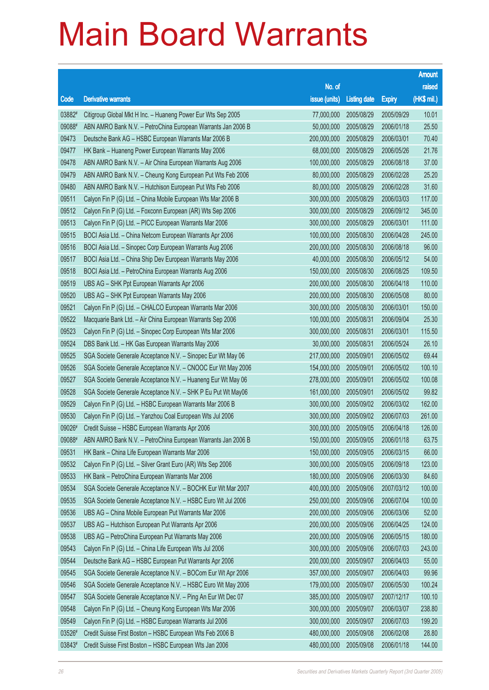|        |                                                              |               |                     |               | <b>Amount</b> |
|--------|--------------------------------------------------------------|---------------|---------------------|---------------|---------------|
|        |                                                              | No. of        |                     |               | raised        |
| Code   | <b>Derivative warrants</b>                                   | issue (units) | <b>Listing date</b> | <b>Expiry</b> | (HK\$ mil.)   |
| 03882# | Citigroup Global Mkt H Inc. - Huaneng Power Eur Wts Sep 2005 | 77,000,000    | 2005/08/29          | 2005/09/29    | 10.01         |
| 09088# | ABN AMRO Bank N.V. - PetroChina European Warrants Jan 2006 B | 50,000,000    | 2005/08/29          | 2006/01/18    | 25.50         |
| 09473  | Deutsche Bank AG - HSBC European Warrants Mar 2006 B         | 200,000,000   | 2005/08/29          | 2006/03/01    | 70.40         |
| 09477  | HK Bank - Huaneng Power European Warrants May 2006           | 68,000,000    | 2005/08/29          | 2006/05/26    | 21.76         |
| 09478  | ABN AMRO Bank N.V. - Air China European Warrants Aug 2006    | 100,000,000   | 2005/08/29          | 2006/08/18    | 37.00         |
| 09479  | ABN AMRO Bank N.V. - Cheung Kong European Put Wts Feb 2006   | 80,000,000    | 2005/08/29          | 2006/02/28    | 25.20         |
| 09480  | ABN AMRO Bank N.V. - Hutchison European Put Wts Feb 2006     | 80,000,000    | 2005/08/29          | 2006/02/28    | 31.60         |
| 09511  | Calyon Fin P (G) Ltd. - China Mobile European Wts Mar 2006 B | 300,000,000   | 2005/08/29          | 2006/03/03    | 117.00        |
| 09512  | Calyon Fin P (G) Ltd. - Foxconn European (AR) Wts Sep 2006   | 300,000,000   | 2005/08/29          | 2006/09/12    | 345.00        |
| 09513  | Calyon Fin P (G) Ltd. - PICC European Warrants Mar 2006      | 300,000,000   | 2005/08/29          | 2006/03/01    | 111.00        |
| 09515  | BOCI Asia Ltd. - China Netcom European Warrants Apr 2006     | 100,000,000   | 2005/08/30          | 2006/04/28    | 245.00        |
| 09516  | BOCI Asia Ltd. - Sinopec Corp European Warrants Aug 2006     | 200,000,000   | 2005/08/30          | 2006/08/18    | 96.00         |
| 09517  | BOCI Asia Ltd. - China Ship Dev European Warrants May 2006   | 40,000,000    | 2005/08/30          | 2006/05/12    | 54.00         |
| 09518  | BOCI Asia Ltd. - PetroChina European Warrants Aug 2006       | 150,000,000   | 2005/08/30          | 2006/08/25    | 109.50        |
| 09519  | UBS AG - SHK Ppt European Warrants Apr 2006                  | 200,000,000   | 2005/08/30          | 2006/04/18    | 110.00        |
| 09520  | UBS AG - SHK Ppt European Warrants May 2006                  | 200,000,000   | 2005/08/30          | 2006/05/08    | 80.00         |
| 09521  | Calyon Fin P (G) Ltd. - CHALCO European Warrants Mar 2006    | 300,000,000   | 2005/08/30          | 2006/03/01    | 150.00        |
| 09522  | Macquarie Bank Ltd. - Air China European Warrants Sep 2006   | 100,000,000   | 2005/08/31          | 2006/09/04    | 25.30         |
| 09523  | Calyon Fin P (G) Ltd. - Sinopec Corp European Wts Mar 2006   | 300,000,000   | 2005/08/31          | 2006/03/01    | 115.50        |
| 09524  | DBS Bank Ltd. - HK Gas European Warrants May 2006            | 30,000,000    | 2005/08/31          | 2006/05/24    | 26.10         |
| 09525  | SGA Societe Generale Acceptance N.V. - Sinopec Eur Wt May 06 | 217,000,000   | 2005/09/01          | 2006/05/02    | 69.44         |
| 09526  | SGA Societe Generale Acceptance N.V. - CNOOC Eur Wt May 2006 | 154,000,000   | 2005/09/01          | 2006/05/02    | 100.10        |
| 09527  | SGA Societe Generale Acceptance N.V. - Huaneng Eur Wt May 06 | 278,000,000   | 2005/09/01          | 2006/05/02    | 100.08        |
| 09528  | SGA Societe Generale Acceptance N.V. - SHK P Eu Put Wt May06 | 161,000,000   | 2005/09/01          | 2006/05/02    | 99.82         |
| 09529  | Calyon Fin P (G) Ltd. - HSBC European Warrants Mar 2006 B    | 300,000,000   | 2005/09/02          | 2006/03/02    | 162.00        |
| 09530  | Calyon Fin P (G) Ltd. - Yanzhou Coal European Wts Jul 2006   | 300,000,000   | 2005/09/02          | 2006/07/03    | 261.00        |
| 09026# | Credit Suisse - HSBC European Warrants Apr 2006              | 300,000,000   | 2005/09/05          | 2006/04/18    | 126.00        |
| 09088# | ABN AMRO Bank N.V. - PetroChina European Warrants Jan 2006 B | 150,000,000   | 2005/09/05          | 2006/01/18    | 63.75         |
| 09531  | HK Bank - China Life European Warrants Mar 2006              | 150,000,000   | 2005/09/05          | 2006/03/15    | 66.00         |
| 09532  | Calyon Fin P (G) Ltd. - Silver Grant Euro (AR) Wts Sep 2006  | 300,000,000   | 2005/09/05          | 2006/09/18    | 123.00        |
| 09533  | HK Bank - PetroChina European Warrants Mar 2006              | 180,000,000   | 2005/09/06          | 2006/03/30    | 84.60         |
| 09534  | SGA Societe Generale Acceptance N.V. - BOCHK Eur Wt Mar 2007 | 400,000,000   | 2005/09/06          | 2007/03/12    | 100.00        |
| 09535  | SGA Societe Generale Acceptance N.V. - HSBC Euro Wt Jul 2006 | 250,000,000   | 2005/09/06          | 2006/07/04    | 100.00        |
| 09536  | UBS AG - China Mobile European Put Warrants Mar 2006         | 200,000,000   | 2005/09/06          | 2006/03/06    | 52.00         |
| 09537  | UBS AG - Hutchison European Put Warrants Apr 2006            | 200,000,000   | 2005/09/06          | 2006/04/25    | 124.00        |
| 09538  | UBS AG - PetroChina European Put Warrants May 2006           | 200,000,000   | 2005/09/06          | 2006/05/15    | 180.00        |
| 09543  | Calyon Fin P (G) Ltd. - China Life European Wts Jul 2006     | 300,000,000   | 2005/09/06          | 2006/07/03    | 243.00        |
| 09544  | Deutsche Bank AG - HSBC European Put Warrants Apr 2006       | 200,000,000   | 2005/09/07          | 2006/04/03    | 55.00         |
| 09545  | SGA Societe Generale Acceptance N.V. - BOCom Eur Wt Apr 2006 | 357,000,000   | 2005/09/07          | 2006/04/03    | 99.96         |
| 09546  | SGA Societe Generale Acceptance N.V. - HSBC Euro Wt May 2006 | 179,000,000   | 2005/09/07          | 2006/05/30    | 100.24        |
| 09547  | SGA Societe Generale Acceptance N.V. - Ping An Eur Wt Dec 07 | 385,000,000   | 2005/09/07          | 2007/12/17    | 100.10        |
| 09548  | Calyon Fin P (G) Ltd. - Cheung Kong European Wts Mar 2006    | 300,000,000   | 2005/09/07          | 2006/03/07    | 238.80        |
| 09549  | Calyon Fin P (G) Ltd. - HSBC European Warrants Jul 2006      | 300,000,000   | 2005/09/07          | 2006/07/03    | 199.20        |
| 03526# | Credit Suisse First Boston - HSBC European Wts Feb 2006 B    | 480,000,000   | 2005/09/08          | 2006/02/08    | 28.80         |
| 03843# | Credit Suisse First Boston - HSBC European Wts Jan 2006      | 480,000,000   | 2005/09/08          | 2006/01/18    | 144.00        |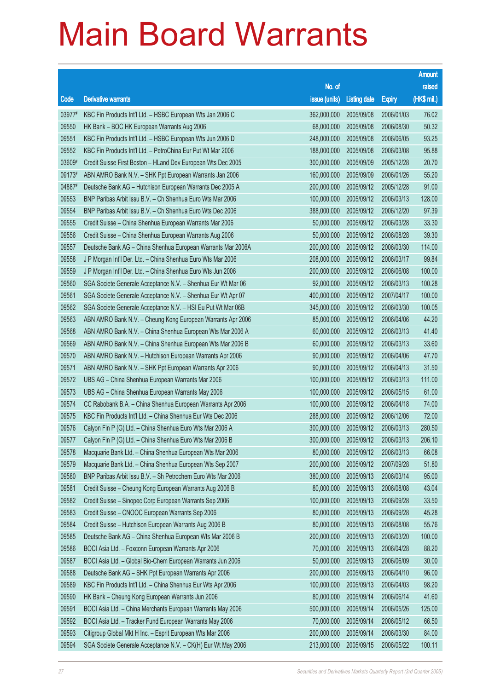|        |                                                              |               |                     |               | <b>Amount</b> |
|--------|--------------------------------------------------------------|---------------|---------------------|---------------|---------------|
|        |                                                              | No. of        |                     |               | raised        |
| Code   | <b>Derivative warrants</b>                                   | issue (units) | <b>Listing date</b> | <b>Expiry</b> | (HK\$ mil.)   |
| 03977# | KBC Fin Products Int'l Ltd. - HSBC European Wts Jan 2006 C   | 362,000,000   | 2005/09/08          | 2006/01/03    | 76.02         |
| 09550  | HK Bank - BOC HK European Warrants Aug 2006                  | 68,000,000    | 2005/09/08          | 2006/08/30    | 50.32         |
| 09551  | KBC Fin Products Int'l Ltd. - HSBC European Wts Jun 2006 D   | 248,000,000   | 2005/09/08          | 2006/06/05    | 93.25         |
| 09552  | KBC Fin Products Int'l Ltd. - PetroChina Eur Put Wt Mar 2006 | 188,000,000   | 2005/09/08          | 2006/03/08    | 95.88         |
| 03609# | Credit Suisse First Boston - HLand Dev European Wts Dec 2005 | 300,000,000   | 2005/09/09          | 2005/12/28    | 20.70         |
| 09173# | ABN AMRO Bank N.V. - SHK Ppt European Warrants Jan 2006      | 160,000,000   | 2005/09/09          | 2006/01/26    | 55.20         |
| 04887# | Deutsche Bank AG - Hutchison European Warrants Dec 2005 A    | 200,000,000   | 2005/09/12          | 2005/12/28    | 91.00         |
| 09553  | BNP Paribas Arbit Issu B.V. - Ch Shenhua Euro Wts Mar 2006   | 100,000,000   | 2005/09/12          | 2006/03/13    | 128.00        |
| 09554  | BNP Paribas Arbit Issu B.V. - Ch Shenhua Euro Wts Dec 2006   | 388,000,000   | 2005/09/12          | 2006/12/20    | 97.39         |
| 09555  | Credit Suisse - China Shenhua European Warrants Mar 2006     | 50,000,000    | 2005/09/12          | 2006/03/28    | 33.30         |
| 09556  | Credit Suisse - China Shenhua European Warrants Aug 2006     | 50,000,000    | 2005/09/12          | 2006/08/28    | 39.30         |
| 09557  | Deutsche Bank AG - China Shenhua European Warrants Mar 2006A | 200,000,000   | 2005/09/12          | 2006/03/30    | 114.00        |
| 09558  | J P Morgan Int'l Der. Ltd. - China Shenhua Euro Wts Mar 2006 | 208,000,000   | 2005/09/12          | 2006/03/17    | 99.84         |
| 09559  | J P Morgan Int'l Der. Ltd. - China Shenhua Euro Wts Jun 2006 | 200,000,000   | 2005/09/12          | 2006/06/08    | 100.00        |
| 09560  | SGA Societe Generale Acceptance N.V. - Shenhua Eur Wt Mar 06 | 92,000,000    | 2005/09/12          | 2006/03/13    | 100.28        |
| 09561  | SGA Societe Generale Acceptance N.V. - Shenhua Eur Wt Apr 07 | 400,000,000   | 2005/09/12          | 2007/04/17    | 100.00        |
| 09562  | SGA Societe Generale Acceptance N.V. - HSI Eu Put Wt Mar 06B | 345,000,000   | 2005/09/12          | 2006/03/30    | 100.05        |
| 09563  | ABN AMRO Bank N.V. - Cheung Kong European Warrants Apr 2006  | 85,000,000    | 2005/09/12          | 2006/04/06    | 44.20         |
| 09568  | ABN AMRO Bank N.V. - China Shenhua European Wts Mar 2006 A   | 60,000,000    | 2005/09/12          | 2006/03/13    | 41.40         |
| 09569  | ABN AMRO Bank N.V. - China Shenhua European Wts Mar 2006 B   | 60,000,000    | 2005/09/12          | 2006/03/13    | 33.60         |
| 09570  | ABN AMRO Bank N.V. - Hutchison European Warrants Apr 2006    | 90,000,000    | 2005/09/12          | 2006/04/06    | 47.70         |
| 09571  | ABN AMRO Bank N.V. - SHK Ppt European Warrants Apr 2006      | 90,000,000    | 2005/09/12          | 2006/04/13    | 31.50         |
| 09572  | UBS AG - China Shenhua European Warrants Mar 2006            | 100,000,000   | 2005/09/12          | 2006/03/13    | 111.00        |
| 09573  | UBS AG - China Shenhua European Warrants May 2006            | 100,000,000   | 2005/09/12          | 2006/05/15    | 61.00         |
| 09574  | CC Rabobank B.A. - China Shenhua European Warrants Apr 2006  | 100,000,000   | 2005/09/12          | 2006/04/18    | 74.00         |
| 09575  | KBC Fin Products Int'l Ltd. - China Shenhua Eur Wts Dec 2006 | 288,000,000   | 2005/09/12          | 2006/12/06    | 72.00         |
| 09576  | Calyon Fin P (G) Ltd. - China Shenhua Euro Wts Mar 2006 A    | 300,000,000   | 2005/09/12          | 2006/03/13    | 280.50        |
| 09577  | Calyon Fin P (G) Ltd. - China Shenhua Euro Wts Mar 2006 B    | 300,000,000   | 2005/09/12          | 2006/03/13    | 206.10        |
| 09578  | Macquarie Bank Ltd. - China Shenhua European Wts Mar 2006    | 80,000,000    | 2005/09/12          | 2006/03/13    | 66.08         |
| 09579  | Macquarie Bank Ltd. - China Shenhua European Wts Sep 2007    | 200,000,000   | 2005/09/12          | 2007/09/28    | 51.80         |
| 09580  | BNP Paribas Arbit Issu B.V. - Sh Petrochem Euro Wts Mar 2006 | 380,000,000   | 2005/09/13          | 2006/03/14    | 95.00         |
| 09581  | Credit Suisse - Cheung Kong European Warrants Aug 2006 B     | 80,000,000    | 2005/09/13          | 2006/08/08    | 43.04         |
| 09582  | Credit Suisse - Sinopec Corp European Warrants Sep 2006      | 100,000,000   | 2005/09/13          | 2006/09/28    | 33.50         |
| 09583  | Credit Suisse - CNOOC European Warrants Sep 2006             | 80,000,000    | 2005/09/13          | 2006/09/28    | 45.28         |
| 09584  | Credit Suisse - Hutchison European Warrants Aug 2006 B       | 80,000,000    | 2005/09/13          | 2006/08/08    | 55.76         |
| 09585  | Deutsche Bank AG - China Shenhua European Wts Mar 2006 B     | 200,000,000   | 2005/09/13          | 2006/03/20    | 100.00        |
| 09586  | BOCI Asia Ltd. - Foxconn European Warrants Apr 2006          | 70,000,000    | 2005/09/13          | 2006/04/28    | 88.20         |
| 09587  | BOCI Asia Ltd. - Global Bio-Chem European Warrants Jun 2006  | 50,000,000    | 2005/09/13          | 2006/06/09    | 30.00         |
| 09588  | Deutsche Bank AG - SHK Ppt European Warrants Apr 2006        | 200,000,000   | 2005/09/13          | 2006/04/10    | 96.00         |
| 09589  | KBC Fin Products Int'l Ltd. - China Shenhua Eur Wts Apr 2006 | 100,000,000   | 2005/09/13          | 2006/04/03    | 98.20         |
| 09590  | HK Bank - Cheung Kong European Warrants Jun 2006             | 80,000,000    | 2005/09/14          | 2006/06/14    | 41.60         |
| 09591  | BOCI Asia Ltd. - China Merchants European Warrants May 2006  | 500,000,000   | 2005/09/14          | 2006/05/26    | 125.00        |
| 09592  | BOCI Asia Ltd. - Tracker Fund European Warrants May 2006     | 70,000,000    | 2005/09/14          | 2006/05/12    | 66.50         |
| 09593  | Citigroup Global Mkt H Inc. - Esprit European Wts Mar 2006   | 200,000,000   | 2005/09/14          | 2006/03/30    | 84.00         |
| 09594  | SGA Societe Generale Acceptance N.V. - CK(H) Eur Wt May 2006 | 213,000,000   | 2005/09/15          | 2006/05/22    | 100.11        |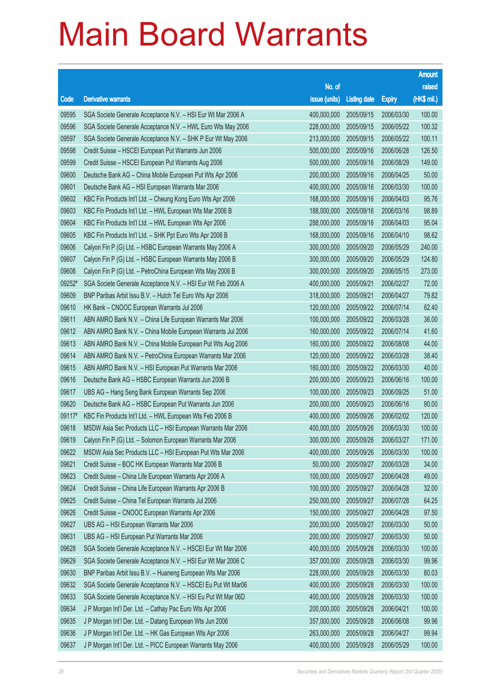|        |                                                              |               |                     |               | <b>Amount</b> |
|--------|--------------------------------------------------------------|---------------|---------------------|---------------|---------------|
|        |                                                              | No. of        |                     |               | raised        |
| Code   | <b>Derivative warrants</b>                                   | issue (units) | <b>Listing date</b> | <b>Expiry</b> | (HK\$ mil.)   |
| 09595  | SGA Societe Generale Acceptance N.V. - HSI Eur Wt Mar 2006 A | 400,000,000   | 2005/09/15          | 2006/03/30    | 100.00        |
| 09596  | SGA Societe Generale Acceptance N.V. - HWL Euro Wts May 2006 | 228,000,000   | 2005/09/15          | 2006/05/22    | 100.32        |
| 09597  | SGA Societe Generale Acceptance N.V. - SHK P Eur Wt May 2006 | 213,000,000   | 2005/09/15          | 2006/05/22    | 100.11        |
| 09598  | Credit Suisse - HSCEI European Put Warrants Jun 2006         | 500,000,000   | 2005/09/16          | 2006/06/28    | 126.50        |
| 09599  | Credit Suisse - HSCEI European Put Warrants Aug 2006         | 500,000,000   | 2005/09/16          | 2006/08/29    | 149.00        |
| 09600  | Deutsche Bank AG - China Mobile European Put Wts Apr 2006    | 200,000,000   | 2005/09/16          | 2006/04/25    | 50.00         |
| 09601  | Deutsche Bank AG - HSI European Warrants Mar 2006            | 400,000,000   | 2005/09/16          | 2006/03/30    | 100.00        |
| 09602  | KBC Fin Products Int'l Ltd. - Cheung Kong Euro Wts Apr 2006  | 168,000,000   | 2005/09/16          | 2006/04/03    | 95.76         |
| 09603  | KBC Fin Products Int'l Ltd. - HWL European Wts Mar 2006 B    | 188,000,000   | 2005/09/16          | 2006/03/16    | 98.89         |
| 09604  | KBC Fin Products Int'l Ltd. - HWL European Wts Apr 2006      | 288,000,000   | 2005/09/16          | 2006/04/03    | 95.04         |
| 09605  | KBC Fin Products Int'l Ltd. - SHK Ppt Euro Wts Apr 2006 B    | 168,000,000   | 2005/09/16          | 2006/04/10    | 98.62         |
| 09606  | Calyon Fin P (G) Ltd. - HSBC European Warrants May 2006 A    | 300,000,000   | 2005/09/20          | 2006/05/29    | 240.00        |
| 09607  | Calyon Fin P (G) Ltd. - HSBC European Warrants May 2006 B    | 300,000,000   | 2005/09/20          | 2006/05/29    | 124.80        |
| 09608  | Calyon Fin P (G) Ltd. - PetroChina European Wts May 2006 B   | 300,000,000   | 2005/09/20          | 2006/05/15    | 273.00        |
| 09252# | SGA Societe Generale Acceptance N.V. - HSI Eur Wt Feb 2006 A | 400,000,000   | 2005/09/21          | 2006/02/27    | 72.00         |
| 09609  | BNP Paribas Arbit Issu B.V. - Hutch Tel Euro Wts Apr 2006    | 318,000,000   | 2005/09/21          | 2006/04/27    | 79.82         |
| 09610  | HK Bank - CNOOC European Warrants Jul 2006                   | 120,000,000   | 2005/09/22          | 2006/07/14    | 62.40         |
| 09611  | ABN AMRO Bank N.V. - China Life European Warrants Mar 2006   | 100,000,000   | 2005/09/22          | 2006/03/28    | 36.00         |
| 09612  | ABN AMRO Bank N.V. - China Mobile European Warrants Jul 2006 | 160,000,000   | 2005/09/22          | 2006/07/14    | 41.60         |
| 09613  | ABN AMRO Bank N.V. - China Mobile European Put Wts Aug 2006  | 160,000,000   | 2005/09/22          | 2006/08/08    | 44.00         |
| 09614  | ABN AMRO Bank N.V. - PetroChina European Warrants Mar 2006   | 120,000,000   | 2005/09/22          | 2006/03/28    | 38.40         |
| 09615  | ABN AMRO Bank N.V. - HSI European Put Warrants Mar 2006      | 160,000,000   | 2005/09/22          | 2006/03/30    | 40.00         |
| 09616  | Deutsche Bank AG - HSBC European Warrants Jun 2006 B         | 200,000,000   | 2005/09/23          | 2006/06/16    | 100.00        |
| 09617  | UBS AG - Hang Seng Bank European Warrants Sep 2006           | 100,000,000   | 2005/09/23          | 2006/09/25    | 51.00         |
| 09620  | Deutsche Bank AG - HSBC European Put Warrants Jun 2006       | 200,000,000   | 2005/09/23          | 2006/06/16    | 90.00         |
| 09117# | KBC Fin Products Int'l Ltd. - HWL European Wts Feb 2006 B    | 400,000,000   | 2005/09/26          | 2006/02/02    | 120.00        |
| 09618  | MSDW Asia Sec Products LLC - HSI European Warrants Mar 2006  | 400,000,000   | 2005/09/26          | 2006/03/30    | 100.00        |
| 09619  | Calyon Fin P (G) Ltd. - Solomon European Warrants Mar 2006   | 300,000,000   | 2005/09/26          | 2006/03/27    | 171.00        |
| 09622  | MSDW Asia Sec Products LLC - HSI European Put Wts Mar 2006   | 400,000,000   | 2005/09/26          | 2006/03/30    | 100.00        |
| 09621  | Credit Suisse - BOC HK European Warrants Mar 2006 B          | 50,000,000    | 2005/09/27          | 2006/03/28    | 34.00         |
| 09623  | Credit Suisse - China Life European Warrants Apr 2006 A      | 100,000,000   | 2005/09/27          | 2006/04/28    | 49.00         |
| 09624  | Credit Suisse - China Life European Warrants Apr 2006 B      | 100,000,000   | 2005/09/27          | 2006/04/28    | 32.00         |
| 09625  | Credit Suisse - China Tel European Warrants Jul 2006         | 250,000,000   | 2005/09/27          | 2006/07/28    | 64.25         |
| 09626  | Credit Suisse - CNOOC European Warrants Apr 2006             | 150,000,000   | 2005/09/27          | 2006/04/28    | 97.50         |
| 09627  | UBS AG - HSI European Warrants Mar 2006                      | 200,000,000   | 2005/09/27          | 2006/03/30    | 50.00         |
| 09631  | UBS AG - HSI European Put Warrants Mar 2006                  | 200,000,000   | 2005/09/27          | 2006/03/30    | 50.00         |
| 09628  | SGA Societe Generale Acceptance N.V. - HSCEI Eur Wt Mar 2006 | 400,000,000   | 2005/09/28          | 2006/03/30    | 100.00        |
| 09629  | SGA Societe Generale Acceptance N.V. - HSI Eur Wt Mar 2006 C | 357,000,000   | 2005/09/28          | 2006/03/30    | 99.96         |
| 09630  | BNP Paribas Arbit Issu B.V. - Huaneng European Wts Mar 2006  | 228,000,000   | 2005/09/28          | 2006/03/30    | 80.03         |
| 09632  | SGA Societe Generale Acceptance N.V. - HSCEI Eu Put Wt Mar06 | 400,000,000   | 2005/09/28          | 2006/03/30    | 100.00        |
| 09633  | SGA Societe Generale Acceptance N.V. - HSI Eu Put Wt Mar 06D | 400,000,000   | 2005/09/28          | 2006/03/30    | 100.00        |
| 09634  | J P Morgan Int'l Der. Ltd. - Cathay Pac Euro Wts Apr 2006    | 200,000,000   | 2005/09/28          | 2006/04/21    | 100.00        |
| 09635  | J P Morgan Int'l Der. Ltd. - Datang European Wts Jun 2006    | 357,000,000   | 2005/09/28          | 2006/06/08    | 99.96         |
| 09636  | J P Morgan Int'l Der. Ltd. - HK Gas European Wts Apr 2006    | 263,000,000   | 2005/09/28          | 2006/04/27    | 99.94         |
| 09637  | J P Morgan Int'l Der. Ltd. - PICC European Warrants May 2006 | 400,000,000   | 2005/09/28          | 2006/05/29    | 100.00        |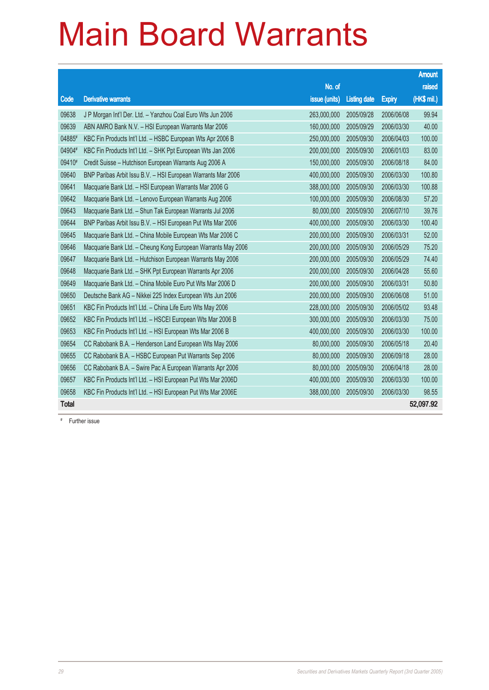|              |                                                              |               |                     |               | <b>Amount</b> |
|--------------|--------------------------------------------------------------|---------------|---------------------|---------------|---------------|
|              |                                                              | No. of        |                     |               | raised        |
| Code         | <b>Derivative warrants</b>                                   | issue (units) | <b>Listing date</b> | <b>Expiry</b> | (HK\$ mil.)   |
| 09638        | J P Morgan Int'l Der. Ltd. - Yanzhou Coal Euro Wts Jun 2006  | 263,000,000   | 2005/09/28          | 2006/06/08    | 99.94         |
| 09639        | ABN AMRO Bank N.V. - HSI European Warrants Mar 2006          | 160,000,000   | 2005/09/29          | 2006/03/30    | 40.00         |
| 04885#       | KBC Fin Products Int'l Ltd. - HSBC European Wts Apr 2006 B   | 250,000,000   | 2005/09/30          | 2006/04/03    | 100.00        |
| 04904#       | KBC Fin Products Int'l Ltd. - SHK Ppt European Wts Jan 2006  | 200.000.000   | 2005/09/30          | 2006/01/03    | 83.00         |
| 09410#       | Credit Suisse - Hutchison European Warrants Aug 2006 A       | 150,000,000   | 2005/09/30          | 2006/08/18    | 84.00         |
| 09640        | BNP Paribas Arbit Issu B.V. - HSI European Warrants Mar 2006 | 400,000,000   | 2005/09/30          | 2006/03/30    | 100.80        |
| 09641        | Macquarie Bank Ltd. - HSI European Warrants Mar 2006 G       | 388,000,000   | 2005/09/30          | 2006/03/30    | 100.88        |
| 09642        | Macquarie Bank Ltd. - Lenovo European Warrants Aug 2006      | 100,000,000   | 2005/09/30          | 2006/08/30    | 57.20         |
| 09643        | Macquarie Bank Ltd. - Shun Tak European Warrants Jul 2006    | 80,000,000    | 2005/09/30          | 2006/07/10    | 39.76         |
| 09644        | BNP Paribas Arbit Issu B.V. - HSI European Put Wts Mar 2006  | 400,000,000   | 2005/09/30          | 2006/03/30    | 100.40        |
| 09645        | Macquarie Bank Ltd. - China Mobile European Wts Mar 2006 C   | 200,000,000   | 2005/09/30          | 2006/03/31    | 52.00         |
| 09646        | Macquarie Bank Ltd. - Cheung Kong European Warrants May 2006 | 200,000,000   | 2005/09/30          | 2006/05/29    | 75.20         |
| 09647        | Macquarie Bank Ltd. - Hutchison European Warrants May 2006   | 200,000,000   | 2005/09/30          | 2006/05/29    | 74.40         |
| 09648        | Macquarie Bank Ltd. - SHK Ppt European Warrants Apr 2006     | 200,000,000   | 2005/09/30          | 2006/04/28    | 55.60         |
| 09649        | Macquarie Bank Ltd. - China Mobile Euro Put Wts Mar 2006 D   | 200,000,000   | 2005/09/30          | 2006/03/31    | 50.80         |
| 09650        | Deutsche Bank AG - Nikkei 225 Index European Wts Jun 2006    | 200,000,000   | 2005/09/30          | 2006/06/08    | 51.00         |
| 09651        | KBC Fin Products Int'l Ltd. - China Life Euro Wts May 2006   | 228,000,000   | 2005/09/30          | 2006/05/02    | 93.48         |
| 09652        | KBC Fin Products Int'l Ltd. - HSCEI European Wts Mar 2006 B  | 300,000,000   | 2005/09/30          | 2006/03/30    | 75.00         |
| 09653        | KBC Fin Products Int'l Ltd. - HSI European Wts Mar 2006 B    | 400,000,000   | 2005/09/30          | 2006/03/30    | 100.00        |
| 09654        | CC Rabobank B.A. - Henderson Land European Wts May 2006      | 80,000,000    | 2005/09/30          | 2006/05/18    | 20.40         |
| 09655        | CC Rabobank B.A. - HSBC European Put Warrants Sep 2006       | 80,000,000    | 2005/09/30          | 2006/09/18    | 28.00         |
| 09656        | CC Rabobank B.A. - Swire Pac A European Warrants Apr 2006    | 80,000,000    | 2005/09/30          | 2006/04/18    | 28.00         |
| 09657        | KBC Fin Products Int'l Ltd. - HSI European Put Wts Mar 2006D | 400,000,000   | 2005/09/30          | 2006/03/30    | 100.00        |
| 09658        | KBC Fin Products Int'l Ltd. - HSI European Put Wts Mar 2006E | 388,000,000   | 2005/09/30          | 2006/03/30    | 98.55         |
| <b>Total</b> |                                                              |               |                     |               | 52,097.92     |

# Further issue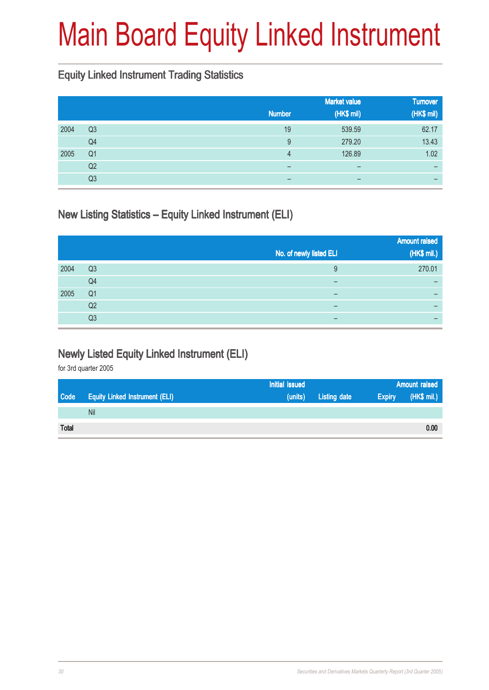### Main Board Equity Linked Instrument

#### Equity Linked Instrument Trading Statistics

|      |                | <b>Number</b>            | <b>Market value</b><br>(HK\$ mil) | <b>Turnover</b><br>(HK\$ mil) |
|------|----------------|--------------------------|-----------------------------------|-------------------------------|
|      |                |                          |                                   |                               |
| 2004 | Q <sub>3</sub> | 19                       | 539.59                            | 62.17                         |
|      | Q4             | 9                        | 279.20                            | 13.43                         |
| 2005 | Q <sub>1</sub> | 4                        | 126.89                            | 1.02                          |
|      | Q <sub>2</sub> | $\overline{\phantom{0}}$ | $\qquad \qquad \blacksquare$      | -                             |
|      | Q3             | -                        | -                                 |                               |

#### New Listing Statistics – Equity Linked Instrument (ELI)

|      |                |                          | <b>Amount raised</b> |
|------|----------------|--------------------------|----------------------|
|      |                | No. of newly listed ELI  | (HK\$ mil.)          |
| 2004 | Q <sub>3</sub> | 9                        | 270.01               |
|      | Q4             |                          |                      |
| 2005 | Q <sub>1</sub> |                          |                      |
|      | Q <sub>2</sub> | $\overline{\phantom{0}}$ |                      |
|      | Q3             |                          |                      |

#### Newly Listed Equity Linked Instrument (ELI)

for 3rd quarter 2005

|              |                                       | Initial issued |                     |               | <b>Amount raised</b> |
|--------------|---------------------------------------|----------------|---------------------|---------------|----------------------|
| Code         | <b>Equity Linked Instrument (ELI)</b> | (units)        | <b>Listing date</b> | <b>Expiry</b> | (HK\$ mil.)          |
|              | Nil                                   |                |                     |               |                      |
| <b>Total</b> |                                       |                |                     |               | 0.00                 |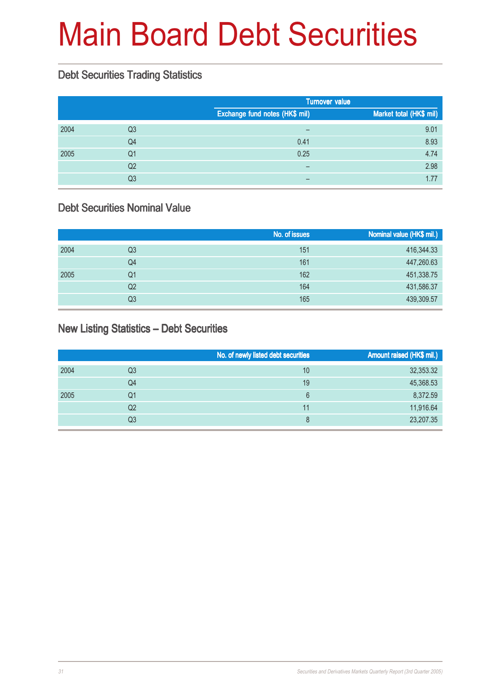### Main Board Debt Securities

#### Debt Securities Trading Statistics

|      |    |                                | <b>Turnover value</b>   |  |
|------|----|--------------------------------|-------------------------|--|
|      |    | Exchange fund notes (HK\$ mil) | Market total (HK\$ mil) |  |
| 2004 | Q3 | $\qquad \qquad$                | 9.01                    |  |
|      | Q4 | 0.41                           | 8.93                    |  |
| 2005 | Q1 | 0.25                           | 4.74                    |  |
|      | Q2 | $\overline{\phantom{0}}$       | 2.98                    |  |
|      | Q3 |                                | 1.77                    |  |

#### Debt Securities Nominal Value

|      |    | No. of issues | Nominal value (HK\$ mil.) |
|------|----|---------------|---------------------------|
| 2004 | Q3 | 151           | 416,344.33                |
|      | Q4 | 161           | 447,260.63                |
| 2005 | Q1 | 162           | 451,338.75                |
|      | Q2 | 164           | 431,586.37                |
|      | Q3 | 165           | 439,309.57                |

#### New Listing Statistics – Debt Securities

|      |    | No. of newly listed debt securities | Amount raised (HK\$ mil.) |
|------|----|-------------------------------------|---------------------------|
| 2004 | Q3 | 10                                  | 32,353.32                 |
|      | Q4 | 19                                  | 45,368.53                 |
| 2005 | Q1 | 6                                   | 8,372.59                  |
|      | Q2 | 11                                  | 11,916.64                 |
|      | Q3 | 8                                   | 23,207.35                 |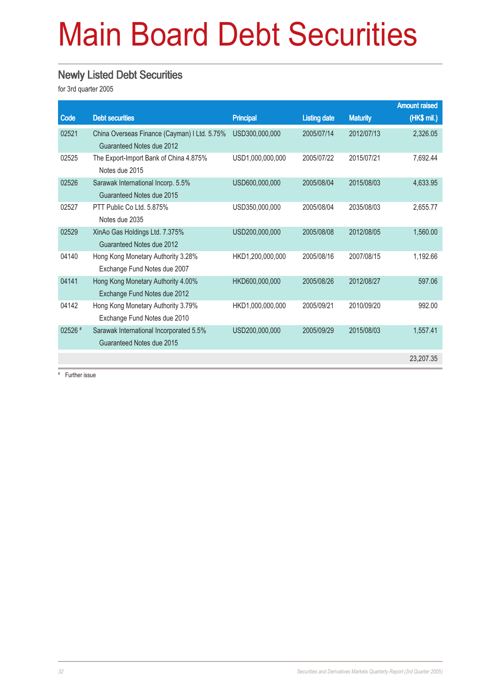### Main Board Debt Securities

#### Newly Listed Debt Securities

for 3rd quarter 2005

|         |                                              |                  |                     |                 | <b>Amount raised</b> |
|---------|----------------------------------------------|------------------|---------------------|-----------------|----------------------|
| Code    | <b>Debt securities</b>                       | <b>Principal</b> | <b>Listing date</b> | <b>Maturity</b> | (HK\$ mil.)          |
| 02521   | China Overseas Finance (Cayman) I Ltd. 5.75% | USD300,000,000   | 2005/07/14          | 2012/07/13      | 2,326.05             |
|         | Guaranteed Notes due 2012                    |                  |                     |                 |                      |
| 02525   | The Export-Import Bank of China 4.875%       | USD1,000,000,000 | 2005/07/22          | 2015/07/21      | 7.692.44             |
|         | Notes due 2015                               |                  |                     |                 |                      |
| 02526   | Sarawak International Incorp. 5.5%           | USD600,000,000   | 2005/08/04          | 2015/08/03      | 4,633.95             |
|         | Guaranteed Notes due 2015                    |                  |                     |                 |                      |
| 02527   | PTT Public Co Ltd. 5.875%                    | USD350,000,000   | 2005/08/04          | 2035/08/03      | 2,655.77             |
|         | Notes due 2035                               |                  |                     |                 |                      |
| 02529   | XinAo Gas Holdings Ltd. 7.375%               | USD200,000,000   | 2005/08/08          | 2012/08/05      | 1,560.00             |
|         | Guaranteed Notes due 2012                    |                  |                     |                 |                      |
| 04140   | Hong Kong Monetary Authority 3.28%           | HKD1.200.000.000 | 2005/08/16          | 2007/08/15      | 1.192.66             |
|         | Exchange Fund Notes due 2007                 |                  |                     |                 |                      |
| 04141   | Hong Kong Monetary Authority 4.00%           | HKD600.000.000   | 2005/08/26          | 2012/08/27      | 597.06               |
|         | Exchange Fund Notes due 2012                 |                  |                     |                 |                      |
| 04142   | Hong Kong Monetary Authority 3.79%           | HKD1,000,000,000 | 2005/09/21          | 2010/09/20      | 992.00               |
|         | Exchange Fund Notes due 2010                 |                  |                     |                 |                      |
| 02526 # | Sarawak International Incorporated 5.5%      | USD200,000,000   | 2005/09/29          | 2015/08/03      | 1,557.41             |
|         | Guaranteed Notes due 2015                    |                  |                     |                 |                      |
|         |                                              |                  |                     |                 | 23.207.35            |
|         |                                              |                  |                     |                 |                      |

# Further issue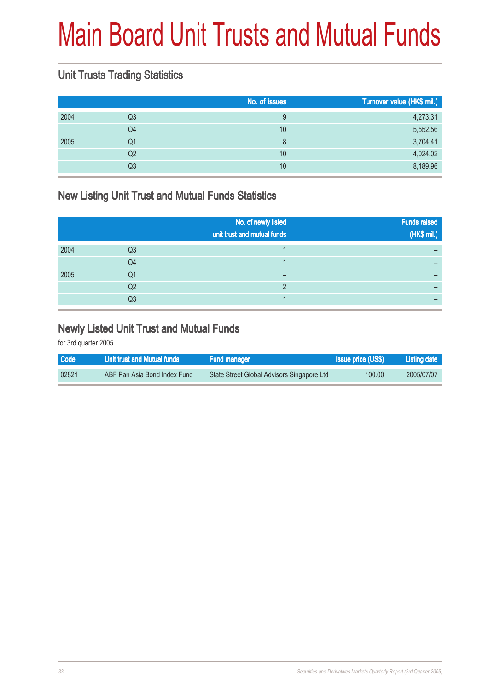### Main Board Unit Trusts and Mutual Funds

#### Unit Trusts Trading Statistics

|      |    | No. of issues | Turnover value (HK\$ mil.) |
|------|----|---------------|----------------------------|
| 2004 | Q3 | 9             | 4,273.31                   |
|      | Q4 | 10            | 5,552.56                   |
| 2005 | Q1 | 8             | 3,704.41                   |
|      | Q2 | 10            | 4,024.02                   |
|      | Q3 | 10            | 8,189.96                   |
|      |    |               |                            |

#### New Listing Unit Trust and Mutual Funds Statistics

|      |    | No. of newly listed<br>unit trust and mutual funds | Funds raised<br>(HK\$ mil.) |
|------|----|----------------------------------------------------|-----------------------------|
| 2004 | Q3 |                                                    |                             |
|      | Q4 |                                                    |                             |
| 2005 | Q1 |                                                    |                             |
|      | Q2 |                                                    |                             |
|      | Q3 |                                                    |                             |

#### Newly Listed Unit Trust and Mutual Funds

for 3rd quarter 2005

| <b>Code</b> | Unit trust and Mutual funds  | <b>Fund manager</b>                        | <b>Issue price (US\$)</b> | Listing date |
|-------------|------------------------------|--------------------------------------------|---------------------------|--------------|
| 02821       | ABF Pan Asia Bond Index Fund | State Street Global Advisors Singapore Ltd | 100.00                    | 2005/07/07   |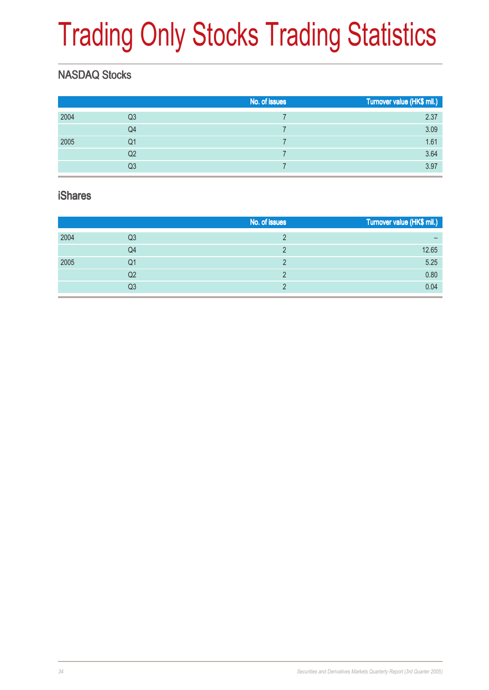# Trading Only Stocks Trading Statistics

### NASDAQ Stocks

|      |                | No. of issues | Turnover value (HK\$ mil.) |
|------|----------------|---------------|----------------------------|
| 2004 | Q <sub>3</sub> |               | 2.37                       |
|      | Q4             |               | 3.09                       |
| 2005 | Q1             |               | 1.61                       |
|      | Q2             |               | 3.64                       |
|      | Q3             |               | 3.97                       |
|      |                |               |                            |

#### iShares

|      |    | No. of issues | Turnover value (HK\$ mil.) |
|------|----|---------------|----------------------------|
| 2004 | Q3 |               |                            |
|      | Q4 |               | 12.65                      |
| 2005 | Q1 | ∩             | 5.25                       |
|      | Q2 |               | 0.80                       |
|      | Q3 |               | 0.04                       |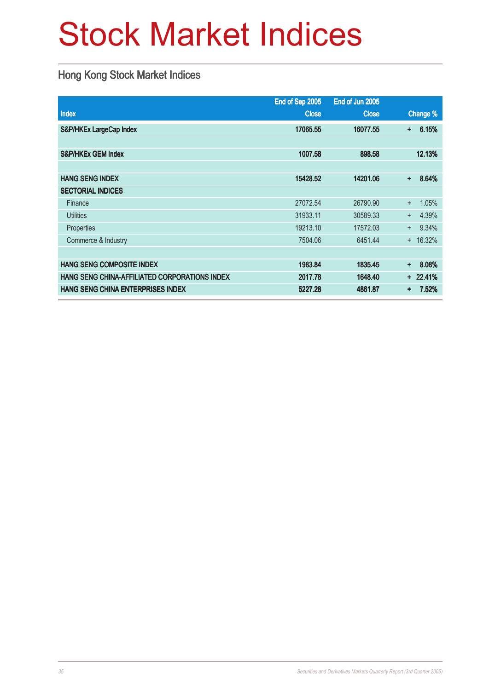### Stock Market Indices

#### Hong Kong Stock Market Indices

|                                               | End of Sep 2005 | End of Jun 2005 |           |            |
|-----------------------------------------------|-----------------|-----------------|-----------|------------|
| Index                                         | <b>Close</b>    | <b>Close</b>    |           | Change %   |
| S&P/HKEx LargeCap Index                       | 17065.55        | 16077.55        | +         | 6.15%      |
|                                               |                 |                 |           |            |
| <b>S&amp;P/HKEx GEM Index</b>                 | 1007.58         | 898.58          |           | 12.13%     |
|                                               |                 |                 |           |            |
| <b>HANG SENG INDEX</b>                        | 15428.52        | 14201.06        | $\ddot{}$ | 8.64%      |
| <b>SECTORIAL INDICES</b>                      |                 |                 |           |            |
| Finance                                       | 27072.54        | 26790.90        | $+$       | 1.05%      |
| <b>Utilities</b>                              | 31933.11        | 30589.33        | $^{+}$    | 4.39%      |
| Properties                                    | 19213.10        | 17572.03        | $+$       | 9.34%      |
| Commerce & Industry                           | 7504.06         | 6451.44         | $+$       | 16.32%     |
|                                               |                 |                 |           |            |
| <b>HANG SENG COMPOSITE INDEX</b>              | 1983.84         | 1835.45         | ÷         | 8.08%      |
| HANG SENG CHINA-AFFILIATED CORPORATIONS INDEX | 2017.78         | 1648.40         |           | $+ 22.41%$ |
| HANG SENG CHINA ENTERPRISES INDEX             | 5227.28         | 4861.87         | $\ddot{}$ | 7.52%      |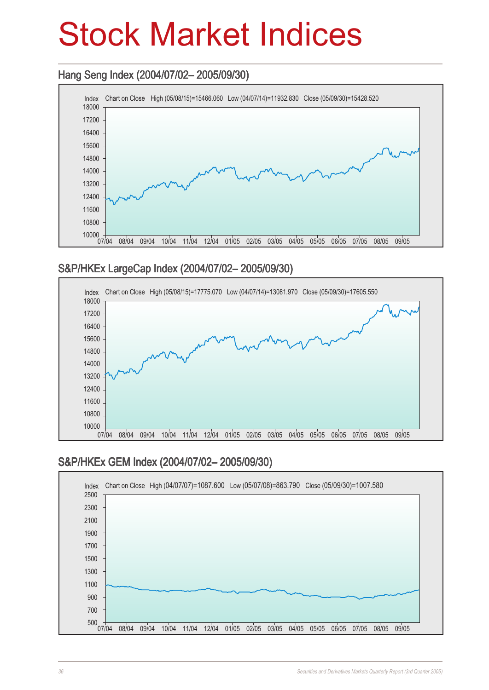### Stock Market Indices

#### Hang Seng Index (2004/07/02– 2005/09/30) Hang Seng (2004/07/02– 2005/09/30)



#### S&P/HKEx LargeCap Index (2004/07/02– 2005/09/30)



#### S&P/HKEx GEM Index (2004/07/02– 2005/09/30)

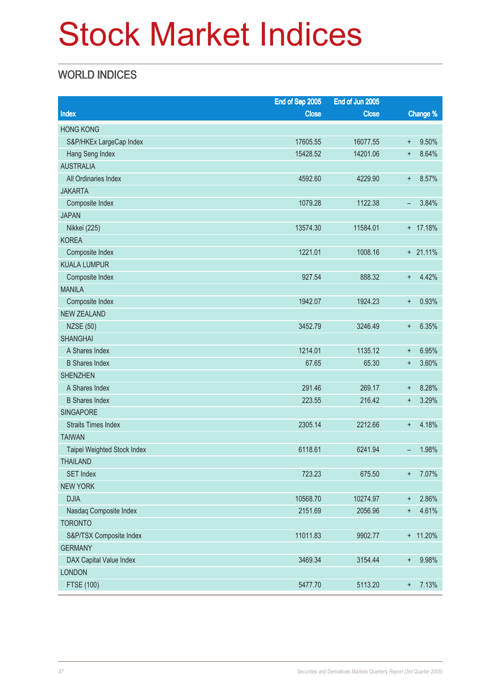### Stock Market Indices

### WORLD INDICES

| Change %<br>Index<br><b>Close</b><br><b>Close</b><br><b>HONG KONG</b><br>S&P/HKEx LargeCap Index<br>17605.55<br>16077.55<br>9.50%<br>$\ddagger$<br>14201.06<br>8.64%<br>Hang Seng Index<br>15428.52<br>$\ddot{}$<br><b>AUSTRALIA</b><br>All Ordinaries Index<br>8.57%<br>4592.60<br>4229.90<br>$\ddagger$<br><b>JAKARTA</b><br>3.84%<br>Composite Index<br>1079.28<br>1122.38<br>-<br><b>JAPAN</b><br>+ 17.18%<br>Nikkei (225)<br>13574.30<br>11584.01<br><b>KOREA</b><br>1221.01<br>1008.16<br>$+ 21.11%$<br>Composite Index<br><b>KUALA LUMPUR</b><br>4.42%<br>Composite Index<br>927.54<br>888.32<br>$\ddagger$ |               | End of Sep 2005 | End of Jun 2005 |  |
|--------------------------------------------------------------------------------------------------------------------------------------------------------------------------------------------------------------------------------------------------------------------------------------------------------------------------------------------------------------------------------------------------------------------------------------------------------------------------------------------------------------------------------------------------------------------------------------------------------------------|---------------|-----------------|-----------------|--|
|                                                                                                                                                                                                                                                                                                                                                                                                                                                                                                                                                                                                                    |               |                 |                 |  |
|                                                                                                                                                                                                                                                                                                                                                                                                                                                                                                                                                                                                                    |               |                 |                 |  |
|                                                                                                                                                                                                                                                                                                                                                                                                                                                                                                                                                                                                                    |               |                 |                 |  |
|                                                                                                                                                                                                                                                                                                                                                                                                                                                                                                                                                                                                                    |               |                 |                 |  |
|                                                                                                                                                                                                                                                                                                                                                                                                                                                                                                                                                                                                                    |               |                 |                 |  |
|                                                                                                                                                                                                                                                                                                                                                                                                                                                                                                                                                                                                                    |               |                 |                 |  |
|                                                                                                                                                                                                                                                                                                                                                                                                                                                                                                                                                                                                                    |               |                 |                 |  |
|                                                                                                                                                                                                                                                                                                                                                                                                                                                                                                                                                                                                                    |               |                 |                 |  |
|                                                                                                                                                                                                                                                                                                                                                                                                                                                                                                                                                                                                                    |               |                 |                 |  |
|                                                                                                                                                                                                                                                                                                                                                                                                                                                                                                                                                                                                                    |               |                 |                 |  |
|                                                                                                                                                                                                                                                                                                                                                                                                                                                                                                                                                                                                                    |               |                 |                 |  |
|                                                                                                                                                                                                                                                                                                                                                                                                                                                                                                                                                                                                                    |               |                 |                 |  |
|                                                                                                                                                                                                                                                                                                                                                                                                                                                                                                                                                                                                                    |               |                 |                 |  |
|                                                                                                                                                                                                                                                                                                                                                                                                                                                                                                                                                                                                                    |               |                 |                 |  |
|                                                                                                                                                                                                                                                                                                                                                                                                                                                                                                                                                                                                                    | <b>MANILA</b> |                 |                 |  |
| 1942.07<br>0.93%<br>Composite Index<br>1924.23<br>$\ddot{}$                                                                                                                                                                                                                                                                                                                                                                                                                                                                                                                                                        |               |                 |                 |  |
| <b>NEW ZEALAND</b>                                                                                                                                                                                                                                                                                                                                                                                                                                                                                                                                                                                                 |               |                 |                 |  |
| 6.35%<br><b>NZSE (50)</b><br>3452.79<br>3246.49<br>$\ddagger$                                                                                                                                                                                                                                                                                                                                                                                                                                                                                                                                                      |               |                 |                 |  |
| <b>SHANGHAI</b>                                                                                                                                                                                                                                                                                                                                                                                                                                                                                                                                                                                                    |               |                 |                 |  |
| 1214.01<br>A Shares Index<br>1135.12<br>6.95%<br>$\ddagger$                                                                                                                                                                                                                                                                                                                                                                                                                                                                                                                                                        |               |                 |                 |  |
| 67.65<br>3.60%<br><b>B</b> Shares Index<br>65.30<br>$\ddot{}$                                                                                                                                                                                                                                                                                                                                                                                                                                                                                                                                                      |               |                 |                 |  |
| <b>SHENZHEN</b>                                                                                                                                                                                                                                                                                                                                                                                                                                                                                                                                                                                                    |               |                 |                 |  |
| 291.46<br>A Shares Index<br>269.17<br>8.28%<br>$\ddot{}$                                                                                                                                                                                                                                                                                                                                                                                                                                                                                                                                                           |               |                 |                 |  |
| 3.29%<br><b>B</b> Shares Index<br>223.55<br>216.42<br>÷                                                                                                                                                                                                                                                                                                                                                                                                                                                                                                                                                            |               |                 |                 |  |
| <b>SINGAPORE</b>                                                                                                                                                                                                                                                                                                                                                                                                                                                                                                                                                                                                   |               |                 |                 |  |
| 2305.14<br>2212.66<br>4.18%<br><b>Straits Times Index</b><br>$\ddot{}$                                                                                                                                                                                                                                                                                                                                                                                                                                                                                                                                             |               |                 |                 |  |
| <b>TAIWAN</b>                                                                                                                                                                                                                                                                                                                                                                                                                                                                                                                                                                                                      |               |                 |                 |  |
| 6118.61<br>6241.94<br>1.98%<br>Taipei Weighted Stock Index<br>-                                                                                                                                                                                                                                                                                                                                                                                                                                                                                                                                                    |               |                 |                 |  |
| <b>THAILAND</b>                                                                                                                                                                                                                                                                                                                                                                                                                                                                                                                                                                                                    |               |                 |                 |  |
| <b>SET Index</b><br>723.23<br>7.07%<br>675.50<br>$\ddot{}$                                                                                                                                                                                                                                                                                                                                                                                                                                                                                                                                                         |               |                 |                 |  |
| <b>NEW YORK</b>                                                                                                                                                                                                                                                                                                                                                                                                                                                                                                                                                                                                    |               |                 |                 |  |
| <b>DJIA</b><br>10568.70<br>2.86%<br>10274.97<br>$\ddagger$                                                                                                                                                                                                                                                                                                                                                                                                                                                                                                                                                         |               |                 |                 |  |
| 2151.69<br>2056.96<br>4.61%<br>Nasdaq Composite Index<br>$\ddot{}$                                                                                                                                                                                                                                                                                                                                                                                                                                                                                                                                                 |               |                 |                 |  |
| <b>TORONTO</b>                                                                                                                                                                                                                                                                                                                                                                                                                                                                                                                                                                                                     |               |                 |                 |  |
| S&P/TSX Composite Index<br>11011.83<br>9902.77<br>$+ 11.20\%$                                                                                                                                                                                                                                                                                                                                                                                                                                                                                                                                                      |               |                 |                 |  |
| <b>GERMANY</b>                                                                                                                                                                                                                                                                                                                                                                                                                                                                                                                                                                                                     |               |                 |                 |  |
| DAX Capital Value Index<br>3469.34<br>3154.44<br>9.98%<br>$\ddot{}$                                                                                                                                                                                                                                                                                                                                                                                                                                                                                                                                                |               |                 |                 |  |
| <b>LONDON</b>                                                                                                                                                                                                                                                                                                                                                                                                                                                                                                                                                                                                      |               |                 |                 |  |
| 7.13%<br>FTSE (100)<br>5113.20<br>5477.70<br>$\boldsymbol{+}$                                                                                                                                                                                                                                                                                                                                                                                                                                                                                                                                                      |               |                 |                 |  |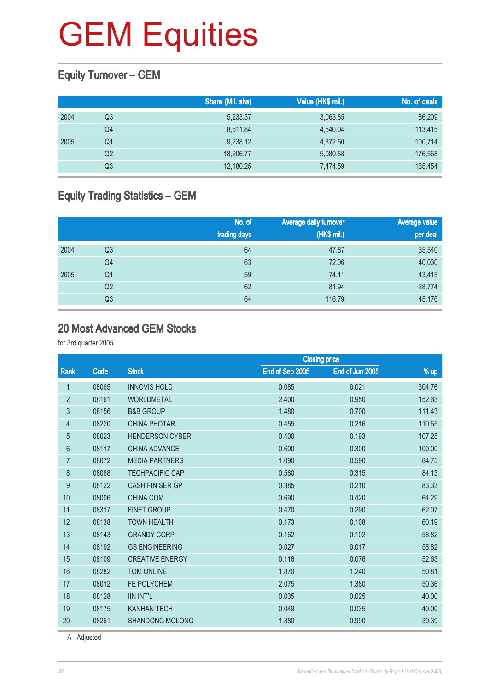#### Equity Turnover – GEM

|      |    | Share (Mil. shs) | Value (HK\$ mil.) | No. of deals |
|------|----|------------------|-------------------|--------------|
| 2004 | Q3 | 5,233.37         | 3,063.85          | 86,209       |
|      | Q4 | 8,511.84         | 4,540.04          | 113,415      |
| 2005 | Q1 | 9,238.12         | 4,372.50          | 100,714      |
|      | Q2 | 18,206.77        | 5,080.58          | 176,568      |
|      | Q3 | 12,180.25        | 7.474.59          | 165,454      |

### Equity Trading Statistics – GEM

|      |                | No. of<br>trading days | Average daily turnover<br>(HK\$ mil.) | <b>Average value</b><br>per deal |
|------|----------------|------------------------|---------------------------------------|----------------------------------|
| 2004 | Q3             | 64                     | 47.87                                 | 35,540                           |
|      | Q4             | 63                     | 72.06                                 | 40,030                           |
| 2005 | Q1             | 59                     | 74.11                                 | 43,415                           |
|      | Q2             | 62                     | 81.94                                 | 28,774                           |
|      | Q <sub>3</sub> | 64                     | 116.79                                | 45,176                           |

#### 20 Most Advanced GEM Stocks

for 3rd quarter 2005

|                |       |                                 |                 | <b>Closing price</b> |        |
|----------------|-------|---------------------------------|-----------------|----------------------|--------|
| Rank           | Code  | <b>Stock</b>                    | End of Sep 2005 | End of Jun 2005      | % up   |
| 1              | 08065 | <b>INNOVIS HOLD</b>             | 0.085           | 0.021                | 304.76 |
| $\overline{2}$ | 08161 | <b>WORLDMETAL</b>               | 2.400           | 0.950                | 152.63 |
| $\mathfrak{Z}$ | 08156 | <b>B&amp;B GROUP</b>            | 1.480           | 0.700                | 111.43 |
| 4              | 08220 | <b>CHINA PHOTAR</b>             | 0.455           | 0.216                | 110.65 |
| $\overline{5}$ | 08023 | <b>HENDERSON CYBER</b>          | 0.400           | 0.193                | 107.25 |
| 6              | 08117 | <b>CHINA ADVANCE</b>            | 0.600           | 0.300                | 100.00 |
| 7              | 08072 | <b>MEDIA PARTNERS</b><br>1.090  |                 | 0.590                | 84.75  |
| 8              | 08088 | <b>TECHPACIFIC CAP</b><br>0.580 |                 | 0.315                | 84.13  |
| 9              | 08122 | <b>CASH FIN SER GP</b>          | 0.385           | 0.210                | 83.33  |
| 10             | 08006 | CHINA.COM                       | 0.690           | 0.420                | 64.29  |
| 11             | 08317 | <b>FINET GROUP</b>              | 0.470           | 0.290                | 62.07  |
| 12             | 08138 | <b>TOWN HEALTH</b>              | 0.173           | 0.108                | 60.19  |
| 13             | 08143 | <b>GRANDY CORP</b>              | 0.162           | 0.102                | 58.82  |
| 14             | 08192 | <b>GS ENGINEERING</b>           | 0.027           | 0.017                | 58.82  |
| 15             | 08109 | <b>CREATIVE ENERGY</b>          | 0.116           | 0.076                | 52.63  |
| 16             | 08282 | <b>TOM ONLINE</b>               | 1.870           | 1.240                | 50.81  |
| 17             | 08012 | FE POLYCHEM<br>2.075<br>1.380   |                 |                      | 50.36  |
| 18             | 08128 | <b>IIN INT'L</b>                | 0.035           | 0.025                | 40.00  |
| 19             | 08175 | <b>KANHAN TECH</b>              | 0.049           | 0.035                | 40.00  |
| 20             | 08261 | <b>SHANDONG MOLONG</b>          | 1.380           | 0.990                | 39.39  |
|                |       |                                 |                 |                      |        |

A Adjusted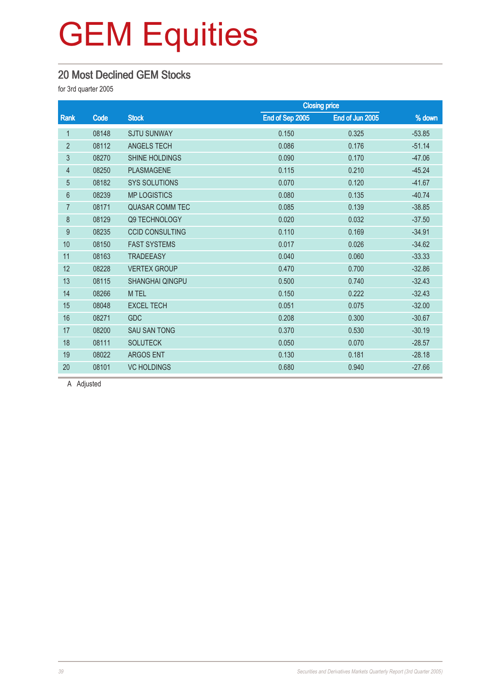#### 20 Most Declined GEM Stocks

for 3rd quarter 2005

|                |       |                                      | <b>Closing price</b> |                 |          |
|----------------|-------|--------------------------------------|----------------------|-----------------|----------|
| Rank           | Code  | <b>Stock</b>                         | End of Sep 2005      | End of Jun 2005 | % down   |
| 1              | 08148 | <b>SJTU SUNWAY</b>                   | 0.150                | 0.325           | $-53.85$ |
| $\overline{2}$ | 08112 | <b>ANGELS TECH</b>                   | 0.086                | 0.176           | $-51.14$ |
| 3              | 08270 | SHINE HOLDINGS                       | 0.090                |                 | $-47.06$ |
| 4              | 08250 | <b>PLASMAGENE</b>                    | 0.115                | 0.210           | $-45.24$ |
| $\overline{5}$ | 08182 | <b>SYS SOLUTIONS</b>                 | 0.070                | 0.120           | $-41.67$ |
| 6              | 08239 | <b>MP LOGISTICS</b>                  | 0.080                | 0.135           | $-40.74$ |
| $\overline{7}$ | 08171 | <b>QUASAR COMM TEC</b><br>0.085      |                      | 0.139           | $-38.85$ |
| 8              | 08129 | Q9 TECHNOLOGY<br>0.020               |                      | 0.032           | $-37.50$ |
| 9              | 08235 | 0.110<br><b>CCID CONSULTING</b>      |                      | 0.169           | $-34.91$ |
| 10             | 08150 | <b>FAST SYSTEMS</b>                  | 0.017                | 0.026           | $-34.62$ |
| 11             | 08163 | <b>TRADEEASY</b>                     | 0.040                | 0.060           | $-33.33$ |
| 12             | 08228 | <b>VERTEX GROUP</b>                  | 0.470                | 0.700           | $-32.86$ |
| 13             | 08115 | <b>SHANGHAI QINGPU</b>               | 0.500                | 0.740           | $-32.43$ |
| 14             | 08266 | M TEL                                | 0.150                | 0.222           | $-32.43$ |
| 15             | 08048 | <b>EXCEL TECH</b>                    | 0.051                | 0.075           | $-32.00$ |
| 16             | 08271 | <b>GDC</b>                           | 0.208                | 0.300           | $-30.67$ |
| 17             | 08200 | <b>SAU SAN TONG</b>                  | 0.370                | 0.530           | $-30.19$ |
| 18             | 08111 | <b>SOLUTECK</b>                      | 0.050                | 0.070           | $-28.57$ |
| 19             | 08022 | <b>ARGOS ENT</b>                     | 0.130                | 0.181           | $-28.18$ |
| 20             | 08101 | 0.680<br><b>VC HOLDINGS</b><br>0.940 |                      |                 | $-27.66$ |

A Adjusted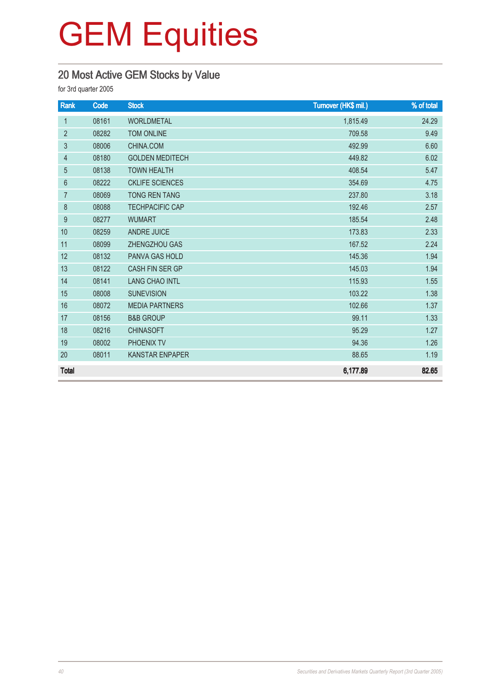### 20 Most Active GEM Stocks by Value

for 3rd quarter 2005

| Rank            | Code  | <b>Stock</b>           | Turnover (HK\$ mil.) | % of total |  |  |
|-----------------|-------|------------------------|----------------------|------------|--|--|
| $\mathbf 1$     | 08161 | <b>WORLDMETAL</b>      | 1,815.49             | 24.29      |  |  |
| $\overline{2}$  | 08282 | <b>TOM ONLINE</b>      | 709.58               | 9.49       |  |  |
| $\mathfrak{B}$  | 08006 | CHINA.COM              | 492.99               |            |  |  |
| $\overline{4}$  | 08180 | <b>GOLDEN MEDITECH</b> | 449.82               |            |  |  |
| 5               | 08138 | <b>TOWN HEALTH</b>     | 408.54               | 5.47       |  |  |
| $6\phantom{1}6$ | 08222 | <b>CKLIFE SCIENCES</b> | 354.69               | 4.75       |  |  |
| $\overline{7}$  | 08069 | <b>TONG REN TANG</b>   | 237.80               | 3.18       |  |  |
| 8               | 08088 | <b>TECHPACIFIC CAP</b> | 192.46               | 2.57       |  |  |
| 9               | 08277 | <b>WUMART</b>          | 185.54               | 2.48       |  |  |
| 10              | 08259 | <b>ANDRE JUICE</b>     | 173.83               | 2.33       |  |  |
| 11              | 08099 | ZHENGZHOU GAS          | 167.52               | 2.24       |  |  |
| 12              | 08132 | <b>PANVA GAS HOLD</b>  | 145.36               | 1.94       |  |  |
| 13              | 08122 | CASH FIN SER GP        | 145.03               | 1.94       |  |  |
| 14              | 08141 | <b>LANG CHAO INTL</b>  | 115.93               | 1.55       |  |  |
| 15              | 08008 | <b>SUNEVISION</b>      | 103.22               | 1.38       |  |  |
| 16              | 08072 | <b>MEDIA PARTNERS</b>  | 102.66               | 1.37       |  |  |
| 17              | 08156 | <b>B&amp;B GROUP</b>   | 99.11                | 1.33       |  |  |
| 18              | 08216 | <b>CHINASOFT</b>       | 95.29                | 1.27       |  |  |
| 19              | 08002 | PHOENIX TV             | 94.36                | 1.26       |  |  |
| 20              | 08011 | <b>KANSTAR ENPAPER</b> | 88.65                | 1.19       |  |  |
| <b>Total</b>    |       |                        | 6,177.89             | 82.65      |  |  |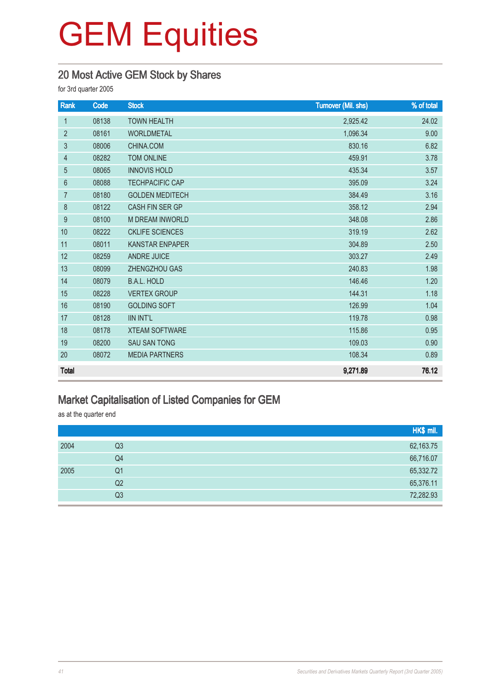#### 20 Most Active GEM Stock by Shares

for 3rd quarter 2005

| Rank           | Code  | <b>Stock</b>           | <b>Turnover (Mil. shs)</b> | % of total |  |
|----------------|-------|------------------------|----------------------------|------------|--|
| $\mathbf{1}$   | 08138 | <b>TOWN HEALTH</b>     | 2,925.42                   | 24.02      |  |
| $\overline{2}$ | 08161 | <b>WORLDMETAL</b>      | 1,096.34                   | 9.00       |  |
| 3              | 08006 | CHINA.COM              | 830.16                     |            |  |
| $\overline{4}$ | 08282 | <b>TOM ONLINE</b>      | 459.91                     |            |  |
| 5              | 08065 | <b>INNOVIS HOLD</b>    | 435.34                     | 3.57       |  |
| $6\phantom{1}$ | 08088 | <b>TECHPACIFIC CAP</b> | 395.09                     | 3.24       |  |
| $\overline{7}$ | 08180 | <b>GOLDEN MEDITECH</b> | 384.49                     | 3.16       |  |
| 8              | 08122 | <b>CASH FIN SER GP</b> | 358.12                     | 2.94       |  |
| 9              | 08100 | <b>M DREAM INWORLD</b> | 348.08                     | 2.86       |  |
| 10             | 08222 | <b>CKLIFE SCIENCES</b> | 319.19                     | 2.62       |  |
| 11             | 08011 | <b>KANSTAR ENPAPER</b> | 304.89                     | 2.50       |  |
| 12             | 08259 | <b>ANDRE JUICE</b>     | 303.27                     | 2.49       |  |
| 13             | 08099 | ZHENGZHOU GAS          | 240.83                     | 1.98       |  |
| 14             | 08079 | <b>B.A.L. HOLD</b>     | 146.46                     | 1.20       |  |
| 15             | 08228 | <b>VERTEX GROUP</b>    | 144.31                     | 1.18       |  |
| 16             | 08190 | <b>GOLDING SOFT</b>    | 126.99                     | 1.04       |  |
| 17             | 08128 | <b>IIN INT'L</b>       | 119.78                     | 0.98       |  |
| 18             | 08178 | <b>XTEAM SOFTWARE</b>  | 115.86                     | 0.95       |  |
| 19             | 08200 | <b>SAU SAN TONG</b>    | 109.03                     | 0.90       |  |
| 20             | 08072 | <b>MEDIA PARTNERS</b>  | 108.34                     | 0.89       |  |
| <b>Total</b>   |       |                        | 9,271.89                   | 76.12      |  |

#### Market Capitalisation of Listed Companies for GEM

as at the quarter end

|      |    | HK\$ mil. |
|------|----|-----------|
| 2004 | Q3 | 62,163.75 |
|      | Q4 | 66,716.07 |
| 2005 | Q1 | 65,332.72 |
|      | Q2 | 65,376.11 |
|      | Q3 | 72,282.93 |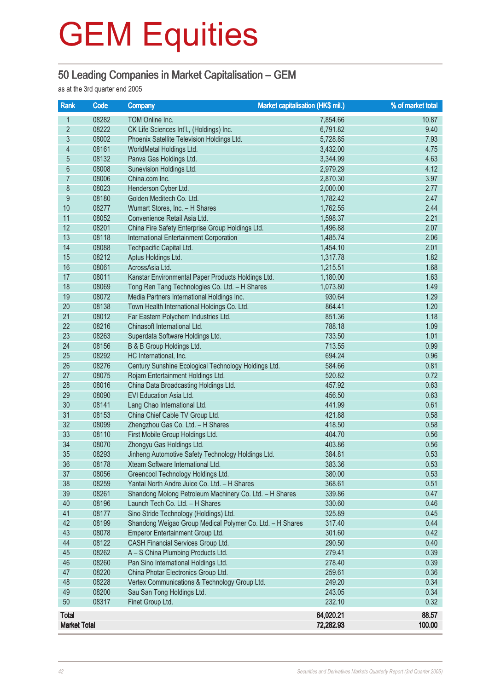#### 50 Leading Companies in Market Capitalisation – GEM

as at the 3rd quarter end 2005

| Rank                | Code           | <b>Market capitalisation (HK\$ mil.)</b><br><b>Company</b>                              |                  | % of market total |
|---------------------|----------------|-----------------------------------------------------------------------------------------|------------------|-------------------|
| 1                   | 08282          | TOM Online Inc.                                                                         | 7,854.66         | 10.87             |
| $\overline{2}$      | 08222          | CK Life Sciences Int'l., (Holdings) Inc.                                                | 6,791.82         | 9.40              |
| $\overline{3}$      | 08002          | Phoenix Satellite Television Holdings Ltd.                                              | 5,728.85         | 7.93              |
| $\overline{4}$      | 08161          | WorldMetal Holdings Ltd.                                                                | 3,432.00         | 4.75              |
| $\overline{5}$      | 08132          | Panva Gas Holdings Ltd.                                                                 | 3,344.99         | 4.63              |
| $6\phantom{a}$      | 08008          | Sunevision Holdings Ltd.                                                                | 2,979.29         | 4.12              |
| $\overline{7}$      | 08006          | China.com Inc.                                                                          | 2,870.30         | 3.97              |
| $8\,$               | 08023          | Henderson Cyber Ltd.                                                                    | 2,000.00         | 2.77              |
| $\overline{9}$      | 08180          | Golden Meditech Co. Ltd.                                                                | 1,782.42         | 2.47              |
| 10                  | 08277          | Wumart Stores, Inc. - H Shares                                                          | 1,762.55         | 2.44              |
| 11                  | 08052          | Convenience Retail Asia Ltd.                                                            | 1,598.37         | 2.21              |
| 12                  | 08201          | China Fire Safety Enterprise Group Holdings Ltd.                                        | 1,496.88         | 2.07              |
| 13                  | 08118          | International Entertainment Corporation                                                 | 1,485.74         | 2.06              |
| 14                  | 08088          | Techpacific Capital Ltd.                                                                | 1,454.10         | 2.01              |
| 15                  | 08212          | Aptus Holdings Ltd.                                                                     | 1,317.78         | 1.82              |
| 16                  | 08061          | AcrossAsia Ltd.                                                                         | 1,215.51         | 1.68              |
| 17                  | 08011          | Kanstar Environmental Paper Products Holdings Ltd.                                      | 1,180.00         | 1.63              |
| 18                  | 08069          | Tong Ren Tang Technologies Co. Ltd. - H Shares                                          | 1,073.80         | 1.49              |
| 19                  | 08072          | Media Partners International Holdings Inc.                                              | 930.64           | 1.29              |
| 20                  | 08138          | Town Health International Holdings Co. Ltd.                                             | 864.41           | 1.20              |
| 21                  | 08012          | Far Eastern Polychem Industries Ltd.                                                    | 851.36           | 1.18              |
| 22                  | 08216          | Chinasoft International Ltd.                                                            | 788.18           | 1.09              |
| 23                  | 08263          | Superdata Software Holdings Ltd.                                                        | 733.50           | 1.01              |
| 24                  | 08156          | B & B Group Holdings Ltd.                                                               | 713.55           | 0.99              |
| 25                  | 08292          | HC International, Inc.                                                                  | 694.24           | 0.96              |
| 26                  | 08276          | Century Sunshine Ecological Technology Holdings Ltd.                                    | 584.66           | 0.81              |
| 27                  | 08075          | Rojam Entertainment Holdings Ltd.                                                       | 520.82           | 0.72              |
| 28                  | 08016          | China Data Broadcasting Holdings Ltd.                                                   | 457.92           | 0.63              |
| 29                  | 08090          | EVI Education Asia Ltd.                                                                 | 456.50           | 0.63              |
| 30                  | 08141          | Lang Chao International Ltd.                                                            | 441.99           | 0.61              |
| 31                  | 08153          | China Chief Cable TV Group Ltd.                                                         | 421.88           | 0.58              |
| 32                  | 08099          | Zhengzhou Gas Co. Ltd. - H Shares                                                       | 418.50           | 0.58              |
| 33                  | 08110          | First Mobile Group Holdings Ltd.                                                        | 404.70           | 0.56              |
| 34<br>35            | 08070          | Zhongyu Gas Holdings Ltd.                                                               | 403.86           | 0.56              |
|                     | 08293          | Jinheng Automotive Safety Technology Holdings Ltd.<br>Xteam Software International Ltd. | 384.81           | 0.53              |
| 36                  | 08178          |                                                                                         | 383.36           | 0.53              |
| 37<br>38            | 08056<br>08259 | Greencool Technology Holdings Ltd.<br>Yantai North Andre Juice Co. Ltd. - H Shares      | 380.00<br>368.61 | 0.53<br>0.51      |
| 39                  | 08261          | Shandong Molong Petroleum Machinery Co. Ltd. - H Shares                                 | 339.86           | 0.47              |
| 40                  | 08196          | Launch Tech Co. Ltd. - H Shares                                                         | 330.60           | 0.46              |
| 41                  | 08177          | Sino Stride Technology (Holdings) Ltd.                                                  | 325.89           | 0.45              |
| 42                  | 08199          | Shandong Weigao Group Medical Polymer Co. Ltd. - H Shares                               | 317.40           | 0.44              |
| 43                  | 08078          | Emperor Entertainment Group Ltd.                                                        | 301.60           | 0.42              |
| 44                  | 08122          | CASH Financial Services Group Ltd.                                                      | 290.50           | 0.40              |
| 45                  | 08262          | A - S China Plumbing Products Ltd.                                                      | 279.41           | 0.39              |
| 46                  | 08260          | Pan Sino International Holdings Ltd.                                                    | 278.40           | 0.39              |
| 47                  | 08220          | China Photar Electronics Group Ltd.                                                     | 259.61           | 0.36              |
| 48                  | 08228          | Vertex Communications & Technology Group Ltd.                                           | 249.20           | 0.34              |
| 49                  | 08200          | Sau San Tong Holdings Ltd.                                                              | 243.05           | 0.34              |
| 50                  | 08317          | Finet Group Ltd.                                                                        | 232.10           | 0.32              |
| <b>Total</b>        |                |                                                                                         | 64,020.21        | 88.57             |
| <b>Market Total</b> |                |                                                                                         | 72,282.93        | 100.00            |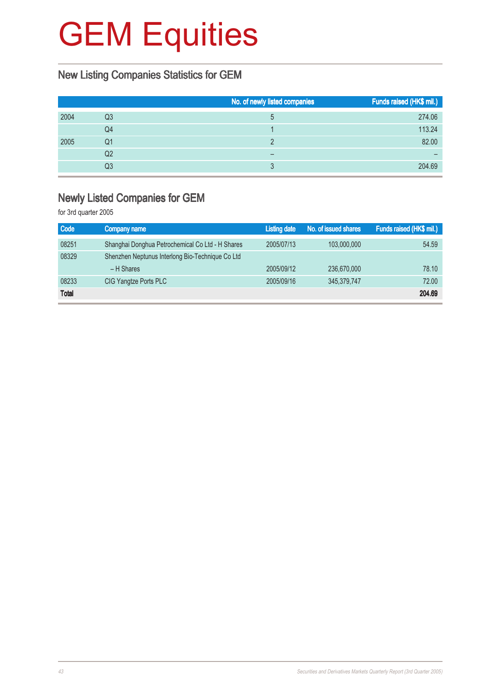### New Listing Companies Statistics for GEM

|      |    | No. of newly listed companies | Funds raised (HK\$ mil.) |
|------|----|-------------------------------|--------------------------|
| 2004 | Q3 | 5                             | 274.06                   |
|      | Q4 |                               | 113.24                   |
| 2005 | Q1 | n                             | 82.00                    |
|      | Q2 | -                             |                          |
|      | Q3 |                               | 204.69                   |

#### Newly Listed Companies for GEM

for 3rd quarter 2005

| <b>Code</b>  | Company name                                     | <b>Listing date</b> | No. of issued shares | Funds raised (HK\$ mil.) |
|--------------|--------------------------------------------------|---------------------|----------------------|--------------------------|
| 08251        | Shanghai Donghua Petrochemical Co Ltd - H Shares | 2005/07/13          | 103,000,000          | 54.59                    |
| 08329        | Shenzhen Neptunus Interlong Bio-Technique Co Ltd |                     |                      |                          |
|              | $-H$ Shares                                      | 2005/09/12          | 236,670,000          | 78.10                    |
| 08233        | CIG Yangtze Ports PLC                            | 2005/09/16          | 345,379,747          | 72.00                    |
| <b>Total</b> |                                                  |                     |                      | 204.69                   |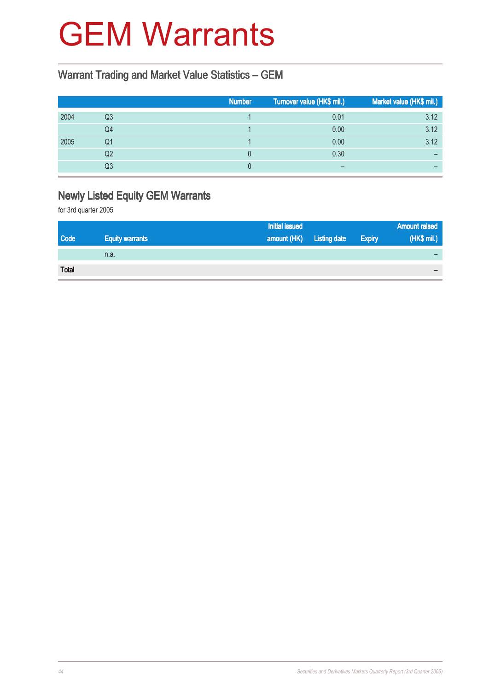### GEM Warrants

#### Warrant Trading and Market Value Statistics – GEM

|    | <b>Number</b> | Turnover value (HK\$ mil.) | Market value (HK\$ mil.) |
|----|---------------|----------------------------|--------------------------|
| Q3 |               | 0.01                       | 3.12                     |
| Q4 |               | 0.00                       | 3.12                     |
| Q1 |               | 0.00                       | 3.12                     |
| Q2 |               | 0.30                       |                          |
| Q3 |               |                            |                          |
|    |               |                            |                          |

### Newly Listed Equity GEM Warrants

for 3rd quarter 2005

|              |                        | <b>Initial issued</b> |                     |               | <b>Amount raised</b>     |
|--------------|------------------------|-----------------------|---------------------|---------------|--------------------------|
| <b>Code</b>  | <b>Equity warrants</b> | amount (HK)           | <b>Listing date</b> | <b>Expiry</b> | (HK\$ mil.)              |
|              | n.a.                   |                       |                     |               |                          |
| <b>Total</b> |                        |                       |                     |               | $\overline{\phantom{0}}$ |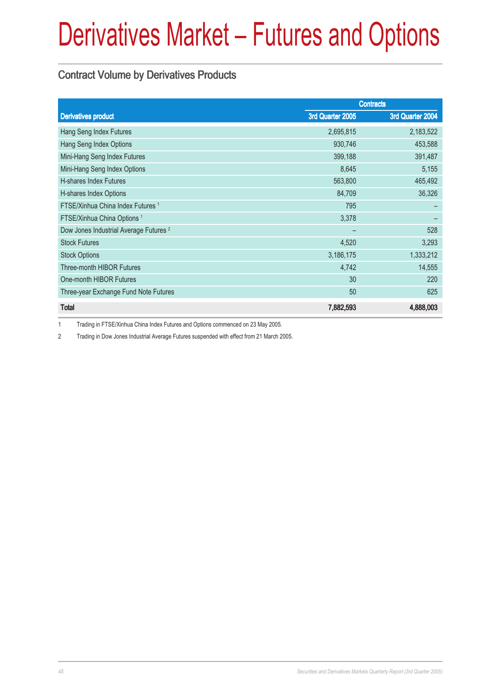#### Contract Volume by Derivatives Products

|                                                   |                  | <b>Contracts</b> |
|---------------------------------------------------|------------------|------------------|
| <b>Derivatives product</b>                        | 3rd Quarter 2005 | 3rd Quarter 2004 |
| Hang Seng Index Futures                           | 2,695,815        | 2,183,522        |
| Hang Seng Index Options                           | 930,746          | 453,588          |
| Mini-Hang Seng Index Futures                      | 399,188          | 391,487          |
| Mini-Hang Seng Index Options                      | 8,645            | 5,155            |
| <b>H-shares Index Futures</b>                     | 563,800          | 465,492          |
| H-shares Index Options                            | 84,709           | 36,326           |
| FTSE/Xinhua China Index Futures <sup>1</sup>      | 795              |                  |
| FTSE/Xinhua China Options <sup>1</sup>            | 3,378            |                  |
| Dow Jones Industrial Average Futures <sup>2</sup> |                  | 528              |
| <b>Stock Futures</b>                              | 4,520            | 3,293            |
| <b>Stock Options</b>                              | 3,186,175        | 1,333,212        |
| <b>Three-month HIBOR Futures</b>                  | 4,742            | 14,555           |
| One-month HIBOR Futures                           | 30               | 220              |
| Three-year Exchange Fund Note Futures             | 50               | 625              |
| <b>Total</b>                                      | 7,882,593        | 4,888,003        |

1 Trading in FTSE/Xinhua China Index Futures and Options commenced on 23 May 2005.

2 Trading in Dow Jones Industrial Average Futures suspended with effect from 21 March 2005.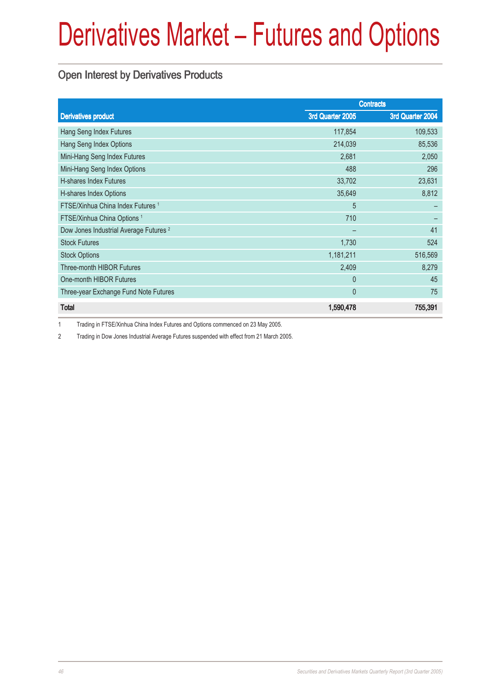#### Open Interest by Derivatives Products

|                                                   | <b>Contracts</b> |                  |  |
|---------------------------------------------------|------------------|------------------|--|
| <b>Derivatives product</b>                        | 3rd Quarter 2005 | 3rd Quarter 2004 |  |
| Hang Seng Index Futures                           | 117,854          | 109,533          |  |
| Hang Seng Index Options                           | 214,039          | 85,536           |  |
| Mini-Hang Seng Index Futures                      | 2,681            | 2,050            |  |
| Mini-Hang Seng Index Options                      | 488              | 296              |  |
| <b>H-shares Index Futures</b>                     | 33,702           | 23,631           |  |
| H-shares Index Options                            | 35,649           | 8,812            |  |
| FTSE/Xinhua China Index Futures <sup>1</sup>      | 5                |                  |  |
| FTSE/Xinhua China Options <sup>1</sup>            | 710              |                  |  |
| Dow Jones Industrial Average Futures <sup>2</sup> |                  | 41               |  |
| <b>Stock Futures</b>                              | 1,730            | 524              |  |
| <b>Stock Options</b>                              | 1,181,211        | 516,569          |  |
| <b>Three-month HIBOR Futures</b>                  | 2,409            | 8,279            |  |
| One-month HIBOR Futures                           | $\theta$         | 45               |  |
| Three-year Exchange Fund Note Futures             | $\mathbf{0}$     | 75               |  |
| <b>Total</b>                                      | 1,590,478        | 755,391          |  |

1 Trading in FTSE/Xinhua China Index Futures and Options commenced on 23 May 2005.

2 Trading in Dow Jones Industrial Average Futures suspended with effect from 21 March 2005.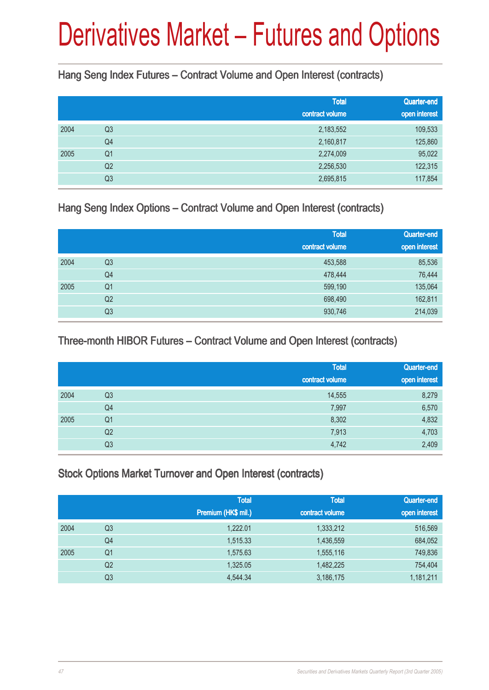Hang Seng Index Futures – Contract Volume and Open Interest (contracts)

|      |                | <b>Total</b><br>contract volume | Quarter-end<br>open interest |
|------|----------------|---------------------------------|------------------------------|
| 2004 | Q <sub>3</sub> | 2,183,552                       | 109,533                      |
|      | Q4             | 2,160,817                       | 125,860                      |
| 2005 | Q <sub>1</sub> | 2,274,009                       | 95,022                       |
|      | Q <sub>2</sub> | 2,256,530                       | 122,315                      |
|      | Q <sub>3</sub> | 2,695,815                       | 117,854                      |

Hang Seng Index Options – Contract Volume and Open Interest (contracts)

|      |                | <b>Total</b><br>contract volume | Quarter-end<br>open interest |
|------|----------------|---------------------------------|------------------------------|
| 2004 | Q <sub>3</sub> | 453,588                         | 85,536                       |
|      | Q4             | 478,444                         | 76,444                       |
| 2005 | Q <sub>1</sub> | 599,190                         | 135,064                      |
|      | Q2             | 698,490                         | 162,811                      |
|      | Q <sub>3</sub> | 930,746                         | 214,039                      |

Three-month HIBOR Futures – Contract Volume and Open Interest (contracts)

|      |                | <b>Total</b>    | Quarter-end   |
|------|----------------|-----------------|---------------|
|      |                | contract volume | open interest |
| 2004 | Q <sub>3</sub> | 14,555          | 8,279         |
|      | Q4             | 7,997           | 6,570         |
| 2005 | Q <sub>1</sub> | 8,302           | 4,832         |
|      | Q <sub>2</sub> | 7,913           | 4,703         |
|      | Q <sub>3</sub> | 4,742           | 2,409         |

Stock Options Market Turnover and Open Interest (contracts)

|      |                | <b>Total</b><br>Premium (HK\$ mil.) | <b>Total</b><br>contract volume | Quarter-end<br>open interest |
|------|----------------|-------------------------------------|---------------------------------|------------------------------|
| 2004 | Q3             | 1,222.01                            | 1,333,212                       | 516,569                      |
|      | Q <sub>4</sub> | 1,515.33                            | 1,436,559                       | 684,052                      |
| 2005 | Q <sub>1</sub> | 1,575.63                            | 1,555,116                       | 749,836                      |
|      | Q <sub>2</sub> | 1,325.05                            | 1,482,225                       | 754,404                      |
|      | Q3             | 4,544.34                            | 3,186,175                       | 1,181,211                    |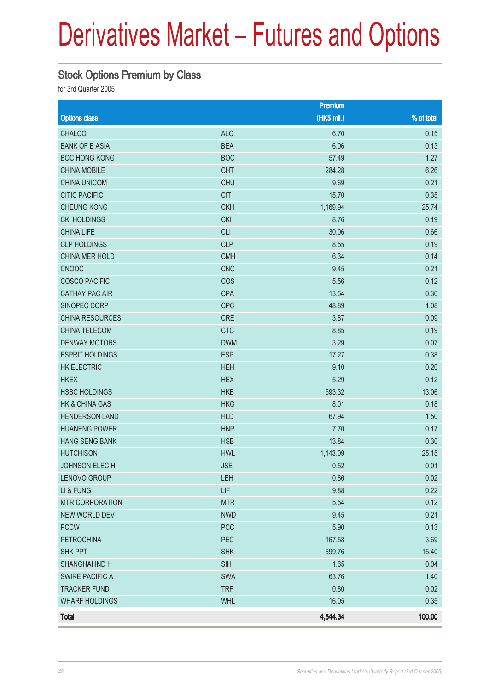### Stock Options Premium by Class

for 3rd Quarter 2005

|                        |            | Premium      |            |
|------------------------|------------|--------------|------------|
| <b>Options class</b>   |            | $(HK$$ mil.) | % of total |
| <b>CHALCO</b>          | <b>ALC</b> | 6.70         | 0.15       |
| <b>BANK OF E ASIA</b>  | <b>BEA</b> | 6.06         | 0.13       |
| <b>BOC HONG KONG</b>   | <b>BOC</b> | 57.49        | 1.27       |
| <b>CHINA MOBILE</b>    | <b>CHT</b> | 284.28       | 6.26       |
| <b>CHINA UNICOM</b>    | <b>CHU</b> | 9.69         | 0.21       |
| <b>CITIC PACIFIC</b>   | <b>CIT</b> | 15.70        | 0.35       |
| <b>CHEUNG KONG</b>     | <b>CKH</b> | 1,169.94     | 25.74      |
| <b>CKI HOLDINGS</b>    | <b>CKI</b> | 8.76         | 0.19       |
| <b>CHINA LIFE</b>      | <b>CLI</b> | 30.06        | 0.66       |
| <b>CLP HOLDINGS</b>    | <b>CLP</b> | 8.55         | 0.19       |
| CHINA MER HOLD         | <b>CMH</b> | 6.34         | 0.14       |
| <b>CNOOC</b>           | <b>CNC</b> | 9.45         | 0.21       |
| <b>COSCO PACIFIC</b>   | COS        | 5.56         | 0.12       |
| <b>CATHAY PAC AIR</b>  | <b>CPA</b> | 13.54        | 0.30       |
| SINOPEC CORP           | <b>CPC</b> | 48.89        | 1.08       |
| <b>CHINA RESOURCES</b> | <b>CRE</b> | 3.87         | 0.09       |
| CHINA TELECOM          | <b>CTC</b> | 8.85         | 0.19       |
| <b>DENWAY MOTORS</b>   | <b>DWM</b> | 3.29         | 0.07       |
| <b>ESPRIT HOLDINGS</b> | <b>ESP</b> | 17.27        | 0.38       |
| HK ELECTRIC            | <b>HEH</b> | 9.10         | 0.20       |
| <b>HKEX</b>            | <b>HEX</b> | 5.29         | 0.12       |
| <b>HSBC HOLDINGS</b>   | <b>HKB</b> | 593.32       | 13.06      |
| HK & CHINA GAS         | <b>HKG</b> | 8.01         | 0.18       |
| <b>HENDERSON LAND</b>  | <b>HLD</b> | 67.94        | 1.50       |
| <b>HUANENG POWER</b>   | <b>HNP</b> | 7.70         | 0.17       |
| <b>HANG SENG BANK</b>  | <b>HSB</b> | 13.84        | 0.30       |
| <b>HUTCHISON</b>       | <b>HWL</b> | 1,143.09     | 25.15      |
| JOHNSON ELECH          | <b>JSE</b> | 0.52         | 0.01       |
| LENOVO GROUP           | LEH        | 0.86         | 0.02       |
| LI & FUNG              | <b>LIF</b> | 9.88         | 0.22       |
| <b>MTR CORPORATION</b> | <b>MTR</b> | 5.54         | 0.12       |
| NEW WORLD DEV          | <b>NWD</b> | 9.45         | 0.21       |
| <b>PCCW</b>            | <b>PCC</b> | 5.90         | 0.13       |
| <b>PETROCHINA</b>      | PEC        | 167.58       | 3.69       |
| <b>SHK PPT</b>         | <b>SHK</b> | 699.76       | 15.40      |
| <b>SHANGHAI IND H</b>  | <b>SIH</b> | 1.65         | 0.04       |
| <b>SWIRE PACIFIC A</b> | <b>SWA</b> | 63.76        | 1.40       |
| <b>TRACKER FUND</b>    | <b>TRF</b> | 0.80         | 0.02       |
| <b>WHARF HOLDINGS</b>  | <b>WHL</b> | 16.05        | 0.35       |
| <b>Total</b>           |            | 4,544.34     | 100.00     |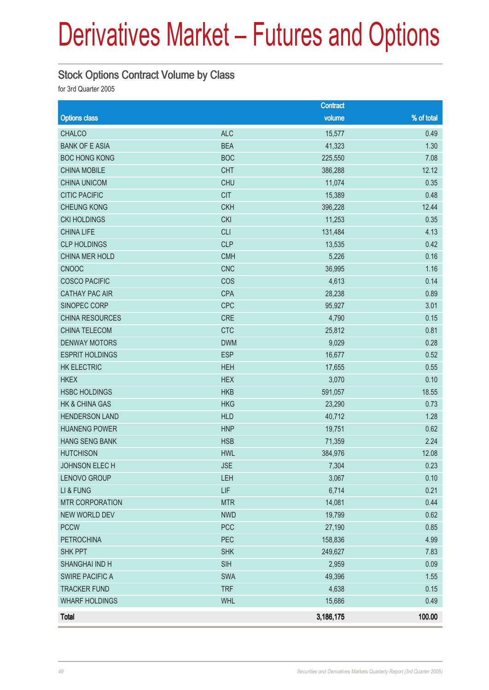#### Stock Options Contract Volume by Class

for 3rd Quarter 2005

|                        |            | <b>Contract</b> |            |
|------------------------|------------|-----------------|------------|
| <b>Options class</b>   |            | volume          | % of total |
| <b>CHALCO</b>          | <b>ALC</b> | 15,577          | 0.49       |
| <b>BANK OF E ASIA</b>  | <b>BEA</b> | 41,323          | 1.30       |
| <b>BOC HONG KONG</b>   | <b>BOC</b> | 225,550         | 7.08       |
| <b>CHINA MOBILE</b>    | <b>CHT</b> | 386,288         | 12.12      |
| <b>CHINA UNICOM</b>    | <b>CHU</b> | 11,074          | 0.35       |
| <b>CITIC PACIFIC</b>   | <b>CIT</b> | 15,389          | 0.48       |
| <b>CHEUNG KONG</b>     | <b>CKH</b> | 396,228         | 12.44      |
| <b>CKI HOLDINGS</b>    | <b>CKI</b> | 11,253          | 0.35       |
| <b>CHINA LIFE</b>      | <b>CLI</b> | 131,484         | 4.13       |
| <b>CLP HOLDINGS</b>    | <b>CLP</b> | 13,535          | 0.42       |
| CHINA MER HOLD         | <b>CMH</b> | 5,226           | 0.16       |
| CNOOC                  | <b>CNC</b> | 36,995          | 1.16       |
| <b>COSCO PACIFIC</b>   | COS        | 4,613           | 0.14       |
| <b>CATHAY PAC AIR</b>  | <b>CPA</b> | 28,238          | 0.89       |
| SINOPEC CORP           | <b>CPC</b> | 95,927          | 3.01       |
| <b>CHINA RESOURCES</b> | <b>CRE</b> | 4,790           | 0.15       |
| CHINA TELECOM          | <b>CTC</b> | 25,812          | 0.81       |
| <b>DENWAY MOTORS</b>   | <b>DWM</b> | 9,029           | 0.28       |
| <b>ESPRIT HOLDINGS</b> | <b>ESP</b> | 16,677          | 0.52       |
| HK ELECTRIC            | <b>HEH</b> | 17,655          | 0.55       |
| <b>HKEX</b>            | <b>HEX</b> | 3,070           | 0.10       |
| <b>HSBC HOLDINGS</b>   | <b>HKB</b> | 591,057         | 18.55      |
| HK & CHINA GAS         | <b>HKG</b> | 23,290          | 0.73       |
| <b>HENDERSON LAND</b>  | <b>HLD</b> | 40,712          | 1.28       |
| <b>HUANENG POWER</b>   | <b>HNP</b> | 19,751          | 0.62       |
| <b>HANG SENG BANK</b>  | <b>HSB</b> | 71,359          | 2.24       |
| <b>HUTCHISON</b>       | <b>HWL</b> | 384,976         | 12.08      |
| <b>JOHNSON ELEC H</b>  | <b>JSE</b> | 7,304           | 0.23       |
| LENOVO GROUP           | LEH        | 3,067           | 0.10       |
| LI & FUNG              | LIF        | 6,714           | 0.21       |
| <b>MTR CORPORATION</b> | <b>MTR</b> | 14,081          | 0.44       |
| <b>NEW WORLD DEV</b>   | <b>NWD</b> | 19,799          | 0.62       |
| <b>PCCW</b>            | <b>PCC</b> | 27,190          | 0.85       |
| <b>PETROCHINA</b>      | PEC        | 158,836         | 4.99       |
| <b>SHK PPT</b>         | <b>SHK</b> | 249,627         | 7.83       |
| SHANGHAI IND H         | <b>SIH</b> | 2,959           | 0.09       |
| <b>SWIRE PACIFIC A</b> | <b>SWA</b> | 49,396          | 1.55       |
| <b>TRACKER FUND</b>    | <b>TRF</b> | 4,638           | 0.15       |
| <b>WHARF HOLDINGS</b>  | <b>WHL</b> | 15,686          | 0.49       |
| <b>Total</b>           |            | 3,186,175       | 100.00     |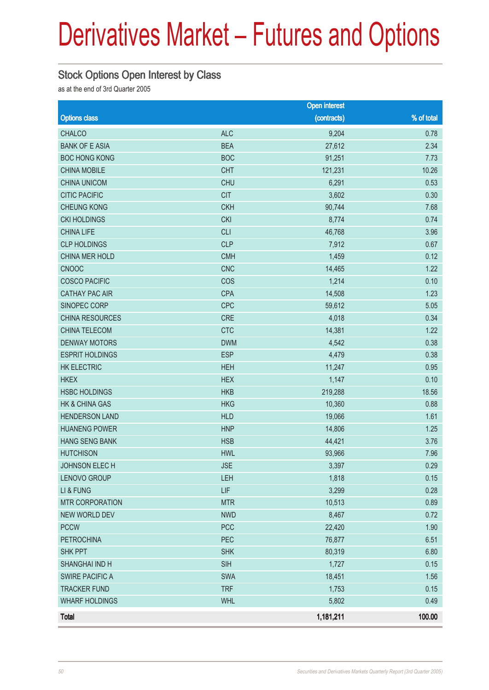#### Stock Options Open Interest by Class

as at the end of 3rd Quarter 2005

|                        |            | <b>Open interest</b> |            |
|------------------------|------------|----------------------|------------|
| <b>Options class</b>   |            | (contracts)          | % of total |
| <b>CHALCO</b>          | <b>ALC</b> | 9,204                | 0.78       |
| <b>BANK OF E ASIA</b>  | <b>BEA</b> | 27,612               | 2.34       |
| <b>BOC HONG KONG</b>   | <b>BOC</b> | 91,251               | 7.73       |
| <b>CHINA MOBILE</b>    | <b>CHT</b> | 121,231              | 10.26      |
| <b>CHINA UNICOM</b>    | <b>CHU</b> | 6,291                | 0.53       |
| <b>CITIC PACIFIC</b>   | <b>CIT</b> | 3,602                | 0.30       |
| <b>CHEUNG KONG</b>     | <b>CKH</b> | 90,744               | 7.68       |
| <b>CKI HOLDINGS</b>    | <b>CKI</b> | 8,774                | 0.74       |
| <b>CHINA LIFE</b>      | <b>CLI</b> | 46,768               | 3.96       |
| <b>CLP HOLDINGS</b>    | <b>CLP</b> | 7,912                | 0.67       |
| CHINA MER HOLD         | <b>CMH</b> | 1,459                | 0.12       |
| CNOOC                  | <b>CNC</b> | 14,465               | 1.22       |
| <b>COSCO PACIFIC</b>   | COS        | 1,214                | 0.10       |
| <b>CATHAY PAC AIR</b>  | <b>CPA</b> | 14,508               | 1.23       |
| SINOPEC CORP           | <b>CPC</b> | 59,612               | 5.05       |
| CHINA RESOURCES        | <b>CRE</b> | 4,018                | 0.34       |
| CHINA TELECOM          | <b>CTC</b> | 14,381               | 1.22       |
| <b>DENWAY MOTORS</b>   | <b>DWM</b> | 4,542                | 0.38       |
| <b>ESPRIT HOLDINGS</b> | <b>ESP</b> | 4,479                | 0.38       |
| <b>HK ELECTRIC</b>     | <b>HEH</b> | 11,247               | 0.95       |
| <b>HKEX</b>            | <b>HEX</b> | 1,147                | 0.10       |
| <b>HSBC HOLDINGS</b>   | <b>HKB</b> | 219,288              | 18.56      |
| HK & CHINA GAS         | <b>HKG</b> | 10,360               | 0.88       |
| <b>HENDERSON LAND</b>  | <b>HLD</b> | 19,066               | 1.61       |
| <b>HUANENG POWER</b>   | <b>HNP</b> | 14,806               | 1.25       |
| <b>HANG SENG BANK</b>  | <b>HSB</b> | 44,421               | 3.76       |
| <b>HUTCHISON</b>       | <b>HWL</b> | 93,966               | 7.96       |
| JOHNSON ELEC H         | <b>JSE</b> | 3,397                | 0.29       |
| LENOVO GROUP           | <b>LEH</b> | 1,818                | 0.15       |
| LI & FUNG              | LIF        | 3,299                | 0.28       |
| <b>MTR CORPORATION</b> | <b>MTR</b> | 10,513               | 0.89       |
| NEW WORLD DEV          | <b>NWD</b> | 8,467                | 0.72       |
| <b>PCCW</b>            | <b>PCC</b> | 22,420               | 1.90       |
| <b>PETROCHINA</b>      | PEC        | 76,877               | 6.51       |
| <b>SHK PPT</b>         | <b>SHK</b> | 80,319               | 6.80       |
| SHANGHAI IND H         | <b>SIH</b> | 1,727                | 0.15       |
| <b>SWIRE PACIFIC A</b> | <b>SWA</b> | 18,451               | 1.56       |
| <b>TRACKER FUND</b>    | <b>TRF</b> | 1,753                | 0.15       |
| <b>WHARF HOLDINGS</b>  | <b>WHL</b> | 5,802                | 0.49       |
| <b>Total</b>           |            | 1,181,211            | 100.00     |